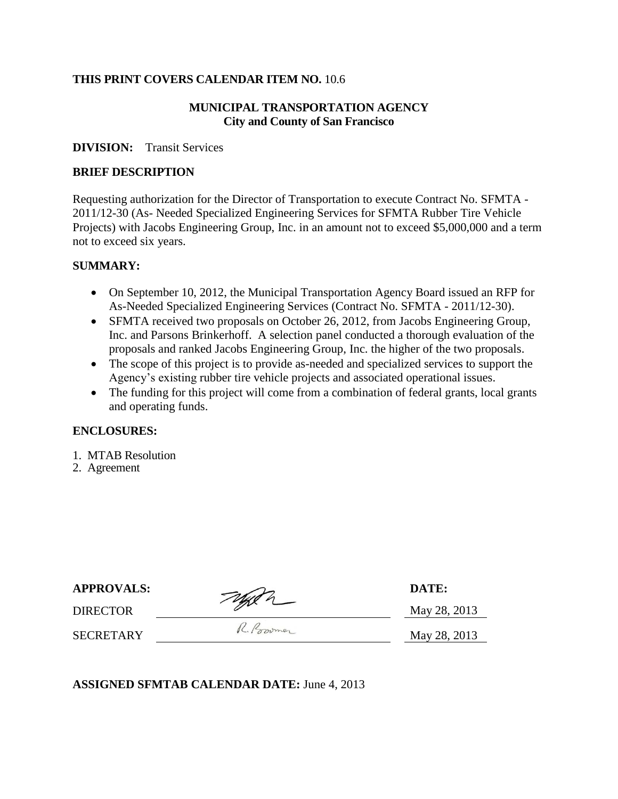### **THIS PRINT COVERS CALENDAR ITEM NO.** 10.6

## **MUNICIPAL TRANSPORTATION AGENCY City and County of San Francisco**

#### **DIVISION:** Transit Services

#### **BRIEF DESCRIPTION**

Requesting authorization for the Director of Transportation to execute Contract No. SFMTA - 2011/12-30 (As- Needed Specialized Engineering Services for SFMTA Rubber Tire Vehicle Projects) with Jacobs Engineering Group, Inc. in an amount not to exceed \$5,000,000 and a term not to exceed six years.

#### **SUMMARY:**

- On September 10, 2012, the Municipal Transportation Agency Board issued an RFP for As-Needed Specialized Engineering Services (Contract No. SFMTA - 2011/12-30).
- SFMTA received two proposals on October 26, 2012, from Jacobs Engineering Group, Inc. and Parsons Brinkerhoff. A selection panel conducted a thorough evaluation of the proposals and ranked Jacobs Engineering Group, Inc. the higher of the two proposals.
- The scope of this project is to provide as-needed and specialized services to support the Agency's existing rubber tire vehicle projects and associated operational issues.
- The funding for this project will come from a combination of federal grants, local grants and operating funds.

#### **ENCLOSURES:**

- 1. MTAB Resolution
- 2. Agreement

| <b>APPROVALS:</b> | Taylor | DATE:        |
|-------------------|--------|--------------|
| DIRECTOR          |        | May 28, 2013 |

SECRETARY R. Powmer May 28, 2013

**ASSIGNED SFMTAB CALENDAR DATE:** June 4, 2013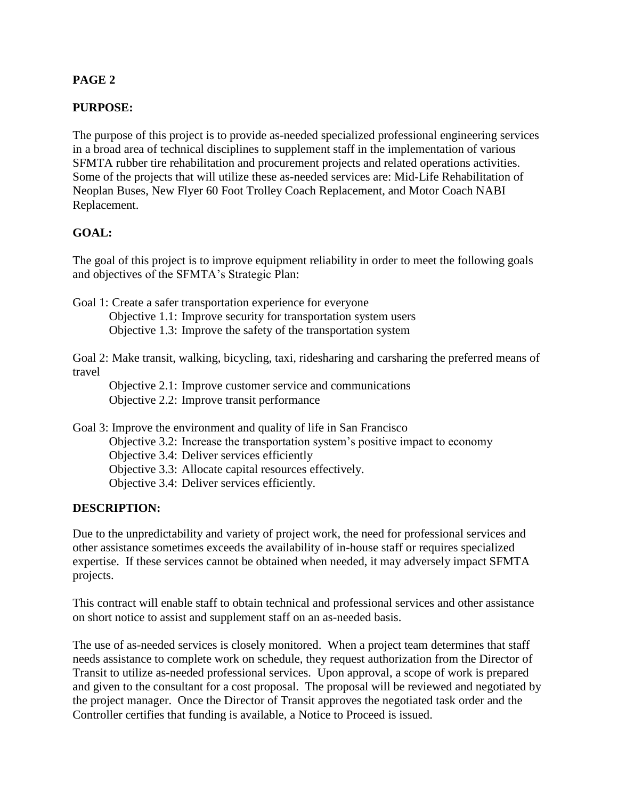# **PAGE 2**

# **PURPOSE:**

The purpose of this project is to provide as-needed specialized professional engineering services in a broad area of technical disciplines to supplement staff in the implementation of various SFMTA rubber tire rehabilitation and procurement projects and related operations activities. Some of the projects that will utilize these as-needed services are: Mid-Life Rehabilitation of Neoplan Buses, New Flyer 60 Foot Trolley Coach Replacement, and Motor Coach NABI Replacement.

## **GOAL:**

The goal of this project is to improve equipment reliability in order to meet the following goals and objectives of the SFMTA's Strategic Plan:

Goal 1: Create a safer transportation experience for everyone

Objective 1.1: Improve security for transportation system users Objective 1.3: Improve the safety of the transportation system

Goal 2: Make transit, walking, bicycling, taxi, ridesharing and carsharing the preferred means of travel

Objective 2.1: Improve customer service and communications Objective 2.2: Improve transit performance

Goal 3: Improve the environment and quality of life in San Francisco

Objective 3.2: Increase the transportation system's positive impact to economy

Objective 3.4: Deliver services efficiently

Objective 3.3: Allocate capital resources effectively.

Objective 3.4: Deliver services efficiently.

# **DESCRIPTION:**

Due to the unpredictability and variety of project work, the need for professional services and other assistance sometimes exceeds the availability of in-house staff or requires specialized expertise. If these services cannot be obtained when needed, it may adversely impact SFMTA projects.

This contract will enable staff to obtain technical and professional services and other assistance on short notice to assist and supplement staff on an as-needed basis.

The use of as-needed services is closely monitored. When a project team determines that staff needs assistance to complete work on schedule, they request authorization from the Director of Transit to utilize as-needed professional services. Upon approval, a scope of work is prepared and given to the consultant for a cost proposal. The proposal will be reviewed and negotiated by the project manager. Once the Director of Transit approves the negotiated task order and the Controller certifies that funding is available, a Notice to Proceed is issued.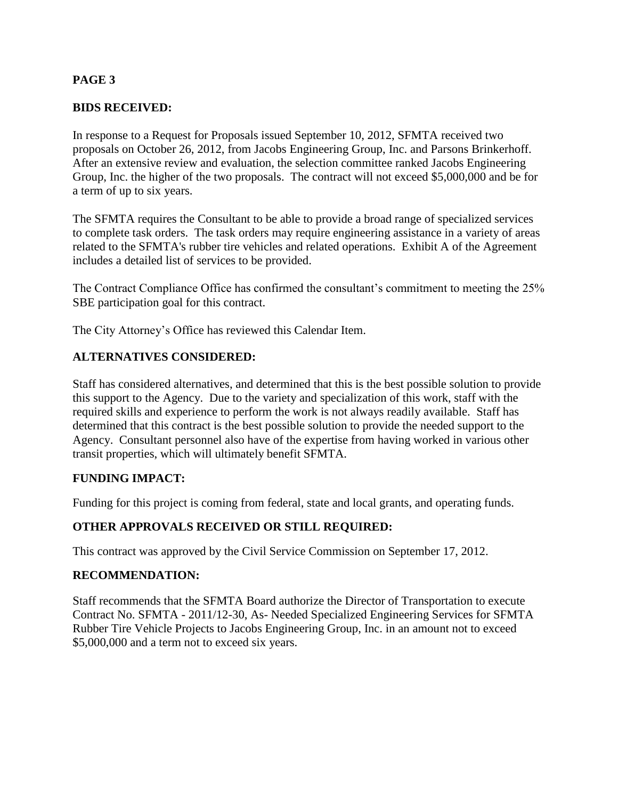# **PAGE 3**

# **BIDS RECEIVED:**

In response to a Request for Proposals issued September 10, 2012, SFMTA received two proposals on October 26, 2012, from Jacobs Engineering Group, Inc. and Parsons Brinkerhoff. After an extensive review and evaluation, the selection committee ranked Jacobs Engineering Group, Inc. the higher of the two proposals. The contract will not exceed \$5,000,000 and be for a term of up to six years.

The SFMTA requires the Consultant to be able to provide a broad range of specialized services to complete task orders. The task orders may require engineering assistance in a variety of areas related to the SFMTA's rubber tire vehicles and related operations. Exhibit A of the Agreement includes a detailed list of services to be provided.

The Contract Compliance Office has confirmed the consultant's commitment to meeting the 25% SBE participation goal for this contract.

The City Attorney's Office has reviewed this Calendar Item.

## **ALTERNATIVES CONSIDERED:**

Staff has considered alternatives, and determined that this is the best possible solution to provide this support to the Agency. Due to the variety and specialization of this work, staff with the required skills and experience to perform the work is not always readily available. Staff has determined that this contract is the best possible solution to provide the needed support to the Agency. Consultant personnel also have of the expertise from having worked in various other transit properties, which will ultimately benefit SFMTA.

#### **FUNDING IMPACT:**

Funding for this project is coming from federal, state and local grants, and operating funds.

# **OTHER APPROVALS RECEIVED OR STILL REQUIRED:**

This contract was approved by the Civil Service Commission on September 17, 2012.

#### **RECOMMENDATION:**

Staff recommends that the SFMTA Board authorize the Director of Transportation to execute Contract No. SFMTA - 2011/12-30, As- Needed Specialized Engineering Services for SFMTA Rubber Tire Vehicle Projects to Jacobs Engineering Group, Inc. in an amount not to exceed \$5,000,000 and a term not to exceed six years.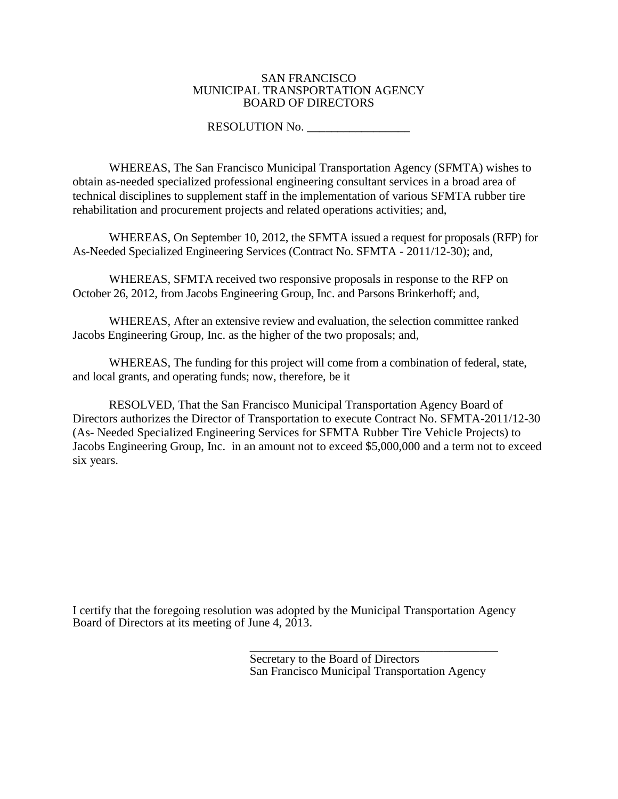#### SAN FRANCISCO MUNICIPAL TRANSPORTATION AGENCY BOARD OF DIRECTORS

#### RESOLUTION No. **\_\_\_\_\_\_\_\_\_\_\_\_\_\_\_\_\_**

WHEREAS, The San Francisco Municipal Transportation Agency (SFMTA) wishes to obtain as-needed specialized professional engineering consultant services in a broad area of technical disciplines to supplement staff in the implementation of various SFMTA rubber tire rehabilitation and procurement projects and related operations activities; and,

WHEREAS, On September 10, 2012, the SFMTA issued a request for proposals (RFP) for As-Needed Specialized Engineering Services (Contract No. SFMTA - 2011/12-30); and,

WHEREAS, SFMTA received two responsive proposals in response to the RFP on October 26, 2012, from Jacobs Engineering Group, Inc. and Parsons Brinkerhoff; and,

WHEREAS, After an extensive review and evaluation, the selection committee ranked Jacobs Engineering Group, Inc. as the higher of the two proposals; and,

WHEREAS, The funding for this project will come from a combination of federal, state, and local grants, and operating funds; now, therefore, be it

RESOLVED, That the San Francisco Municipal Transportation Agency Board of Directors authorizes the Director of Transportation to execute Contract No. SFMTA-2011/12-30 (As- Needed Specialized Engineering Services for SFMTA Rubber Tire Vehicle Projects) to Jacobs Engineering Group, Inc. in an amount not to exceed \$5,000,000 and a term not to exceed six years.

I certify that the foregoing resolution was adopted by the Municipal Transportation Agency Board of Directors at its meeting of June 4, 2013.

> \_\_\_\_\_\_\_\_\_\_\_\_\_\_\_\_\_\_\_\_\_\_\_\_\_\_\_\_\_\_\_\_\_\_\_\_\_\_\_\_\_ Secretary to the Board of Directors San Francisco Municipal Transportation Agency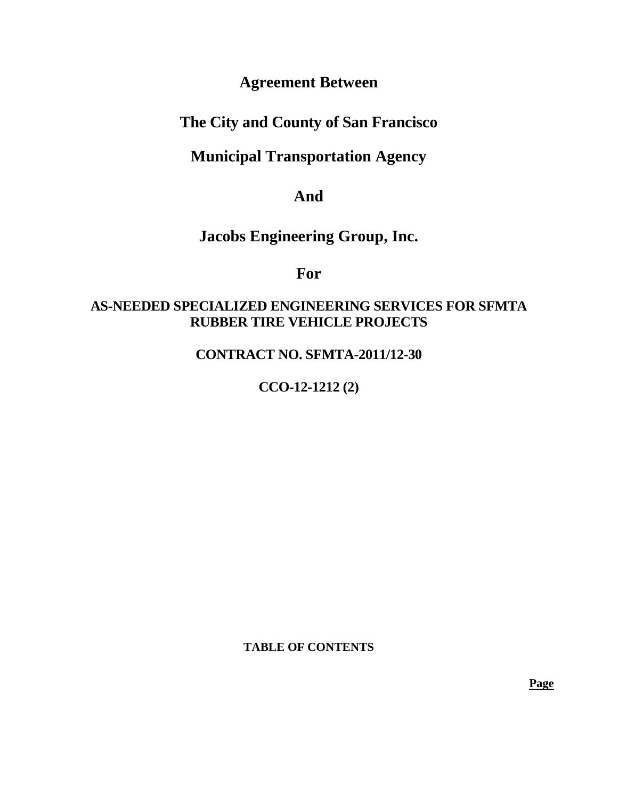# **Agreement Between**

# **The City and County of San Francisco**

# **Municipal Transportation Agency**

# **And**

# **Jacobs Engineering Group, Inc.**

# **For**

# **AS-NEEDED SPECIALIZED ENGINEERING SERVICES FOR SFMTA RUBBER TIRE VEHICLE PROJECTS**

# **CONTRACT NO. SFMTA-2011/12-30**

# **CCO-12-1212 (2)**

**TABLE OF CONTENTS**

**Page**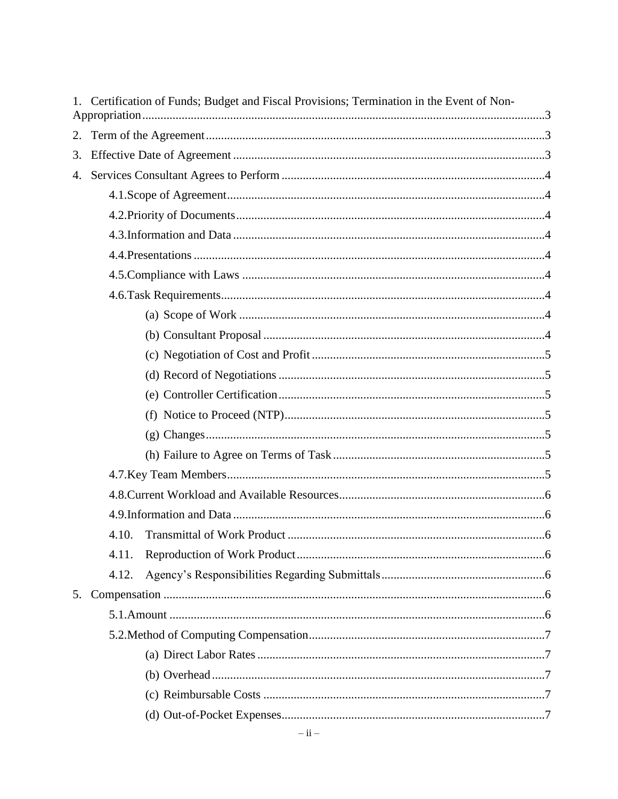|    | 1. Certification of Funds; Budget and Fiscal Provisions; Termination in the Event of Non- |  |
|----|-------------------------------------------------------------------------------------------|--|
| 2. |                                                                                           |  |
| 3. |                                                                                           |  |
| 4. |                                                                                           |  |
|    |                                                                                           |  |
|    |                                                                                           |  |
|    |                                                                                           |  |
|    |                                                                                           |  |
|    |                                                                                           |  |
|    |                                                                                           |  |
|    |                                                                                           |  |
|    |                                                                                           |  |
|    |                                                                                           |  |
|    |                                                                                           |  |
|    |                                                                                           |  |
|    |                                                                                           |  |
|    |                                                                                           |  |
|    |                                                                                           |  |
|    |                                                                                           |  |
|    |                                                                                           |  |
|    |                                                                                           |  |
|    | 4.10.                                                                                     |  |
|    | 4.11.                                                                                     |  |
|    | 4.12.                                                                                     |  |
| 5. |                                                                                           |  |
|    |                                                                                           |  |
|    |                                                                                           |  |
|    |                                                                                           |  |
|    |                                                                                           |  |
|    |                                                                                           |  |
|    |                                                                                           |  |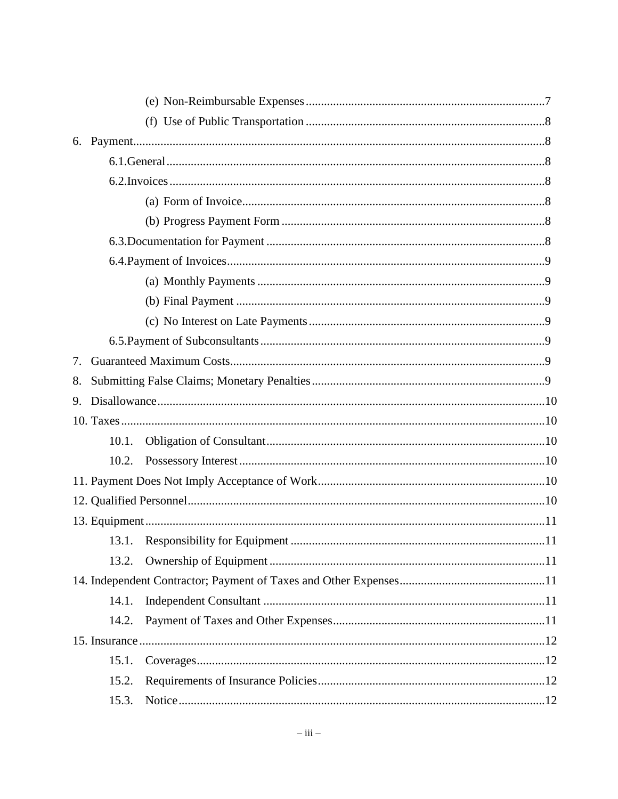| 7.    |  |
|-------|--|
| 8.    |  |
|       |  |
|       |  |
| 10.1. |  |
| 10.2. |  |
|       |  |
|       |  |
|       |  |
|       |  |
| 13.2. |  |
|       |  |
| 14.1. |  |
| 14.2. |  |
|       |  |
| 15.1. |  |
| 15.2. |  |
| 15.3. |  |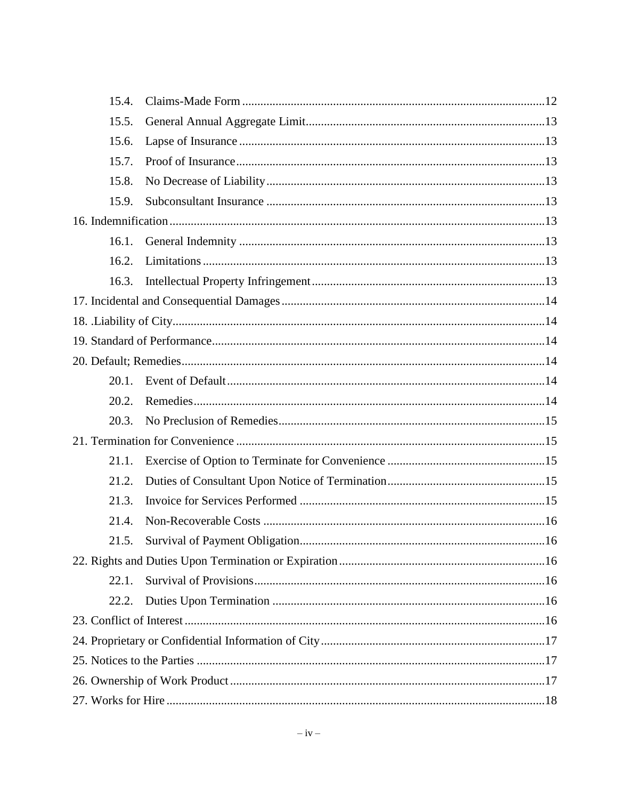| 15.4.    |  |
|----------|--|
| 15.5.    |  |
| 15.6.    |  |
| 15.7.    |  |
| 15.8.    |  |
| 15.9.    |  |
|          |  |
| 16.1.    |  |
| 16.2.    |  |
| 16.3.    |  |
|          |  |
|          |  |
|          |  |
|          |  |
| $20.1$ . |  |
| 20.2.    |  |
| 20.3.    |  |
|          |  |
| 21.1.    |  |
| 21.2.    |  |
| 21.3.    |  |
| 21.4.    |  |
| 21.5.    |  |
|          |  |
| 22.1.    |  |
| 22.2.    |  |
|          |  |
|          |  |
|          |  |
|          |  |
|          |  |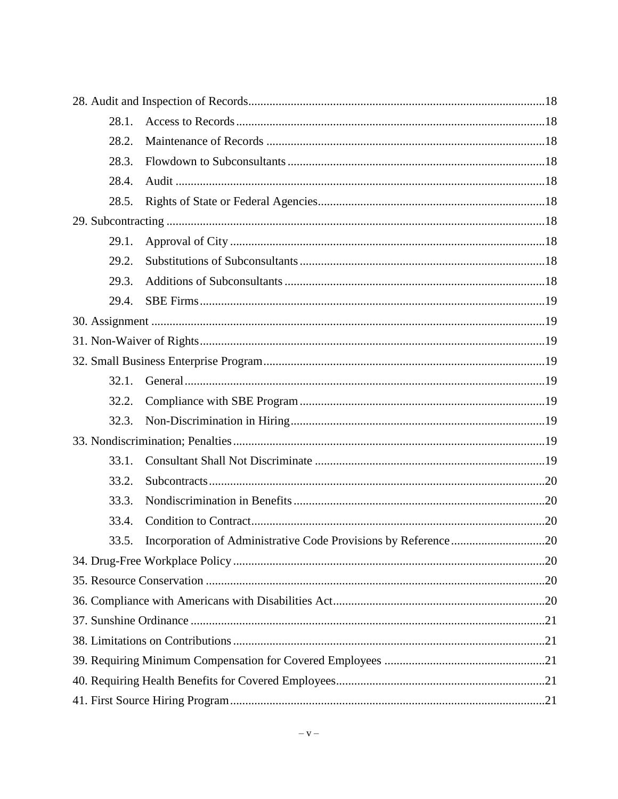| 28.1. |                                                                |  |
|-------|----------------------------------------------------------------|--|
| 28.2. |                                                                |  |
| 28.3. |                                                                |  |
| 28.4. |                                                                |  |
| 28.5. |                                                                |  |
|       |                                                                |  |
| 29.1. |                                                                |  |
| 29.2. |                                                                |  |
| 29.3. |                                                                |  |
| 29.4. |                                                                |  |
|       |                                                                |  |
|       |                                                                |  |
|       |                                                                |  |
| 32.1. |                                                                |  |
| 32.2. |                                                                |  |
| 32.3. |                                                                |  |
|       |                                                                |  |
| 33.1. |                                                                |  |
| 33.2. |                                                                |  |
| 33.3. |                                                                |  |
| 33.4. |                                                                |  |
| 33.5. | Incorporation of Administrative Code Provisions by Reference20 |  |
|       |                                                                |  |
|       |                                                                |  |
|       |                                                                |  |
|       |                                                                |  |
|       |                                                                |  |
|       |                                                                |  |
|       |                                                                |  |
|       |                                                                |  |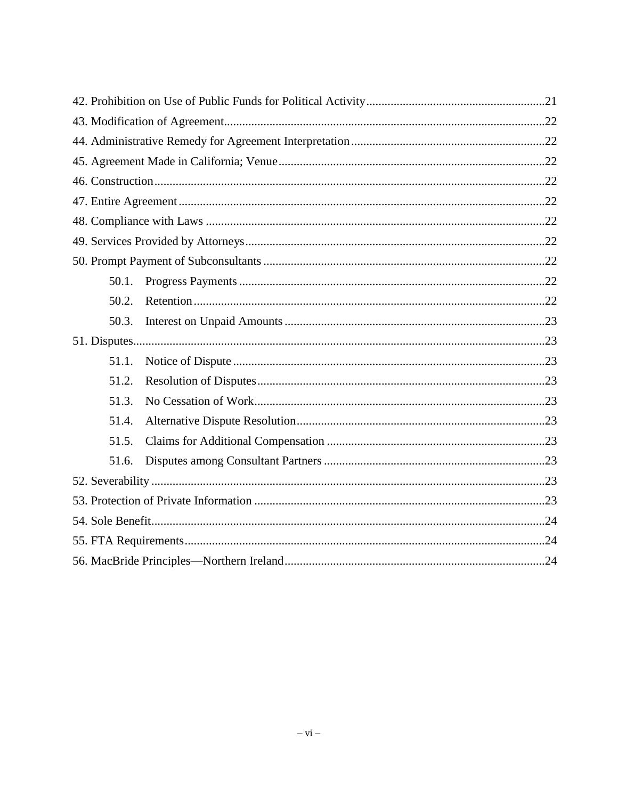| 50.1. |  |
|-------|--|
| 50.2. |  |
| 50.3. |  |
|       |  |
| 51.1. |  |
| 51.2. |  |
| 51.3. |  |
| 51.4. |  |
| 51.5. |  |
| 51.6. |  |
|       |  |
|       |  |
|       |  |
|       |  |
|       |  |
|       |  |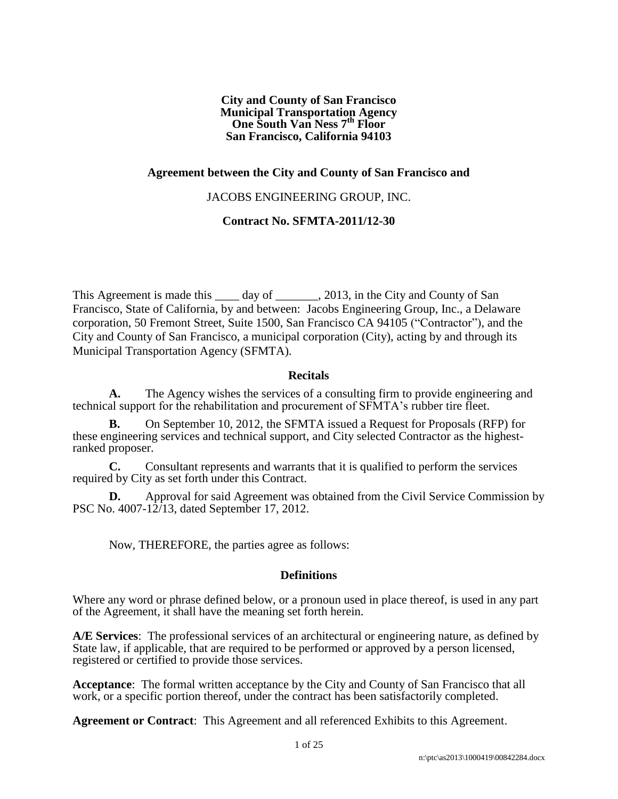**City and County of San Francisco Municipal Transportation Agency One South Van Ness 7th Floor San Francisco, California 94103**

#### **Agreement between the City and County of San Francisco and**

#### JACOBS ENGINEERING GROUP, INC.

#### **Contract No. SFMTA-2011/12-30**

This Agreement is made this day of . 2013, in the City and County of San Francisco, State of California, by and between: Jacobs Engineering Group, Inc., a Delaware corporation, 50 Fremont Street, Suite 1500, San Francisco CA 94105 ("Contractor"), and the City and County of San Francisco, a municipal corporation (City), acting by and through its Municipal Transportation Agency (SFMTA).

#### **Recitals**

**A.** The Agency wishes the services of a consulting firm to provide engineering and technical support for the rehabilitation and procurement of SFMTA's rubber tire fleet.

**B.** On September 10, 2012, the SFMTA issued a Request for Proposals (RFP) for these engineering services and technical support, and City selected Contractor as the highestranked proposer.

**C.** Consultant represents and warrants that it is qualified to perform the services required by City as set forth under this Contract.

**D.** Approval for said Agreement was obtained from the Civil Service Commission by PSC No. 4007-12/13, dated September 17, 2012.

Now, THEREFORE, the parties agree as follows:

#### **Definitions**

Where any word or phrase defined below, or a pronoun used in place thereof, is used in any part of the Agreement, it shall have the meaning set forth herein.

**A/E Services**: The professional services of an architectural or engineering nature, as defined by State law, if applicable, that are required to be performed or approved by a person licensed, registered or certified to provide those services.

**Acceptance**: The formal written acceptance by the City and County of San Francisco that all work, or a specific portion thereof, under the contract has been satisfactorily completed.

**Agreement or Contract**: This Agreement and all referenced Exhibits to this Agreement.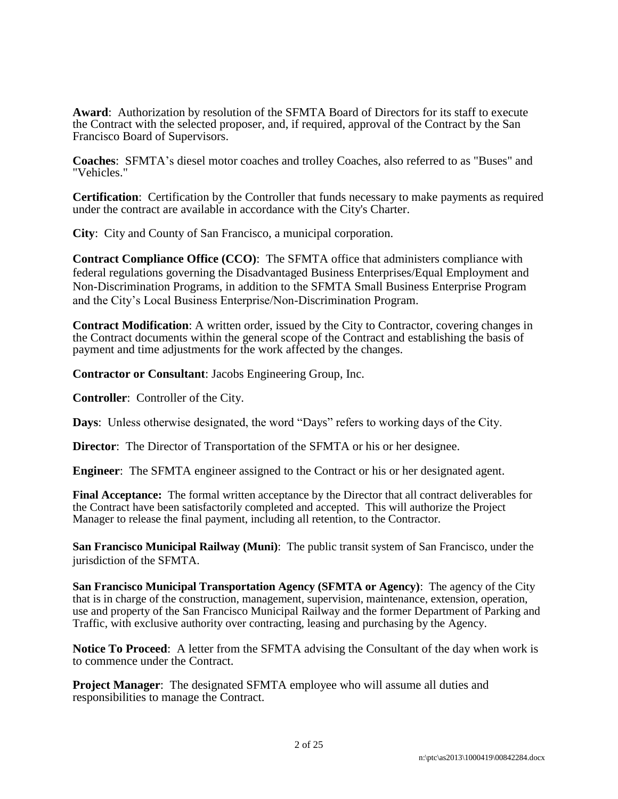**Award**: Authorization by resolution of the SFMTA Board of Directors for its staff to execute the Contract with the selected proposer, and, if required, approval of the Contract by the San Francisco Board of Supervisors.

**Coaches**: SFMTA's diesel motor coaches and trolley Coaches, also referred to as "Buses" and "Vehicles."

**Certification**: Certification by the Controller that funds necessary to make payments as required under the contract are available in accordance with the City's Charter.

**City**: City and County of San Francisco, a municipal corporation.

**Contract Compliance Office (CCO)**: The SFMTA office that administers compliance with federal regulations governing the Disadvantaged Business Enterprises/Equal Employment and Non-Discrimination Programs, in addition to the SFMTA Small Business Enterprise Program and the City's Local Business Enterprise/Non-Discrimination Program.

**Contract Modification**: A written order, issued by the City to Contractor, covering changes in the Contract documents within the general scope of the Contract and establishing the basis of payment and time adjustments for the work affected by the changes.

**Contractor or Consultant**: Jacobs Engineering Group, Inc.

**Controller**: Controller of the City.

**Days**: Unless otherwise designated, the word "Days" refers to working days of the City.

**Director:** The Director of Transportation of the SFMTA or his or her designee.

**Engineer**: The SFMTA engineer assigned to the Contract or his or her designated agent.

**Final Acceptance:** The formal written acceptance by the Director that all contract deliverables for the Contract have been satisfactorily completed and accepted. This will authorize the Project Manager to release the final payment, including all retention, to the Contractor.

**San Francisco Municipal Railway (Muni)**: The public transit system of San Francisco, under the jurisdiction of the SFMTA.

**San Francisco Municipal Transportation Agency (SFMTA or Agency)**: The agency of the City that is in charge of the construction, management, supervision, maintenance, extension, operation, use and property of the San Francisco Municipal Railway and the former Department of Parking and Traffic, with exclusive authority over contracting, leasing and purchasing by the Agency.

**Notice To Proceed**: A letter from the SFMTA advising the Consultant of the day when work is to commence under the Contract.

**Project Manager:** The designated SFMTA employee who will assume all duties and responsibilities to manage the Contract.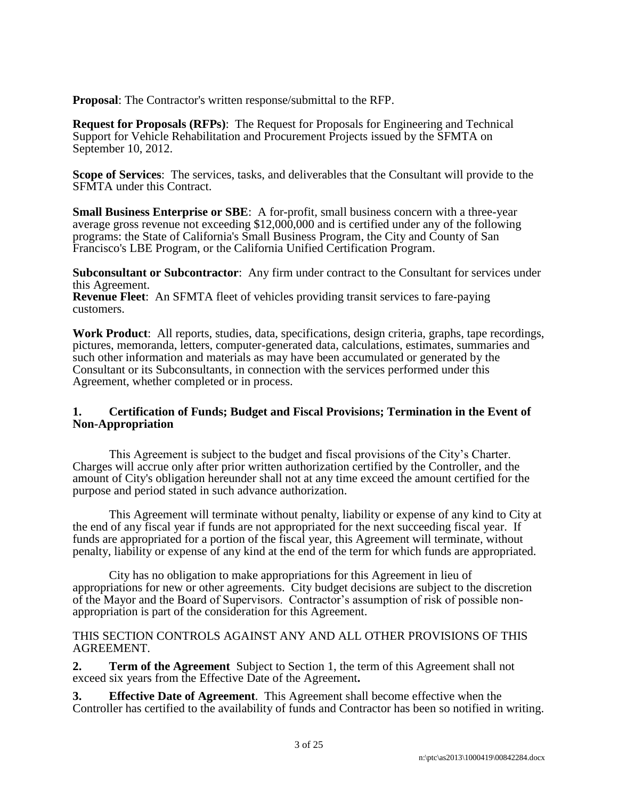**Proposal**: The Contractor's written response/submittal to the RFP.

**Request for Proposals (RFPs)**: The Request for Proposals for Engineering and Technical Support for Vehicle Rehabilitation and Procurement Projects issued by the SFMTA on September 10, 2012.

**Scope of Services**: The services, tasks, and deliverables that the Consultant will provide to the SFMTA under this Contract.

**Small Business Enterprise or SBE**: A for-profit, small business concern with a three-year average gross revenue not exceeding \$12,000,000 and is certified under any of the following programs: the State of California's Small Business Program, the City and County of San Francisco's LBE Program, or the California Unified Certification Program.

**Subconsultant or Subcontractor**: Any firm under contract to the Consultant for services under this Agreement.

**Revenue Fleet**: An SFMTA fleet of vehicles providing transit services to fare-paying customers.

**Work Product**: All reports, studies, data, specifications, design criteria, graphs, tape recordings, pictures, memoranda, letters, computer-generated data, calculations, estimates, summaries and such other information and materials as may have been accumulated or generated by the Consultant or its Subconsultants, in connection with the services performed under this Agreement, whether completed or in process.

#### **1. Certification of Funds; Budget and Fiscal Provisions; Termination in the Event of Non-Appropriation**

This Agreement is subject to the budget and fiscal provisions of the City's Charter. Charges will accrue only after prior written authorization certified by the Controller, and the amount of City's obligation hereunder shall not at any time exceed the amount certified for the purpose and period stated in such advance authorization.

This Agreement will terminate without penalty, liability or expense of any kind to City at the end of any fiscal year if funds are not appropriated for the next succeeding fiscal year. If funds are appropriated for a portion of the fiscal year, this Agreement will terminate, without penalty, liability or expense of any kind at the end of the term for which funds are appropriated.

City has no obligation to make appropriations for this Agreement in lieu of appropriations for new or other agreements. City budget decisions are subject to the discretion of the Mayor and the Board of Supervisors. Contractor's assumption of risk of possible nonappropriation is part of the consideration for this Agreement.

#### THIS SECTION CONTROLS AGAINST ANY AND ALL OTHER PROVISIONS OF THIS AGREEMENT.

**2. Term of the Agreement** Subject to Section 1, the term of this Agreement shall not exceed six years from the Effective Date of the Agreement**.**

**3. Effective Date of Agreement**. This Agreement shall become effective when the Controller has certified to the availability of funds and Contractor has been so notified in writing.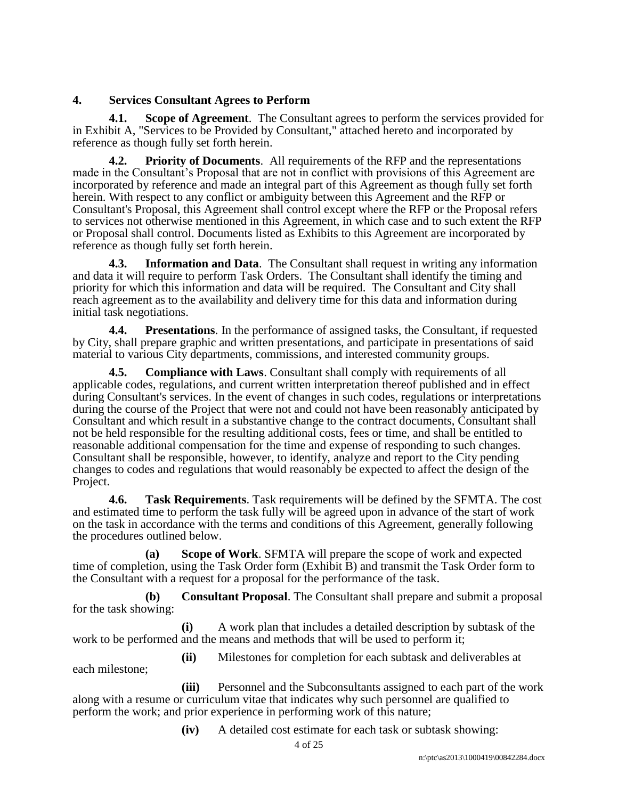#### **4. Services Consultant Agrees to Perform**

each milestone;

**4.1. Scope of Agreement**. The Consultant agrees to perform the services provided for in Exhibit A, "Services to be Provided by Consultant," attached hereto and incorporated by reference as though fully set forth herein.

**4.2. Priority of Documents**. All requirements of the RFP and the representations made in the Consultant's Proposal that are not in conflict with provisions of this Agreement are incorporated by reference and made an integral part of this Agreement as though fully set forth herein. With respect to any conflict or ambiguity between this Agreement and the RFP or Consultant's Proposal, this Agreement shall control except where the RFP or the Proposal refers to services not otherwise mentioned in this Agreement, in which case and to such extent the RFP or Proposal shall control. Documents listed as Exhibits to this Agreement are incorporated by reference as though fully set forth herein.

**4.3. Information and Data**. The Consultant shall request in writing any information and data it will require to perform Task Orders. The Consultant shall identify the timing and priority for which this information and data will be required. The Consultant and City shall reach agreement as to the availability and delivery time for this data and information during initial task negotiations.

**4.4. Presentations**. In the performance of assigned tasks, the Consultant, if requested by City, shall prepare graphic and written presentations, and participate in presentations of said material to various City departments, commissions, and interested community groups.

**4.5. Compliance with Laws**. Consultant shall comply with requirements of all applicable codes, regulations, and current written interpretation thereof published and in effect during Consultant's services. In the event of changes in such codes, regulations or interpretations during the course of the Project that were not and could not have been reasonably anticipated by Consultant and which result in a substantive change to the contract documents, Consultant shall not be held responsible for the resulting additional costs, fees or time, and shall be entitled to reasonable additional compensation for the time and expense of responding to such changes. Consultant shall be responsible, however, to identify, analyze and report to the City pending changes to codes and regulations that would reasonably be expected to affect the design of the Project.

**4.6. Task Requirements**. Task requirements will be defined by the SFMTA. The cost and estimated time to perform the task fully will be agreed upon in advance of the start of work on the task in accordance with the terms and conditions of this Agreement, generally following the procedures outlined below.

**(a) Scope of Work**. SFMTA will prepare the scope of work and expected time of completion, using the Task Order form (Exhibit B) and transmit the Task Order form to the Consultant with a request for a proposal for the performance of the task.

**(b) Consultant Proposal**. The Consultant shall prepare and submit a proposal for the task showing:

**(i)** A work plan that includes a detailed description by subtask of the work to be performed and the means and methods that will be used to perform it;

**(ii)** Milestones for completion for each subtask and deliverables at

**(iii)** Personnel and the Subconsultants assigned to each part of the work along with a resume or curriculum vitae that indicates why such personnel are qualified to perform the work; and prior experience in performing work of this nature;

**(iv)** A detailed cost estimate for each task or subtask showing: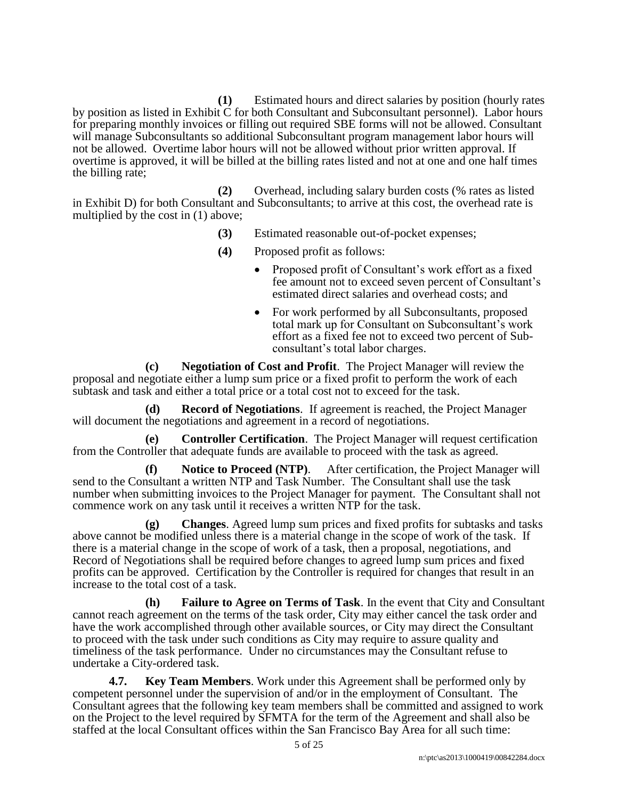**(1)** Estimated hours and direct salaries by position (hourly rates by position as listed in Exhibit C for both Consultant and Subconsultant personnel). Labor hours for preparing monthly invoices or filling out required SBE forms will not be allowed. Consultant will manage Subconsultants so additional Subconsultant program management labor hours will not be allowed. Overtime labor hours will not be allowed without prior written approval. If overtime is approved, it will be billed at the billing rates listed and not at one and one half times the billing rate;

**(2)** Overhead, including salary burden costs (% rates as listed in Exhibit D) for both Consultant and Subconsultants; to arrive at this cost, the overhead rate is multiplied by the cost in (1) above;

- **(3)** Estimated reasonable out-of-pocket expenses;
- **(4)** Proposed profit as follows:
	- Proposed profit of Consultant's work effort as a fixed fee amount not to exceed seven percent of Consultant's estimated direct salaries and overhead costs; and
	- For work performed by all Subconsultants, proposed total mark up for Consultant on Subconsultant's work effort as a fixed fee not to exceed two percent of Subconsultant's total labor charges.

**(c) Negotiation of Cost and Profit**. The Project Manager will review the proposal and negotiate either a lump sum price or a fixed profit to perform the work of each subtask and task and either a total price or a total cost not to exceed for the task.

**(d) Record of Negotiations**. If agreement is reached, the Project Manager will document the negotiations and agreement in a record of negotiations.

**(e) Controller Certification**. The Project Manager will request certification from the Controller that adequate funds are available to proceed with the task as agreed.

**(f) Notice to Proceed (NTP)**. After certification, the Project Manager will send to the Consultant a written NTP and Task Number. The Consultant shall use the task number when submitting invoices to the Project Manager for payment. The Consultant shall not commence work on any task until it receives a written NTP for the task.

**(g) Changes**. Agreed lump sum prices and fixed profits for subtasks and tasks above cannot be modified unless there is a material change in the scope of work of the task. If there is a material change in the scope of work of a task, then a proposal, negotiations, and Record of Negotiations shall be required before changes to agreed lump sum prices and fixed profits can be approved. Certification by the Controller is required for changes that result in an increase to the total cost of a task.

**(h) Failure to Agree on Terms of Task**. In the event that City and Consultant cannot reach agreement on the terms of the task order, City may either cancel the task order and have the work accomplished through other available sources, or City may direct the Consultant to proceed with the task under such conditions as City may require to assure quality and timeliness of the task performance. Under no circumstances may the Consultant refuse to undertake a City-ordered task.

**4.7. Key Team Members**. Work under this Agreement shall be performed only by competent personnel under the supervision of and/or in the employment of Consultant. The Consultant agrees that the following key team members shall be committed and assigned to work on the Project to the level required by SFMTA for the term of the Agreement and shall also be staffed at the local Consultant offices within the San Francisco Bay Area for all such time: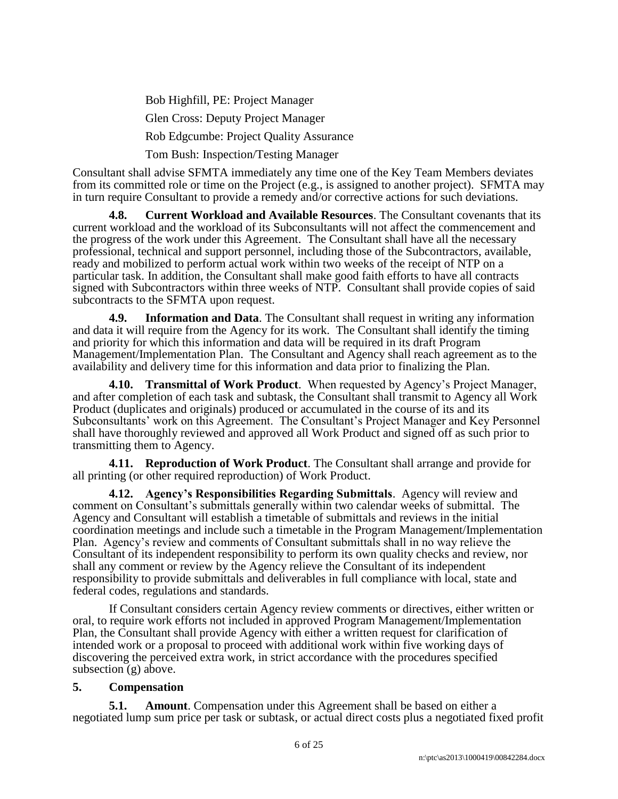Bob Highfill, PE: Project Manager Glen Cross: Deputy Project Manager Rob Edgcumbe: Project Quality Assurance Tom Bush: Inspection/Testing Manager

Consultant shall advise SFMTA immediately any time one of the Key Team Members deviates from its committed role or time on the Project (e.g., is assigned to another project). SFMTA may in turn require Consultant to provide a remedy and/or corrective actions for such deviations.

**4.8. Current Workload and Available Resources**. The Consultant covenants that its current workload and the workload of its Subconsultants will not affect the commencement and the progress of the work under this Agreement. The Consultant shall have all the necessary professional, technical and support personnel, including those of the Subcontractors, available, ready and mobilized to perform actual work within two weeks of the receipt of NTP on a particular task. In addition, the Consultant shall make good faith efforts to have all contracts signed with Subcontractors within three weeks of NTP. Consultant shall provide copies of said subcontracts to the SFMTA upon request.

**4.9. Information and Data**. The Consultant shall request in writing any information and data it will require from the Agency for its work. The Consultant shall identify the timing and priority for which this information and data will be required in its draft Program Management/Implementation Plan. The Consultant and Agency shall reach agreement as to the availability and delivery time for this information and data prior to finalizing the Plan.

**4.10. Transmittal of Work Product**. When requested by Agency's Project Manager, and after completion of each task and subtask, the Consultant shall transmit to Agency all Work Product (duplicates and originals) produced or accumulated in the course of its and its Subconsultants' work on this Agreement. The Consultant's Project Manager and Key Personnel shall have thoroughly reviewed and approved all Work Product and signed off as such prior to transmitting them to Agency.

**4.11. Reproduction of Work Product**. The Consultant shall arrange and provide for all printing (or other required reproduction) of Work Product.

**4.12. Agency's Responsibilities Regarding Submittals**. Agency will review and comment on Consultant's submittals generally within two calendar weeks of submittal. The Agency and Consultant will establish a timetable of submittals and reviews in the initial coordination meetings and include such a timetable in the Program Management/Implementation Plan. Agency's review and comments of Consultant submittals shall in no way relieve the Consultant of its independent responsibility to perform its own quality checks and review, nor shall any comment or review by the Agency relieve the Consultant of its independent responsibility to provide submittals and deliverables in full compliance with local, state and federal codes, regulations and standards.

If Consultant considers certain Agency review comments or directives, either written or oral, to require work efforts not included in approved Program Management/Implementation Plan, the Consultant shall provide Agency with either a written request for clarification of intended work or a proposal to proceed with additional work within five working days of discovering the perceived extra work, in strict accordance with the procedures specified subsection (g) above.

#### **5. Compensation**

**5.1. Amount**. Compensation under this Agreement shall be based on either a negotiated lump sum price per task or subtask, or actual direct costs plus a negotiated fixed profit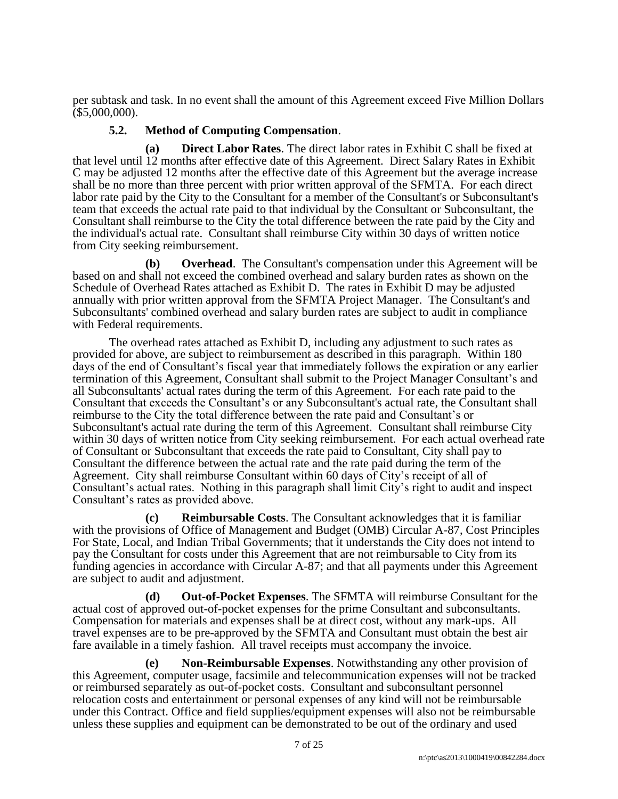per subtask and task. In no event shall the amount of this Agreement exceed Five Million Dollars (\$5,000,000).

### **5.2. Method of Computing Compensation**.

**(a) Direct Labor Rates**. The direct labor rates in Exhibit C shall be fixed at that level until 12 months after effective date of this Agreement. Direct Salary Rates in Exhibit C may be adjusted 12 months after the effective date of this Agreement but the average increase shall be no more than three percent with prior written approval of the SFMTA. For each direct labor rate paid by the City to the Consultant for a member of the Consultant's or Subconsultant's team that exceeds the actual rate paid to that individual by the Consultant or Subconsultant, the Consultant shall reimburse to the City the total difference between the rate paid by the City and the individual's actual rate. Consultant shall reimburse City within 30 days of written notice from City seeking reimbursement.

**(b) Overhead**. The Consultant's compensation under this Agreement will be based on and shall not exceed the combined overhead and salary burden rates as shown on the Schedule of Overhead Rates attached as Exhibit D. The rates in Exhibit D may be adjusted annually with prior written approval from the SFMTA Project Manager. The Consultant's and Subconsultants' combined overhead and salary burden rates are subject to audit in compliance with Federal requirements.

The overhead rates attached as Exhibit D, including any adjustment to such rates as provided for above, are subject to reimbursement as described in this paragraph. Within 180 days of the end of Consultant's fiscal year that immediately follows the expiration or any earlier termination of this Agreement, Consultant shall submit to the Project Manager Consultant's and all Subconsultants' actual rates during the term of this Agreement. For each rate paid to the Consultant that exceeds the Consultant's or any Subconsultant's actual rate, the Consultant shall reimburse to the City the total difference between the rate paid and Consultant's or Subconsultant's actual rate during the term of this Agreement. Consultant shall reimburse City within 30 days of written notice from City seeking reimbursement. For each actual overhead rate of Consultant or Subconsultant that exceeds the rate paid to Consultant, City shall pay to Consultant the difference between the actual rate and the rate paid during the term of the Agreement. City shall reimburse Consultant within 60 days of City's receipt of all of Consultant's actual rates. Nothing in this paragraph shall limit City's right to audit and inspect Consultant's rates as provided above.

**(c) Reimbursable Costs**. The Consultant acknowledges that it is familiar with the provisions of Office of Management and Budget (OMB) Circular A-87, Cost Principles For State, Local, and Indian Tribal Governments; that it understands the City does not intend to pay the Consultant for costs under this Agreement that are not reimbursable to City from its funding agencies in accordance with Circular A-87; and that all payments under this Agreement are subject to audit and adjustment.

**(d) Out-of-Pocket Expenses**. The SFMTA will reimburse Consultant for the actual cost of approved out-of-pocket expenses for the prime Consultant and subconsultants. Compensation for materials and expenses shall be at direct cost, without any mark-ups. All travel expenses are to be pre-approved by the SFMTA and Consultant must obtain the best air fare available in a timely fashion. All travel receipts must accompany the invoice.

**(e) Non-Reimbursable Expenses**. Notwithstanding any other provision of this Agreement, computer usage, facsimile and telecommunication expenses will not be tracked or reimbursed separately as out-of-pocket costs. Consultant and subconsultant personnel relocation costs and entertainment or personal expenses of any kind will not be reimbursable under this Contract. Office and field supplies/equipment expenses will also not be reimbursable unless these supplies and equipment can be demonstrated to be out of the ordinary and used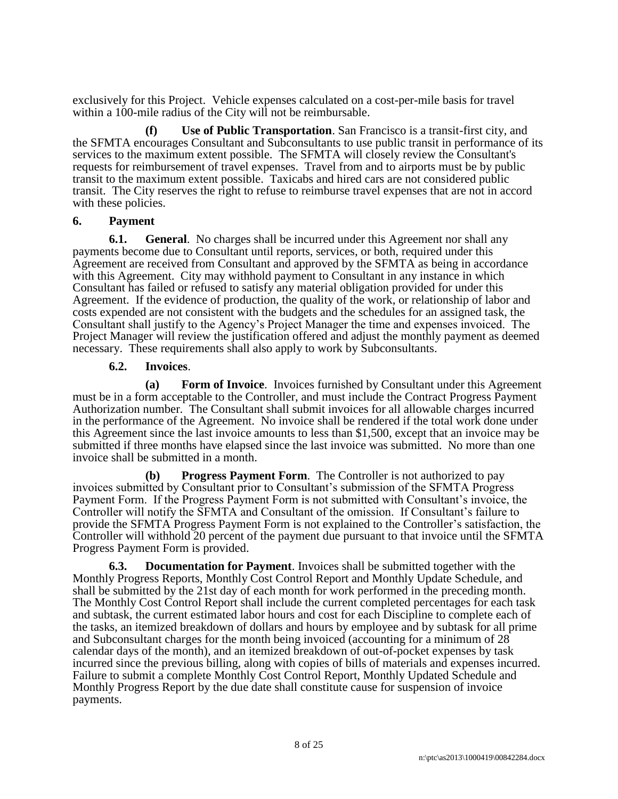exclusively for this Project. Vehicle expenses calculated on a cost-per-mile basis for travel within a 100-mile radius of the City will not be reimbursable.

**(f) Use of Public Transportation**. San Francisco is a transit-first city, and the SFMTA encourages Consultant and Subconsultants to use public transit in performance of its services to the maximum extent possible. The SFMTA will closely review the Consultant's requests for reimbursement of travel expenses. Travel from and to airports must be by public transit to the maximum extent possible. Taxicabs and hired cars are not considered public transit. The City reserves the right to refuse to reimburse travel expenses that are not in accord with these policies.

#### **6. Payment**

**6.1. General**. No charges shall be incurred under this Agreement nor shall any payments become due to Consultant until reports, services, or both, required under this Agreement are received from Consultant and approved by the SFMTA as being in accordance with this Agreement. City may withhold payment to Consultant in any instance in which Consultant has failed or refused to satisfy any material obligation provided for under this Agreement. If the evidence of production, the quality of the work, or relationship of labor and costs expended are not consistent with the budgets and the schedules for an assigned task, the Consultant shall justify to the Agency's Project Manager the time and expenses invoiced. The Project Manager will review the justification offered and adjust the monthly payment as deemed necessary. These requirements shall also apply to work by Subconsultants.

#### **6.2. Invoices**.

**(a) Form of Invoice**. Invoices furnished by Consultant under this Agreement must be in a form acceptable to the Controller, and must include the Contract Progress Payment Authorization number. The Consultant shall submit invoices for all allowable charges incurred in the performance of the Agreement. No invoice shall be rendered if the total work done under this Agreement since the last invoice amounts to less than \$1,500, except that an invoice may be submitted if three months have elapsed since the last invoice was submitted. No more than one invoice shall be submitted in a month.

**(b) Progress Payment Form**. The Controller is not authorized to pay invoices submitted by Consultant prior to Consultant's submission of the SFMTA Progress Payment Form. If the Progress Payment Form is not submitted with Consultant's invoice, the Controller will notify the SFMTA and Consultant of the omission. If Consultant's failure to provide the SFMTA Progress Payment Form is not explained to the Controller's satisfaction, the Controller will withhold 20 percent of the payment due pursuant to that invoice until the SFMTA Progress Payment Form is provided.

**6.3. Documentation for Payment**. Invoices shall be submitted together with the Monthly Progress Reports, Monthly Cost Control Report and Monthly Update Schedule, and shall be submitted by the 21st day of each month for work performed in the preceding month. The Monthly Cost Control Report shall include the current completed percentages for each task and subtask, the current estimated labor hours and cost for each Discipline to complete each of the tasks, an itemized breakdown of dollars and hours by employee and by subtask for all prime and Subconsultant charges for the month being invoiced (accounting for a minimum of 28 calendar days of the month), and an itemized breakdown of out-of-pocket expenses by task incurred since the previous billing, along with copies of bills of materials and expenses incurred. Failure to submit a complete Monthly Cost Control Report, Monthly Updated Schedule and Monthly Progress Report by the due date shall constitute cause for suspension of invoice payments.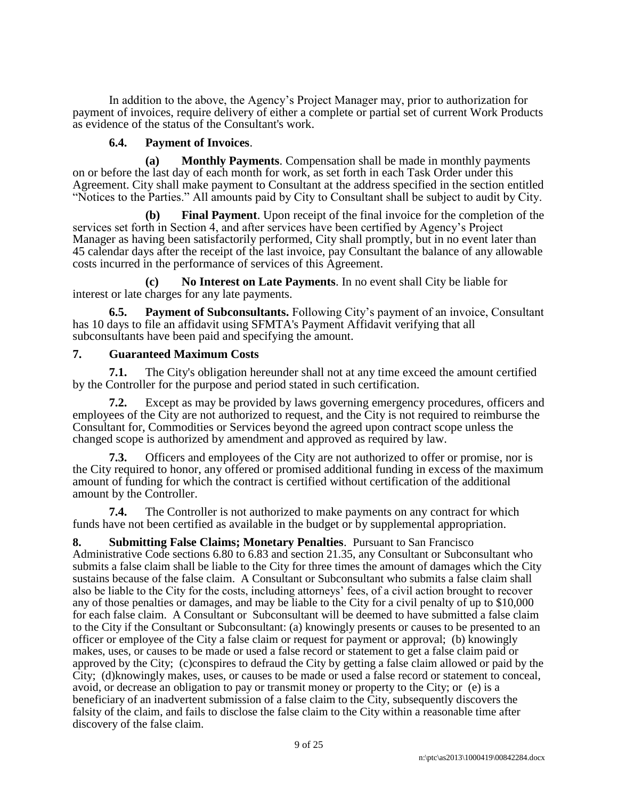In addition to the above, the Agency's Project Manager may, prior to authorization for payment of invoices, require delivery of either a complete or partial set of current Work Products as evidence of the status of the Consultant's work.

### **6.4. Payment of Invoices**.

**(a) Monthly Payments**. Compensation shall be made in monthly payments on or before the last day of each month for work, as set forth in each Task Order under this Agreement. City shall make payment to Consultant at the address specified in the section entitled "Notices to the Parties." All amounts paid by City to Consultant shall be subject to audit by City.

**(b) Final Payment**. Upon receipt of the final invoice for the completion of the services set forth in Section 4, and after services have been certified by Agency's Project Manager as having been satisfactorily performed, City shall promptly, but in no event later than 45 calendar days after the receipt of the last invoice, pay Consultant the balance of any allowable costs incurred in the performance of services of this Agreement.

**(c) No Interest on Late Payments**. In no event shall City be liable for interest or late charges for any late payments.

**6.5. Payment of Subconsultants.** Following City's payment of an invoice, Consultant has 10 days to file an affidavit using SFMTA's Payment Affidavit verifying that all subconsultants have been paid and specifying the amount.

## **7. Guaranteed Maximum Costs**

**7.1.** The City's obligation hereunder shall not at any time exceed the amount certified by the Controller for the purpose and period stated in such certification.

**7.2.** Except as may be provided by laws governing emergency procedures, officers and employees of the City are not authorized to request, and the City is not required to reimburse the Consultant for, Commodities or Services beyond the agreed upon contract scope unless the changed scope is authorized by amendment and approved as required by law.

**7.3.** Officers and employees of the City are not authorized to offer or promise, nor is the City required to honor, any offered or promised additional funding in excess of the maximum amount of funding for which the contract is certified without certification of the additional amount by the Controller.

**7.4.** The Controller is not authorized to make payments on any contract for which funds have not been certified as available in the budget or by supplemental appropriation.

**8. Submitting False Claims; Monetary Penalties**. Pursuant to San Francisco Administrative Code sections 6.80 to 6.83 and section 21.35, any Consultant or Subconsultant who submits a false claim shall be liable to the City for three times the amount of damages which the City sustains because of the false claim. A Consultant or Subconsultant who submits a false claim shall also be liable to the City for the costs, including attorneys' fees, of a civil action brought to recover any of those penalties or damages, and may be liable to the City for a civil penalty of up to \$10,000 for each false claim. A Consultant or Subconsultant will be deemed to have submitted a false claim to the City if the Consultant or Subconsultant: (a) knowingly presents or causes to be presented to an officer or employee of the City a false claim or request for payment or approval; (b) knowingly makes, uses, or causes to be made or used a false record or statement to get a false claim paid or approved by the City; (c)conspires to defraud the City by getting a false claim allowed or paid by the City; (d)knowingly makes, uses, or causes to be made or used a false record or statement to conceal, avoid, or decrease an obligation to pay or transmit money or property to the City; or (e) is a beneficiary of an inadvertent submission of a false claim to the City, subsequently discovers the falsity of the claim, and fails to disclose the false claim to the City within a reasonable time after discovery of the false claim.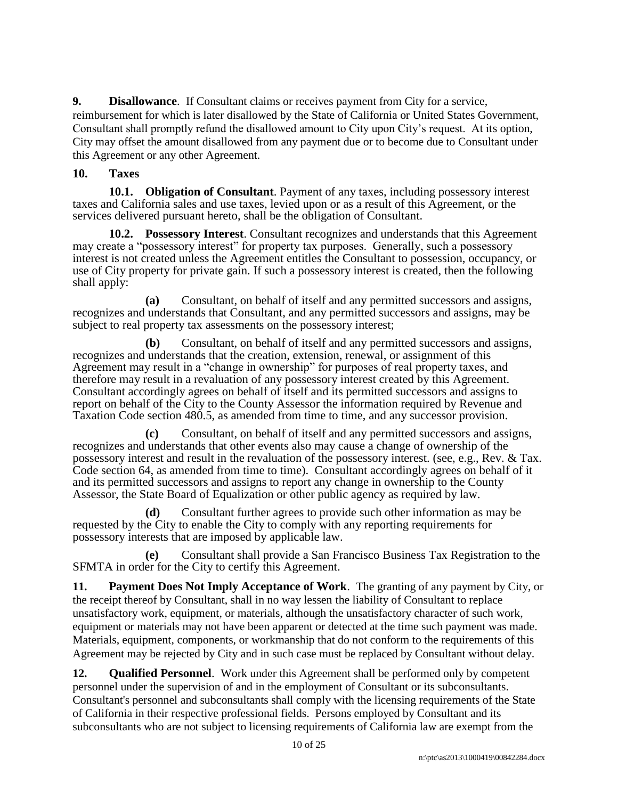**9. Disallowance**. If Consultant claims or receives payment from City for a service, reimbursement for which is later disallowed by the State of California or United States Government, Consultant shall promptly refund the disallowed amount to City upon City's request. At its option, City may offset the amount disallowed from any payment due or to become due to Consultant under this Agreement or any other Agreement.

## **10. Taxes**

**10.1. Obligation of Consultant**. Payment of any taxes, including possessory interest taxes and California sales and use taxes, levied upon or as a result of this Agreement, or the services delivered pursuant hereto, shall be the obligation of Consultant.

**10.2. Possessory Interest**. Consultant recognizes and understands that this Agreement may create a "possessory interest" for property tax purposes. Generally, such a possessory interest is not created unless the Agreement entitles the Consultant to possession, occupancy, or use of City property for private gain. If such a possessory interest is created, then the following shall apply:

**(a)** Consultant, on behalf of itself and any permitted successors and assigns, recognizes and understands that Consultant, and any permitted successors and assigns, may be subject to real property tax assessments on the possessory interest;

**(b)** Consultant, on behalf of itself and any permitted successors and assigns, recognizes and understands that the creation, extension, renewal, or assignment of this Agreement may result in a "change in ownership" for purposes of real property taxes, and therefore may result in a revaluation of any possessory interest created by this Agreement. Consultant accordingly agrees on behalf of itself and its permitted successors and assigns to report on behalf of the City to the County Assessor the information required by Revenue and Taxation Code section 480.5, as amended from time to time, and any successor provision.

**(c)** Consultant, on behalf of itself and any permitted successors and assigns, recognizes and understands that other events also may cause a change of ownership of the possessory interest and result in the revaluation of the possessory interest. (see, e.g., Rev. & Tax. Code section 64, as amended from time to time). Consultant accordingly agrees on behalf of it and its permitted successors and assigns to report any change in ownership to the County Assessor, the State Board of Equalization or other public agency as required by law.

**(d)** Consultant further agrees to provide such other information as may be requested by the City to enable the City to comply with any reporting requirements for possessory interests that are imposed by applicable law.

**(e)** Consultant shall provide a San Francisco Business Tax Registration to the SFMTA in order for the City to certify this Agreement.

**11. Payment Does Not Imply Acceptance of Work**. The granting of any payment by City, or the receipt thereof by Consultant, shall in no way lessen the liability of Consultant to replace unsatisfactory work, equipment, or materials, although the unsatisfactory character of such work, equipment or materials may not have been apparent or detected at the time such payment was made. Materials, equipment, components, or workmanship that do not conform to the requirements of this Agreement may be rejected by City and in such case must be replaced by Consultant without delay.

**12. Qualified Personnel**. Work under this Agreement shall be performed only by competent personnel under the supervision of and in the employment of Consultant or its subconsultants. Consultant's personnel and subconsultants shall comply with the licensing requirements of the State of California in their respective professional fields. Persons employed by Consultant and its subconsultants who are not subject to licensing requirements of California law are exempt from the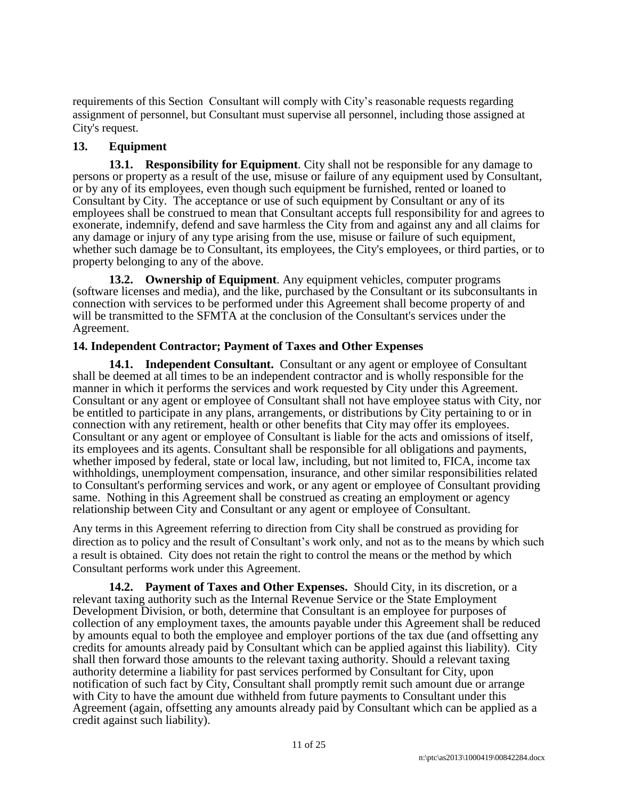requirements of this Section Consultant will comply with City's reasonable requests regarding assignment of personnel, but Consultant must supervise all personnel, including those assigned at City's request.

# **13. Equipment**

**13.1. Responsibility for Equipment**. City shall not be responsible for any damage to persons or property as a result of the use, misuse or failure of any equipment used by Consultant, or by any of its employees, even though such equipment be furnished, rented or loaned to Consultant by City. The acceptance or use of such equipment by Consultant or any of its employees shall be construed to mean that Consultant accepts full responsibility for and agrees to exonerate, indemnify, defend and save harmless the City from and against any and all claims for any damage or injury of any type arising from the use, misuse or failure of such equipment, whether such damage be to Consultant, its employees, the City's employees, or third parties, or to property belonging to any of the above.

**13.2. Ownership of Equipment**. Any equipment vehicles, computer programs (software licenses and media), and the like, purchased by the Consultant or its subconsultants in connection with services to be performed under this Agreement shall become property of and will be transmitted to the SFMTA at the conclusion of the Consultant's services under the Agreement.

# **14. Independent Contractor; Payment of Taxes and Other Expenses**

**14.1. Independent Consultant.** Consultant or any agent or employee of Consultant shall be deemed at all times to be an independent contractor and is wholly responsible for the manner in which it performs the services and work requested by City under this Agreement. Consultant or any agent or employee of Consultant shall not have employee status with City, nor be entitled to participate in any plans, arrangements, or distributions by City pertaining to or in connection with any retirement, health or other benefits that City may offer its employees. Consultant or any agent or employee of Consultant is liable for the acts and omissions of itself, its employees and its agents. Consultant shall be responsible for all obligations and payments, whether imposed by federal, state or local law, including, but not limited to, FICA, income tax withholdings, unemployment compensation, insurance, and other similar responsibilities related to Consultant's performing services and work, or any agent or employee of Consultant providing same. Nothing in this Agreement shall be construed as creating an employment or agency relationship between City and Consultant or any agent or employee of Consultant.

Any terms in this Agreement referring to direction from City shall be construed as providing for direction as to policy and the result of Consultant's work only, and not as to the means by which such a result is obtained. City does not retain the right to control the means or the method by which Consultant performs work under this Agreement.

**14.2. Payment of Taxes and Other Expenses.** Should City, in its discretion, or a relevant taxing authority such as the Internal Revenue Service or the State Employment Development Division, or both, determine that Consultant is an employee for purposes of collection of any employment taxes, the amounts payable under this Agreement shall be reduced by amounts equal to both the employee and employer portions of the tax due (and offsetting any credits for amounts already paid by Consultant which can be applied against this liability). City shall then forward those amounts to the relevant taxing authority. Should a relevant taxing authority determine a liability for past services performed by Consultant for City, upon notification of such fact by City, Consultant shall promptly remit such amount due or arrange with City to have the amount due withheld from future payments to Consultant under this Agreement (again, offsetting any amounts already paid by Consultant which can be applied as a credit against such liability).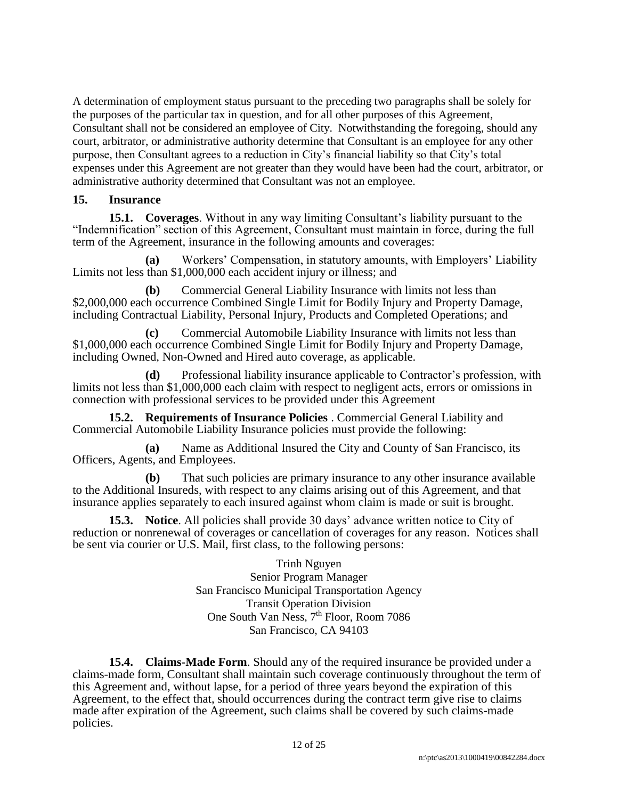A determination of employment status pursuant to the preceding two paragraphs shall be solely for the purposes of the particular tax in question, and for all other purposes of this Agreement, Consultant shall not be considered an employee of City. Notwithstanding the foregoing, should any court, arbitrator, or administrative authority determine that Consultant is an employee for any other purpose, then Consultant agrees to a reduction in City's financial liability so that City's total expenses under this Agreement are not greater than they would have been had the court, arbitrator, or administrative authority determined that Consultant was not an employee.

### **15. Insurance**

**15.1. Coverages**. Without in any way limiting Consultant's liability pursuant to the "Indemnification" section of this Agreement, Consultant must maintain in force, during the full term of the Agreement, insurance in the following amounts and coverages:

**(a)** Workers' Compensation, in statutory amounts, with Employers' Liability Limits not less than \$1,000,000 each accident injury or illness; and

**(b)** Commercial General Liability Insurance with limits not less than \$2,000,000 each occurrence Combined Single Limit for Bodily Injury and Property Damage, including Contractual Liability, Personal Injury, Products and Completed Operations; and

**(c)** Commercial Automobile Liability Insurance with limits not less than \$1,000,000 each occurrence Combined Single Limit for Bodily Injury and Property Damage, including Owned, Non-Owned and Hired auto coverage, as applicable.

**(d)** Professional liability insurance applicable to Contractor's profession, with limits not less than \$1,000,000 each claim with respect to negligent acts, errors or omissions in connection with professional services to be provided under this Agreement

**15.2. Requirements of Insurance Policies** . Commercial General Liability and Commercial Automobile Liability Insurance policies must provide the following:

**(a)** Name as Additional Insured the City and County of San Francisco, its Officers, Agents, and Employees.

**(b)** That such policies are primary insurance to any other insurance available to the Additional Insureds, with respect to any claims arising out of this Agreement, and that insurance applies separately to each insured against whom claim is made or suit is brought.

**15.3. Notice**. All policies shall provide 30 days' advance written notice to City of reduction or nonrenewal of coverages or cancellation of coverages for any reason. Notices shall be sent via courier or U.S. Mail, first class, to the following persons:

> Trinh Nguyen Senior Program Manager San Francisco Municipal Transportation Agency Transit Operation Division One South Van Ness, 7<sup>th</sup> Floor, Room 7086 San Francisco, CA 94103

**15.4. Claims-Made Form**. Should any of the required insurance be provided under a claims-made form, Consultant shall maintain such coverage continuously throughout the term of this Agreement and, without lapse, for a period of three years beyond the expiration of this Agreement, to the effect that, should occurrences during the contract term give rise to claims made after expiration of the Agreement, such claims shall be covered by such claims-made policies.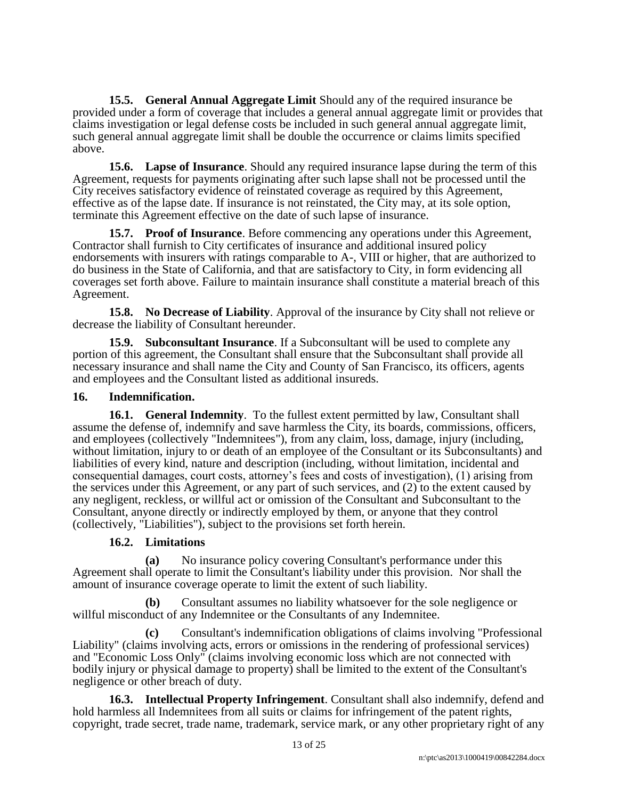**15.5. General Annual Aggregate Limit** Should any of the required insurance be provided under a form of coverage that includes a general annual aggregate limit or provides that claims investigation or legal defense costs be included in such general annual aggregate limit, such general annual aggregate limit shall be double the occurrence or claims limits specified above.

**15.6. Lapse of Insurance**. Should any required insurance lapse during the term of this Agreement, requests for payments originating after such lapse shall not be processed until the City receives satisfactory evidence of reinstated coverage as required by this Agreement, effective as of the lapse date. If insurance is not reinstated, the City may, at its sole option, terminate this Agreement effective on the date of such lapse of insurance.

**15.7. Proof of Insurance**. Before commencing any operations under this Agreement, Contractor shall furnish to City certificates of insurance and additional insured policy endorsements with insurers with ratings comparable to A-, VIII or higher, that are authorized to do business in the State of California, and that are satisfactory to City, in form evidencing all coverages set forth above. Failure to maintain insurance shall constitute a material breach of this Agreement.

**15.8. No Decrease of Liability**. Approval of the insurance by City shall not relieve or decrease the liability of Consultant hereunder.

**15.9. Subconsultant Insurance**. If a Subconsultant will be used to complete any portion of this agreement, the Consultant shall ensure that the Subconsultant shall provide all necessary insurance and shall name the City and County of San Francisco, its officers, agents and employees and the Consultant listed as additional insureds.

#### **16. Indemnification.**

**16.1. General Indemnity**. To the fullest extent permitted by law, Consultant shall assume the defense of, indemnify and save harmless the City, its boards, commissions, officers, and employees (collectively "Indemnitees"), from any claim, loss, damage, injury (including, without limitation, injury to or death of an employee of the Consultant or its Subconsultants) and liabilities of every kind, nature and description (including, without limitation, incidental and consequential damages, court costs, attorney's fees and costs of investigation), (1) arising from the services under this Agreement, or any part of such services, and (2) to the extent caused by any negligent, reckless, or willful act or omission of the Consultant and Subconsultant to the Consultant, anyone directly or indirectly employed by them, or anyone that they control (collectively, "Liabilities"), subject to the provisions set forth herein.

# **16.2. Limitations**

**(a)** No insurance policy covering Consultant's performance under this Agreement shall operate to limit the Consultant's liability under this provision. Nor shall the amount of insurance coverage operate to limit the extent of such liability.

**(b)** Consultant assumes no liability whatsoever for the sole negligence or willful misconduct of any Indemnitee or the Consultants of any Indemnitee.

**(c)** Consultant's indemnification obligations of claims involving "Professional Liability" (claims involving acts, errors or omissions in the rendering of professional services) and "Economic Loss Only" (claims involving economic loss which are not connected with bodily injury or physical damage to property) shall be limited to the extent of the Consultant's negligence or other breach of duty.

**16.3. Intellectual Property Infringement**. Consultant shall also indemnify, defend and hold harmless all Indemnitees from all suits or claims for infringement of the patent rights, copyright, trade secret, trade name, trademark, service mark, or any other proprietary right of any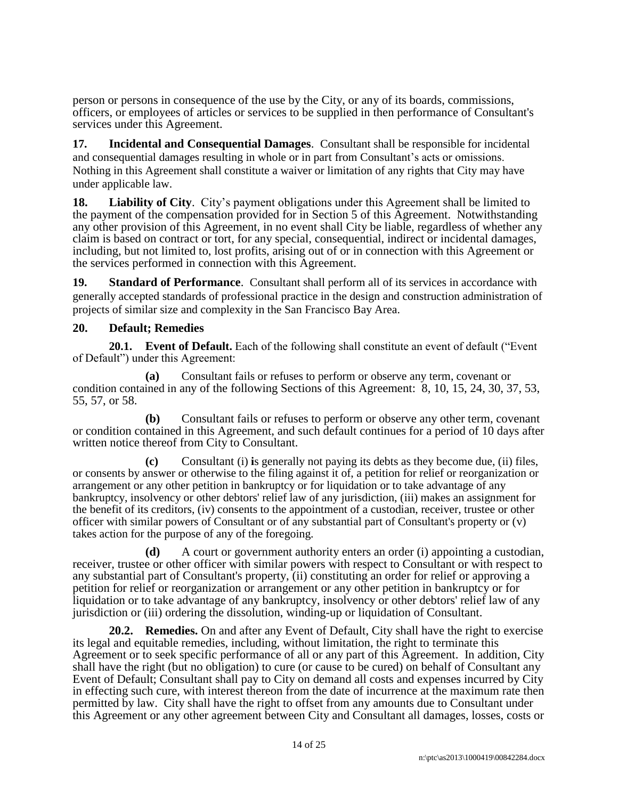person or persons in consequence of the use by the City, or any of its boards, commissions, officers, or employees of articles or services to be supplied in then performance of Consultant's services under this Agreement.

**17. Incidental and Consequential Damages**. Consultant shall be responsible for incidental and consequential damages resulting in whole or in part from Consultant's acts or omissions. Nothing in this Agreement shall constitute a waiver or limitation of any rights that City may have under applicable law.

**18. Liability of City**. City's payment obligations under this Agreement shall be limited to the payment of the compensation provided for in Section 5 of this Agreement. Notwithstanding any other provision of this Agreement, in no event shall City be liable, regardless of whether any claim is based on contract or tort, for any special, consequential, indirect or incidental damages, including, but not limited to, lost profits, arising out of or in connection with this Agreement or the services performed in connection with this Agreement.

**19. Standard of Performance**. Consultant shall perform all of its services in accordance with generally accepted standards of professional practice in the design and construction administration of projects of similar size and complexity in the San Francisco Bay Area.

#### **20. Default; Remedies**

**20.1. Event of Default.** Each of the following shall constitute an event of default ("Event of Default") under this Agreement:

**(a)** Consultant fails or refuses to perform or observe any term, covenant or condition contained in any of the following Sections of this Agreement: 8, 10, 15, 24, 30, 37, 53, 55, 57, or 58.

**(b)** Consultant fails or refuses to perform or observe any other term, covenant or condition contained in this Agreement, and such default continues for a period of 10 days after written notice thereof from City to Consultant.

**(c)** Consultant (i) **i**s generally not paying its debts as they become due, (ii) files, or consents by answer or otherwise to the filing against it of, a petition for relief or reorganization or arrangement or any other petition in bankruptcy or for liquidation or to take advantage of any bankruptcy, insolvency or other debtors' relief law of any jurisdiction, (iii) makes an assignment for the benefit of its creditors, (iv) consents to the appointment of a custodian, receiver, trustee or other officer with similar powers of Consultant or of any substantial part of Consultant's property or (v) takes action for the purpose of any of the foregoing.

**(d)** A court or government authority enters an order (i) appointing a custodian, receiver, trustee or other officer with similar powers with respect to Consultant or with respect to any substantial part of Consultant's property, (ii) constituting an order for relief or approving a petition for relief or reorganization or arrangement or any other petition in bankruptcy or for liquidation or to take advantage of any bankruptcy, insolvency or other debtors' relief law of any jurisdiction or (iii) ordering the dissolution, winding-up or liquidation of Consultant.

**20.2. Remedies.** On and after any Event of Default, City shall have the right to exercise its legal and equitable remedies, including, without limitation, the right to terminate this Agreement or to seek specific performance of all or any part of this Agreement. In addition, City shall have the right (but no obligation) to cure (or cause to be cured) on behalf of Consultant any Event of Default; Consultant shall pay to City on demand all costs and expenses incurred by City in effecting such cure, with interest thereon from the date of incurrence at the maximum rate then permitted by law. City shall have the right to offset from any amounts due to Consultant under this Agreement or any other agreement between City and Consultant all damages, losses, costs or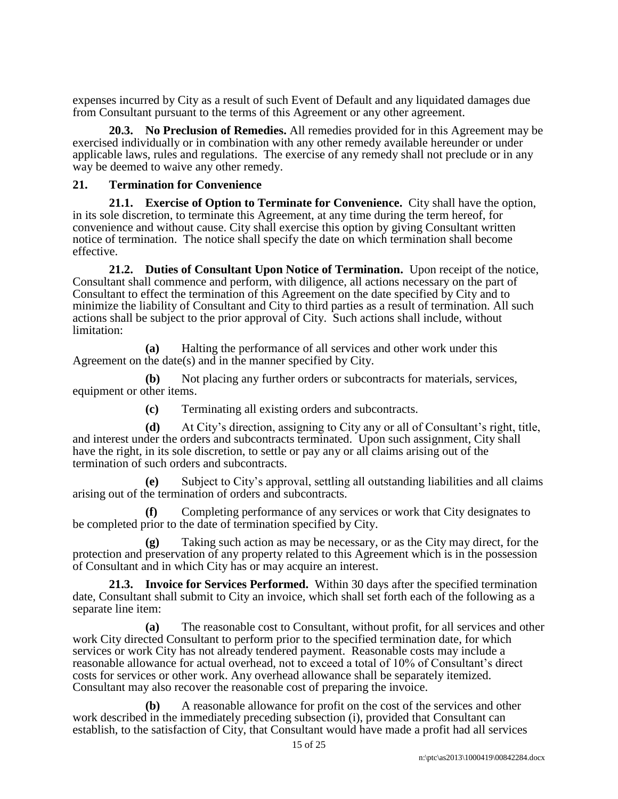expenses incurred by City as a result of such Event of Default and any liquidated damages due from Consultant pursuant to the terms of this Agreement or any other agreement.

**20.3. No Preclusion of Remedies.** All remedies provided for in this Agreement may be exercised individually or in combination with any other remedy available hereunder or under applicable laws, rules and regulations. The exercise of any remedy shall not preclude or in any way be deemed to waive any other remedy.

#### **21. Termination for Convenience**

**21.1. Exercise of Option to Terminate for Convenience.** City shall have the option, in its sole discretion, to terminate this Agreement, at any time during the term hereof, for convenience and without cause. City shall exercise this option by giving Consultant written notice of termination. The notice shall specify the date on which termination shall become effective.

**21.2. Duties of Consultant Upon Notice of Termination.** Upon receipt of the notice, Consultant shall commence and perform, with diligence, all actions necessary on the part of Consultant to effect the termination of this Agreement on the date specified by City and to minimize the liability of Consultant and City to third parties as a result of termination. All such actions shall be subject to the prior approval of City. Such actions shall include, without limitation:

**(a)** Halting the performance of all services and other work under this Agreement on the date(s) and in the manner specified by City.

**(b)** Not placing any further orders or subcontracts for materials, services, equipment or other items.

**(c)** Terminating all existing orders and subcontracts.

**(d)** At City's direction, assigning to City any or all of Consultant's right, title, and interest under the orders and subcontracts terminated. Upon such assignment, City shall have the right, in its sole discretion, to settle or pay any or all claims arising out of the termination of such orders and subcontracts.

**(e)** Subject to City's approval, settling all outstanding liabilities and all claims arising out of the termination of orders and subcontracts.

**(f)** Completing performance of any services or work that City designates to be completed prior to the date of termination specified by City.

**(g)** Taking such action as may be necessary, or as the City may direct, for the protection and preservation of any property related to this Agreement which is in the possession of Consultant and in which City has or may acquire an interest.

**21.3. Invoice for Services Performed.** Within 30 days after the specified termination date, Consultant shall submit to City an invoice, which shall set forth each of the following as a separate line item:

**(a)** The reasonable cost to Consultant, without profit, for all services and other work City directed Consultant to perform prior to the specified termination date, for which services or work City has not already tendered payment. Reasonable costs may include a reasonable allowance for actual overhead, not to exceed a total of 10% of Consultant's direct costs for services or other work. Any overhead allowance shall be separately itemized. Consultant may also recover the reasonable cost of preparing the invoice.

**(b)** A reasonable allowance for profit on the cost of the services and other work described in the immediately preceding subsection (i), provided that Consultant can establish, to the satisfaction of City, that Consultant would have made a profit had all services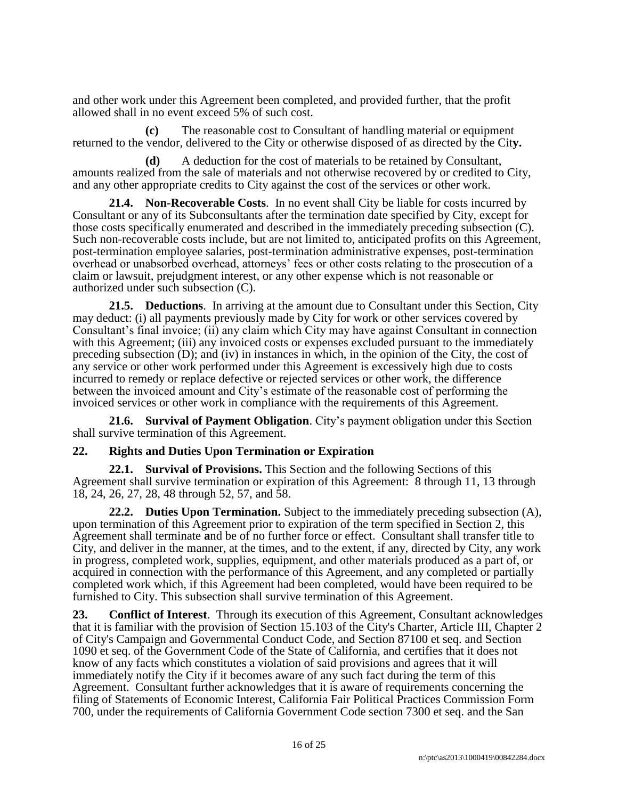and other work under this Agreement been completed, and provided further, that the profit allowed shall in no event exceed 5% of such cost.

**(c)** The reasonable cost to Consultant of handling material or equipment returned to the vendor, delivered to the City or otherwise disposed of as directed by the Cit**y.** 

**(d)** A deduction for the cost of materials to be retained by Consultant, amounts realized from the sale of materials and not otherwise recovered by or credited to City, and any other appropriate credits to City against the cost of the services or other work.

**21.4. Non-Recoverable Costs**. In no event shall City be liable for costs incurred by Consultant or any of its Subconsultants after the termination date specified by City, except for those costs specifically enumerated and described in the immediately preceding subsection (C). Such non-recoverable costs include, but are not limited to, anticipated profits on this Agreement, post-termination employee salaries, post-termination administrative expenses, post-termination overhead or unabsorbed overhead, attorneys' fees or other costs relating to the prosecution of a claim or lawsuit, prejudgment interest, or any other expense which is not reasonable or authorized under such subsection (C).

**21.5. Deductions**. In arriving at the amount due to Consultant under this Section, City may deduct: (i) all payments previously made by City for work or other services covered by Consultant's final invoice; (ii) any claim which City may have against Consultant in connection with this Agreement; (iii) any invoiced costs or expenses excluded pursuant to the immediately preceding subsection (D); and (iv) in instances in which, in the opinion of the City, the cost of any service or other work performed under this Agreement is excessively high due to costs incurred to remedy or replace defective or rejected services or other work, the difference between the invoiced amount and City's estimate of the reasonable cost of performing the invoiced services or other work in compliance with the requirements of this Agreement.

**21.6. Survival of Payment Obligation**. City's payment obligation under this Section shall survive termination of this Agreement.

#### **22. Rights and Duties Upon Termination or Expiration**

**22.1. Survival of Provisions.** This Section and the following Sections of this Agreement shall survive termination or expiration of this Agreement: 8 through 11, 13 through 18, 24, 26, 27, 28, 48 through 52, 57, and 58.

**22.2. Duties Upon Termination.** Subject to the immediately preceding subsection (A), upon termination of this Agreement prior to expiration of the term specified in Section 2, this Agreement shall terminate **a**nd be of no further force or effect. Consultant shall transfer title to City, and deliver in the manner, at the times, and to the extent, if any, directed by City, any work in progress, completed work, supplies, equipment, and other materials produced as a part of, or acquired in connection with the performance of this Agreement, and any completed or partially completed work which, if this Agreement had been completed, would have been required to be furnished to City. This subsection shall survive termination of this Agreement.

**23. Conflict of Interest**. Through its execution of this Agreement, Consultant acknowledges that it is familiar with the provision of Section 15.103 of the City's Charter, Article III, Chapter 2 of City's Campaign and Governmental Conduct Code, and Section 87100 et seq. and Section 1090 et seq. of the Government Code of the State of California, and certifies that it does not know of any facts which constitutes a violation of said provisions and agrees that it will immediately notify the City if it becomes aware of any such fact during the term of this Agreement. Consultant further acknowledges that it is aware of requirements concerning the filing of Statements of Economic Interest, California Fair Political Practices Commission Form 700, under the requirements of California Government Code section 7300 et seq. and the San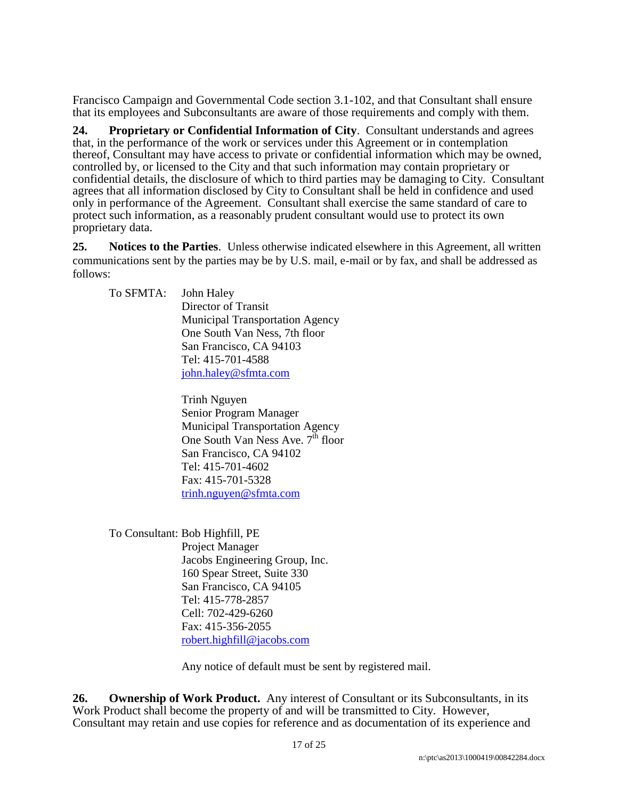Francisco Campaign and Governmental Code section 3.1-102, and that Consultant shall ensure that its employees and Subconsultants are aware of those requirements and comply with them.

**24. Proprietary or Confidential Information of City**. Consultant understands and agrees that, in the performance of the work or services under this Agreement or in contemplation thereof, Consultant may have access to private or confidential information which may be owned, controlled by, or licensed to the City and that such information may contain proprietary or confidential details, the disclosure of which to third parties may be damaging to City. Consultant agrees that all information disclosed by City to Consultant shall be held in confidence and used only in performance of the Agreement. Consultant shall exercise the same standard of care to protect such information, as a reasonably prudent consultant would use to protect its own proprietary data.

**25. Notices to the Parties**. Unless otherwise indicated elsewhere in this Agreement, all written communications sent by the parties may be by U.S. mail, e-mail or by fax, and shall be addressed as follows:

To SFMTA: John Haley Director of Transit Municipal Transportation Agency One South Van Ness, 7th floor San Francisco, CA 94103 Tel: 415-701-4588 [john.haley@sfmta.com](mailto:john.haley@sfmta.com)

> Trinh Nguyen Senior Program Manager Municipal Transportation Agency One South Van Ness Ave.  $7<sup>th</sup>$  floor San Francisco, CA 94102 Tel: 415-701-4602 Fax: 415-701-5328 [trinh.nguyen@sfmta.com](mailto:elson.hao@sfmta.com)

To Consultant: Bob Highfill, PE Project Manager Jacobs Engineering Group, Inc. 160 Spear Street, Suite 330 San Francisco, CA 94105 Tel: 415-778-2857 Cell: 702-429-6260 Fax: 415-356-2055 [robert.highfill@jacobs.com](mailto:William.stewart@parsons.com)

Any notice of default must be sent by registered mail.

26. **Ownership of Work Product.** Any interest of Consultant or its Subconsultants, in its Work Product shall become the property of and will be transmitted to City. However, Consultant may retain and use copies for reference and as documentation of its experience and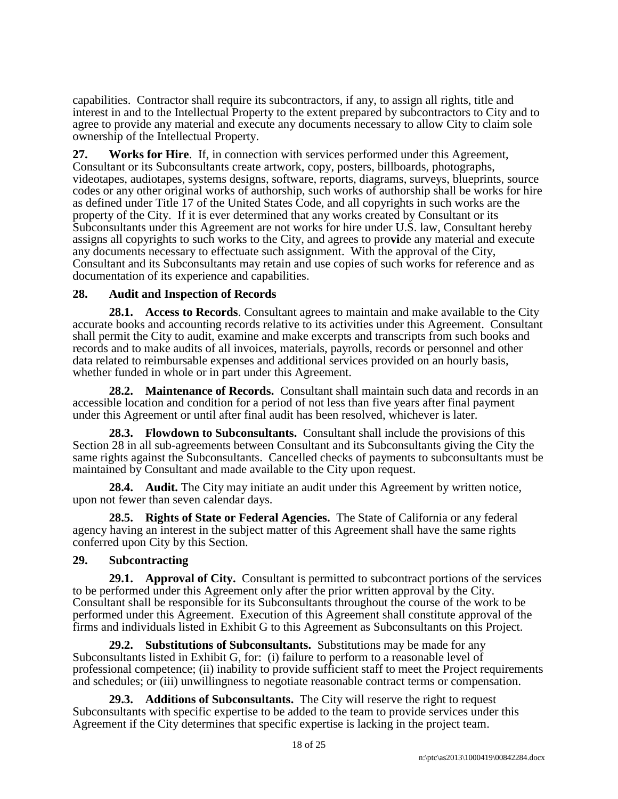capabilities. Contractor shall require its subcontractors, if any, to assign all rights, title and interest in and to the Intellectual Property to the extent prepared by subcontractors to City and to agree to provide any material and execute any documents necessary to allow City to claim sole ownership of the Intellectual Property.

**27. Works for Hire**. If, in connection with services performed under this Agreement, Consultant or its Subconsultants create artwork, copy, posters, billboards, photographs, videotapes, audiotapes, systems designs, software, reports, diagrams, surveys, blueprints, source codes or any other original works of authorship, such works of authorship shall be works for hire as defined under Title 17 of the United States Code, and all copyrights in such works are the property of the City. If it is ever determined that any works created by Consultant or its Subconsultants under this Agreement are not works for hire under U.S. law, Consultant hereby assigns all copyrights to such works to the City, and agrees to pro**vi**de any material and execute any documents necessary to effectuate such assignment. With the approval of the City, Consultant and its Subconsultants may retain and use copies of such works for reference and as documentation of its experience and capabilities.

## **28. Audit and Inspection of Records**

**28.1. Access to Records**. Consultant agrees to maintain and make available to the City accurate books and accounting records relative to its activities under this Agreement. Consultant shall permit the City to audit, examine and make excerpts and transcripts from such books and records and to make audits of all invoices, materials, payrolls, records or personnel and other data related to reimbursable expenses and additional services provided on an hourly basis, whether funded in whole or in part under this Agreement.

**28.2. Maintenance of Records.** Consultant shall maintain such data and records in an accessible location and condition for a period of not less than five years after final payment under this Agreement or until after final audit has been resolved, whichever is later.

**28.3. Flowdown to Subconsultants.** Consultant shall include the provisions of this Section 28 in all sub-agreements between Consultant and its Subconsultants giving the City the same rights against the Subconsultants. Cancelled checks of payments to subconsultants must be maintained by Consultant and made available to the City upon request.

**28.4. Audit.** The City may initiate an audit under this Agreement by written notice, upon not fewer than seven calendar days.

**28.5. Rights of State or Federal Agencies.** The State of California or any federal agency having an interest in the subject matter of this Agreement shall have the same rights conferred upon City by this Section.

# **29. Subcontracting**

**29.1. Approval of City.** Consultant is permitted to subcontract portions of the services to be performed under this Agreement only after the prior written approval by the City. Consultant shall be responsible for its Subconsultants throughout the course of the work to be performed under this Agreement. Execution of this Agreement shall constitute approval of the firms and individuals listed in Exhibit G to this Agreement as Subconsultants on this Project.

**29.2. Substitutions of Subconsultants.** Substitutions may be made for any Subconsultants listed in Exhibit G, for: (i) failure to perform to a reasonable level of professional competence; (ii) inability to provide sufficient staff to meet the Project requirements and schedules; or (iii) unwillingness to negotiate reasonable contract terms or compensation.

**29.3. Additions of Subconsultants.** The City will reserve the right to request Subconsultants with specific expertise to be added to the team to provide services under this Agreement if the City determines that specific expertise is lacking in the project team.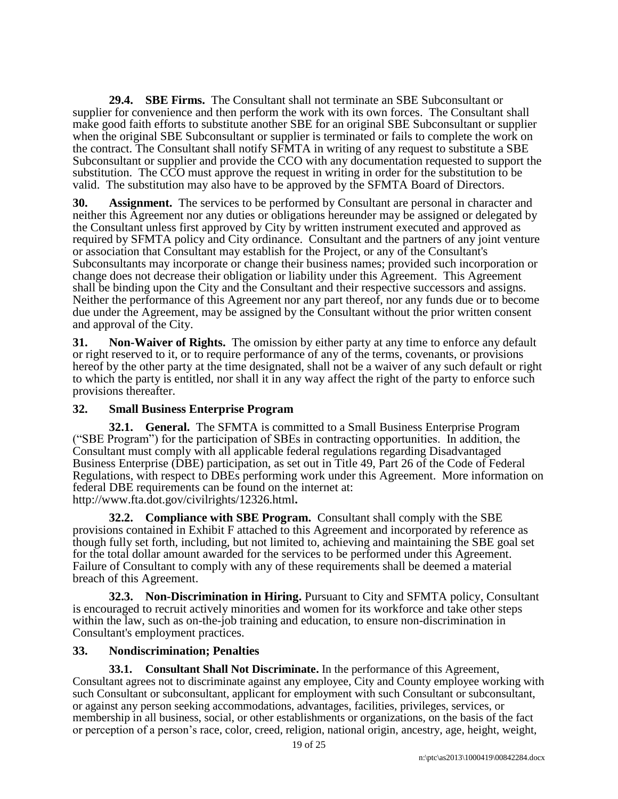**29.4. SBE Firms.** The Consultant shall not terminate an SBE Subconsultant or supplier for convenience and then perform the work with its own forces. The Consultant shall make good faith efforts to substitute another SBE for an original SBE Subconsultant or supplier when the original SBE Subconsultant or supplier is terminated or fails to complete the work on the contract. The Consultant shall notify SFMTA in writing of any request to substitute a SBE Subconsultant or supplier and provide the CCO with any documentation requested to support the substitution. The CCO must approve the request in writing in order for the substitution to be valid. The substitution may also have to be approved by the SFMTA Board of Directors.

**30. Assignment.** The services to be performed by Consultant are personal in character and neither this Agreement nor any duties or obligations hereunder may be assigned or delegated by the Consultant unless first approved by City by written instrument executed and approved as required by SFMTA policy and City ordinance. Consultant and the partners of any joint venture or association that Consultant may establish for the Project, or any of the Consultant's Subconsultants may incorporate or change their business names; provided such incorporation or change does not decrease their obligation or liability under this Agreement. This Agreement shall be binding upon the City and the Consultant and their respective successors and assigns. Neither the performance of this Agreement nor any part thereof, nor any funds due or to become due under the Agreement, may be assigned by the Consultant without the prior written consent and approval of the City.

**31. Non-Waiver of Rights.** The omission by either party at any time to enforce any default or right reserved to it, or to require performance of any of the terms, covenants, or provisions hereof by the other party at the time designated, shall not be a waiver of any such default or right to which the party is entitled, nor shall it in any way affect the right of the party to enforce such provisions thereafter.

# **32. Small Business Enterprise Program**

**32.1. General.** The SFMTA is committed to a Small Business Enterprise Program ("SBE Program") for the participation of SBEs in contracting opportunities. In addition, the Consultant must comply with all applicable federal regulations regarding Disadvantaged Business Enterprise (DBE) participation, as set out in Title 49, Part 26 of the Code of Federal Regulations, with respect to DBEs performing work under this Agreement. More information on federal DBE requirements can be found on the internet at: http://www.fta.dot.gov/civilrights/12326.html**.** 

**32.2. Compliance with SBE Program.** Consultant shall comply with the SBE provisions contained in Exhibit F attached to this Agreement and incorporated by reference as though fully set forth, including, but not limited to, achieving and maintaining the SBE goal set for the total dollar amount awarded for the services to be performed under this Agreement. Failure of Consultant to comply with any of these requirements shall be deemed a material breach of this Agreement.

**32.3. Non-Discrimination in Hiring.** Pursuant to City and SFMTA policy, Consultant is encouraged to recruit actively minorities and women for its workforce and take other steps within the law, such as on-the-job training and education, to ensure non-discrimination in Consultant's employment practices.

# **33. Nondiscrimination; Penalties**

**33.1. Consultant Shall Not Discriminate.** In the performance of this Agreement, Consultant agrees not to discriminate against any employee, City and County employee working with such Consultant or subconsultant, applicant for employment with such Consultant or subconsultant, or against any person seeking accommodations, advantages, facilities, privileges, services, or membership in all business, social, or other establishments or organizations, on the basis of the fact or perception of a person's race, color, creed, religion, national origin, ancestry, age, height, weight,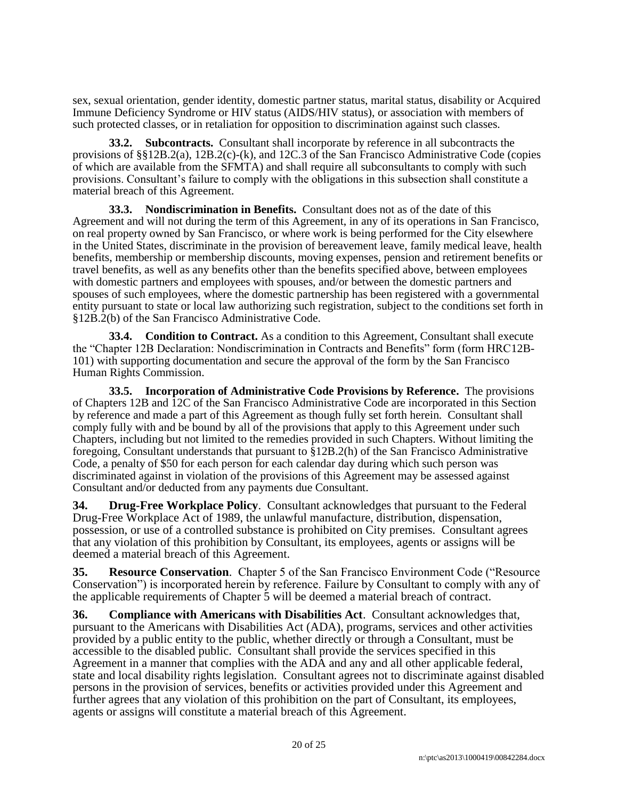sex, sexual orientation, gender identity, domestic partner status, marital status, disability or Acquired Immune Deficiency Syndrome or HIV status (AIDS/HIV status), or association with members of such protected classes, or in retaliation for opposition to discrimination against such classes.

**33.2. Subcontracts.** Consultant shall incorporate by reference in all subcontracts the provisions of §§12B.2(a), 12B.2(c)-(k), and 12C.3 of the San Francisco Administrative Code (copies of which are available from the SFMTA) and shall require all subconsultants to comply with such provisions. Consultant's failure to comply with the obligations in this subsection shall constitute a material breach of this Agreement.

**33.3. Nondiscrimination in Benefits.** Consultant does not as of the date of this Agreement and will not during the term of this Agreement, in any of its operations in San Francisco, on real property owned by San Francisco, or where work is being performed for the City elsewhere in the United States, discriminate in the provision of bereavement leave, family medical leave, health benefits, membership or membership discounts, moving expenses, pension and retirement benefits or travel benefits, as well as any benefits other than the benefits specified above, between employees with domestic partners and employees with spouses, and/or between the domestic partners and spouses of such employees, where the domestic partnership has been registered with a governmental entity pursuant to state or local law authorizing such registration, subject to the conditions set forth in §12B.2(b) of the San Francisco Administrative Code.

**33.4. Condition to Contract.** As a condition to this Agreement, Consultant shall execute the "Chapter 12B Declaration: Nondiscrimination in Contracts and Benefits" form (form HRC12B-101) with supporting documentation and secure the approval of the form by the San Francisco Human Rights Commission.

**33.5. Incorporation of Administrative Code Provisions by Reference.** The provisions of Chapters 12B and 12C of the San Francisco Administrative Code are incorporated in this Section by reference and made a part of this Agreement as though fully set forth herein. Consultant shall comply fully with and be bound by all of the provisions that apply to this Agreement under such Chapters, including but not limited to the remedies provided in such Chapters. Without limiting the foregoing, Consultant understands that pursuant to §12B.2(h) of the San Francisco Administrative Code, a penalty of \$50 for each person for each calendar day during which such person was discriminated against in violation of the provisions of this Agreement may be assessed against Consultant and/or deducted from any payments due Consultant.

**34. Drug-Free Workplace Policy**. Consultant acknowledges that pursuant to the Federal Drug-Free Workplace Act of 1989, the unlawful manufacture, distribution, dispensation, possession, or use of a controlled substance is prohibited on City premises. Consultant agrees that any violation of this prohibition by Consultant, its employees, agents or assigns will be deemed a material breach of this Agreement.

**35. Resource Conservation**. Chapter 5 of the San Francisco Environment Code ("Resource Conservation") is incorporated herein by reference. Failure by Consultant to comply with any of the applicable requirements of Chapter 5 will be deemed a material breach of contract.

**36. Compliance with Americans with Disabilities Act**. Consultant acknowledges that, pursuant to the Americans with Disabilities Act (ADA), programs, services and other activities provided by a public entity to the public, whether directly or through a Consultant, must be accessible to the disabled public. Consultant shall provide the services specified in this Agreement in a manner that complies with the ADA and any and all other applicable federal, state and local disability rights legislation. Consultant agrees not to discriminate against disabled persons in the provision of services, benefits or activities provided under this Agreement and further agrees that any violation of this prohibition on the part of Consultant, its employees, agents or assigns will constitute a material breach of this Agreement.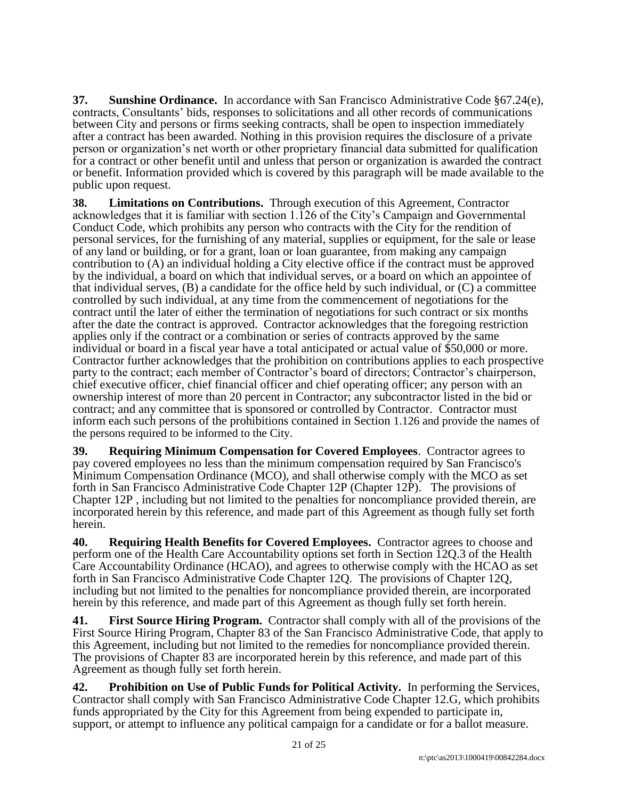**37. Sunshine Ordinance.** In accordance with San Francisco Administrative Code §67.24(e), contracts, Consultants' bids, responses to solicitations and all other records of communications between City and persons or firms seeking contracts, shall be open to inspection immediately after a contract has been awarded. Nothing in this provision requires the disclosure of a private person or organization's net worth or other proprietary financial data submitted for qualification for a contract or other benefit until and unless that person or organization is awarded the contract or benefit. Information provided which is covered by this paragraph will be made available to the public upon request.

**38. Limitations on Contributions.** Through execution of this Agreement, Contractor acknowledges that it is familiar with section 1.126 of the City's Campaign and Governmental Conduct Code, which prohibits any person who contracts with the City for the rendition of personal services, for the furnishing of any material, supplies or equipment, for the sale or lease of any land or building, or for a grant, loan or loan guarantee, from making any campaign contribution to (A) an individual holding a City elective office if the contract must be approved by the individual, a board on which that individual serves, or a board on which an appointee of that individual serves, (B) a candidate for the office held by such individual, or (C) a committee controlled by such individual, at any time from the commencement of negotiations for the contract until the later of either the termination of negotiations for such contract or six months after the date the contract is approved. Contractor acknowledges that the foregoing restriction applies only if the contract or a combination or series of contracts approved by the same individual or board in a fiscal year have a total anticipated or actual value of \$50,000 or more. Contractor further acknowledges that the prohibition on contributions applies to each prospective party to the contract; each member of Contractor's board of directors; Contractor's chairperson, chief executive officer, chief financial officer and chief operating officer; any person with an ownership interest of more than 20 percent in Contractor; any subcontractor listed in the bid or contract; and any committee that is sponsored or controlled by Contractor. Contractor must inform each such persons of the prohibitions contained in Section 1.126 and provide the names of the persons required to be informed to the City.

**39. Requiring Minimum Compensation for Covered Employees**. Contractor agrees to pay covered employees no less than the minimum compensation required by San Francisco's Minimum Compensation Ordinance (MCO), and shall otherwise comply with the MCO as set forth in San Francisco Administrative Code Chapter 12P (Chapter 12P). The provisions of Chapter 12P , including but not limited to the penalties for noncompliance provided therein, are incorporated herein by this reference, and made part of this Agreement as though fully set forth herein.

**40. Requiring Health Benefits for Covered Employees.** Contractor agrees to choose and perform one of the Health Care Accountability options set forth in Section 12Q.3 of the Health Care Accountability Ordinance (HCAO), and agrees to otherwise comply with the HCAO as set forth in San Francisco Administrative Code Chapter 12Q. The provisions of Chapter 12Q, including but not limited to the penalties for noncompliance provided therein, are incorporated herein by this reference, and made part of this Agreement as though fully set forth herein.

**41. First Source Hiring Program.** Contractor shall comply with all of the provisions of the First Source Hiring Program, Chapter 83 of the San Francisco Administrative Code, that apply to this Agreement, including but not limited to the remedies for noncompliance provided therein. The provisions of Chapter 83 are incorporated herein by this reference, and made part of this Agreement as though fully set forth herein.

**42. Prohibition on Use of Public Funds for Political Activity.** In performing the Services, Contractor shall comply with San Francisco Administrative Code Chapter 12.G, which prohibits funds appropriated by the City for this Agreement from being expended to participate in, support, or attempt to influence any political campaign for a candidate or for a ballot measure.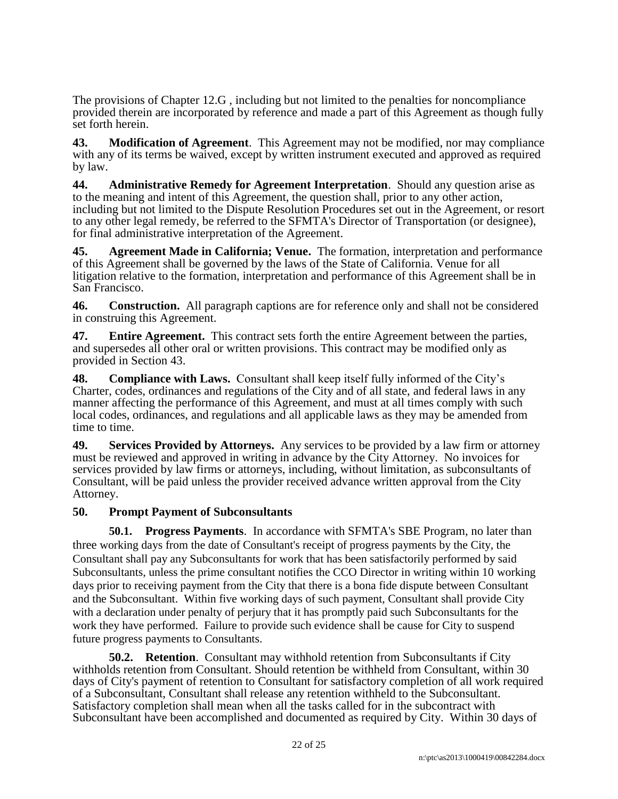The provisions of Chapter 12.G , including but not limited to the penalties for noncompliance provided therein are incorporated by reference and made a part of this Agreement as though fully set forth herein.

**43. Modification of Agreement**. This Agreement may not be modified, nor may compliance with any of its terms be waived, except by written instrument executed and approved as required by law.

**44. Administrative Remedy for Agreement Interpretation**. Should any question arise as to the meaning and intent of this Agreement, the question shall, prior to any other action, including but not limited to the Dispute Resolution Procedures set out in the Agreement, or resort to any other legal remedy, be referred to the SFMTA's Director of Transportation (or designee), for final administrative interpretation of the Agreement.

**45. Agreement Made in California; Venue.** The formation, interpretation and performance of this Agreement shall be governed by the laws of the State of California. Venue for all litigation relative to the formation, interpretation and performance of this Agreement shall be in San Francisco.

**46. Construction.** All paragraph captions are for reference only and shall not be considered in construing this Agreement.

**47. Entire Agreement.** This contract sets forth the entire Agreement between the parties, and supersedes all other oral or written provisions. This contract may be modified only as provided in Section 43.

**48. Compliance with Laws.** Consultant shall keep itself fully informed of the City's Charter, codes, ordinances and regulations of the City and of all state, and federal laws in any manner affecting the performance of this Agreement, and must at all times comply with such local codes, ordinances, and regulations and all applicable laws as they may be amended from time to time.

**49. Services Provided by Attorneys.** Any services to be provided by a law firm or attorney must be reviewed and approved in writing in advance by the City Attorney. No invoices for services provided by law firms or attorneys, including, without limitation, as subconsultants of Consultant, will be paid unless the provider received advance written approval from the City Attorney.

# **50. Prompt Payment of Subconsultants**

**50.1. Progress Payments**. In accordance with SFMTA's SBE Program, no later than three working days from the date of Consultant's receipt of progress payments by the City, the Consultant shall pay any Subconsultants for work that has been satisfactorily performed by said Subconsultants, unless the prime consultant notifies the CCO Director in writing within 10 working days prior to receiving payment from the City that there is a bona fide dispute between Consultant and the Subconsultant. Within five working days of such payment, Consultant shall provide City with a declaration under penalty of perjury that it has promptly paid such Subconsultants for the work they have performed. Failure to provide such evidence shall be cause for City to suspend future progress payments to Consultants.

**50.2. Retention**. Consultant may withhold retention from Subconsultants if City withholds retention from Consultant. Should retention be withheld from Consultant, within 30 days of City's payment of retention to Consultant for satisfactory completion of all work required of a Subconsultant, Consultant shall release any retention withheld to the Subconsultant. Satisfactory completion shall mean when all the tasks called for in the subcontract with Subconsultant have been accomplished and documented as required by City. Within 30 days of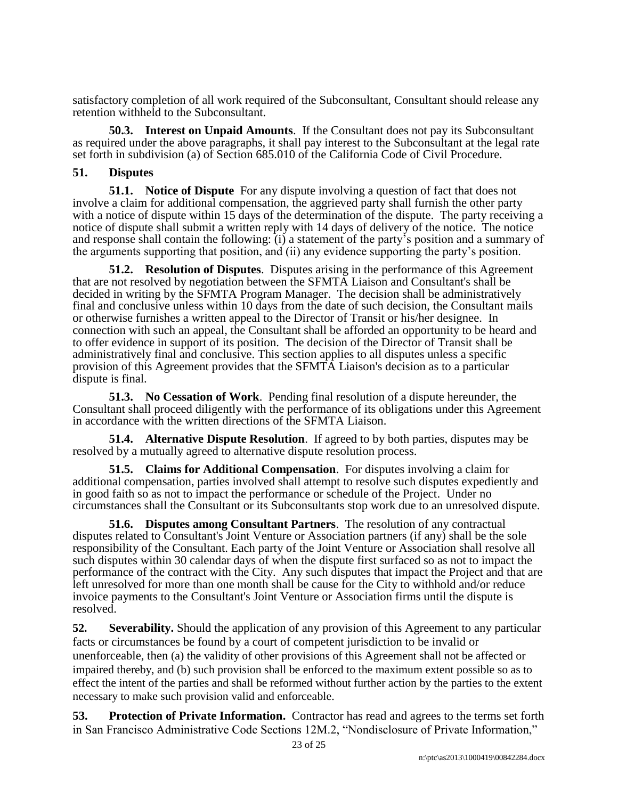satisfactory completion of all work required of the Subconsultant, Consultant should release any retention withheld to the Subconsultant.

**50.3. Interest on Unpaid Amounts**. If the Consultant does not pay its Subconsultant as required under the above paragraphs, it shall pay interest to the Subconsultant at the legal rate set forth in subdivision (a) of Section 685.010 of the California Code of Civil Procedure.

## **51. Disputes**

**51.1. Notice of Dispute** For any dispute involving a question of fact that does not involve a claim for additional compensation, the aggrieved party shall furnish the other party with a notice of dispute within 15 days of the determination of the dispute. The party receiving a notice of dispute shall submit a written reply with 14 days of delivery of the notice. The notice and response shall contain the following: (i) a statement of the party's position and a summary of the arguments supporting that position, and (ii) any evidence supporting the party's position.

**51.2. Resolution of Disputes**. Disputes arising in the performance of this Agreement that are not resolved by negotiation between the SFMTA Liaison and Consultant's shall be decided in writing by the SFMTA Program Manager. The decision shall be administratively final and conclusive unless within 10 days from the date of such decision, the Consultant mails or otherwise furnishes a written appeal to the Director of Transit or his/her designee. In connection with such an appeal, the Consultant shall be afforded an opportunity to be heard and to offer evidence in support of its position. The decision of the Director of Transit shall be administratively final and conclusive. This section applies to all disputes unless a specific provision of this Agreement provides that the SFMTA Liaison's decision as to a particular dispute is final.

**51.3. No Cessation of Work**. Pending final resolution of a dispute hereunder, the Consultant shall proceed diligently with the performance of its obligations under this Agreement in accordance with the written directions of the SFMTA Liaison.

**51.4. Alternative Dispute Resolution**. If agreed to by both parties, disputes may be resolved by a mutually agreed to alternative dispute resolution process.

**51.5. Claims for Additional Compensation**. For disputes involving a claim for additional compensation, parties involved shall attempt to resolve such disputes expediently and in good faith so as not to impact the performance or schedule of the Project. Under no circumstances shall the Consultant or its Subconsultants stop work due to an unresolved dispute.

**51.6. Disputes among Consultant Partners**. The resolution of any contractual disputes related to Consultant's Joint Venture or Association partners (if any) shall be the sole responsibility of the Consultant. Each party of the Joint Venture or Association shall resolve all such disputes within 30 calendar days of when the dispute first surfaced so as not to impact the performance of the contract with the City. Any such disputes that impact the Project and that are left unresolved for more than one month shall be cause for the City to withhold and/or reduce invoice payments to the Consultant's Joint Venture or Association firms until the dispute is resolved.

**52. Severability.** Should the application of any provision of this Agreement to any particular facts or circumstances be found by a court of competent jurisdiction to be invalid or unenforceable, then (a) the validity of other provisions of this Agreement shall not be affected or impaired thereby, and (b) such provision shall be enforced to the maximum extent possible so as to effect the intent of the parties and shall be reformed without further action by the parties to the extent necessary to make such provision valid and enforceable.

**53. Protection of Private Information.** Contractor has read and agrees to the terms set forth in San Francisco Administrative Code Sections 12M.2, "Nondisclosure of Private Information,"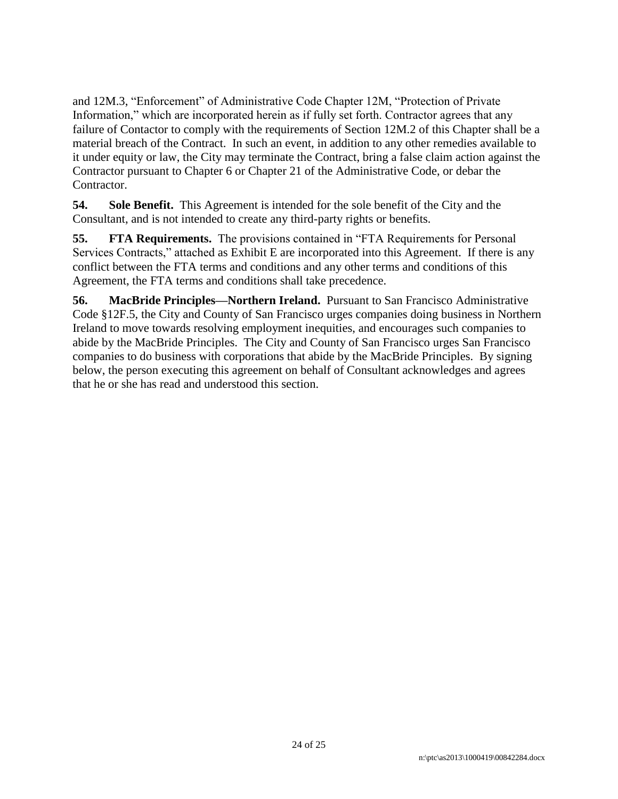and 12M.3, "Enforcement" of Administrative Code Chapter 12M, "Protection of Private Information," which are incorporated herein as if fully set forth. Contractor agrees that any failure of Contactor to comply with the requirements of Section 12M.2 of this Chapter shall be a material breach of the Contract. In such an event, in addition to any other remedies available to it under equity or law, the City may terminate the Contract, bring a false claim action against the Contractor pursuant to Chapter 6 or Chapter 21 of the Administrative Code, or debar the Contractor.

**54. Sole Benefit.** This Agreement is intended for the sole benefit of the City and the Consultant, and is not intended to create any third-party rights or benefits.

**55. FTA Requirements.** The provisions contained in "FTA Requirements for Personal Services Contracts," attached as Exhibit E are incorporated into this Agreement. If there is any conflict between the FTA terms and conditions and any other terms and conditions of this Agreement, the FTA terms and conditions shall take precedence.

**56. MacBride Principles—Northern Ireland.** Pursuant to San Francisco Administrative Code §12F.5, the City and County of San Francisco urges companies doing business in Northern Ireland to move towards resolving employment inequities, and encourages such companies to abide by the MacBride Principles. The City and County of San Francisco urges San Francisco companies to do business with corporations that abide by the MacBride Principles. By signing below, the person executing this agreement on behalf of Consultant acknowledges and agrees that he or she has read and understood this section.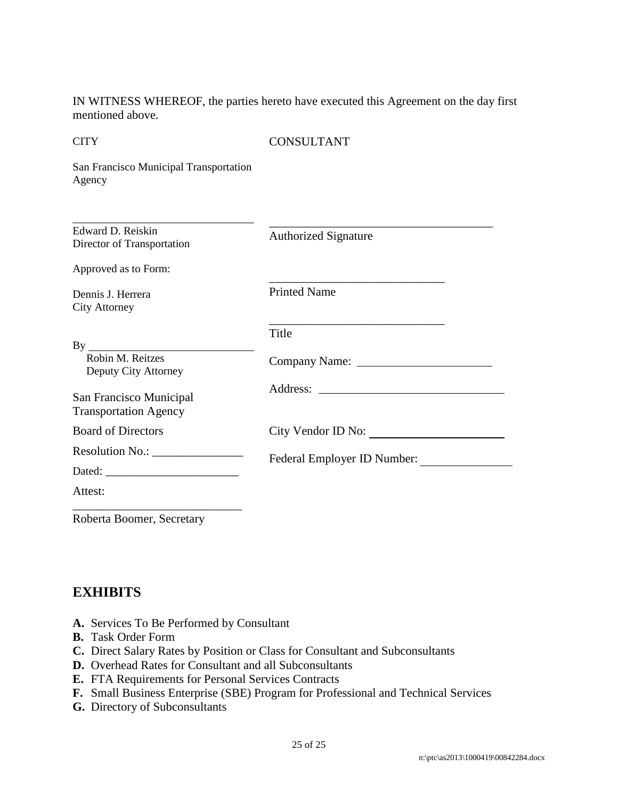IN WITNESS WHEREOF, the parties hereto have executed this Agreement on the day first mentioned above.

**CITY** 

CONSULTANT

San Francisco Municipal Transportation Agency

| <b>Printed Name</b>         |
|-----------------------------|
| Title                       |
|                             |
|                             |
| City Vendor ID No:          |
| Federal Employer ID Number: |
|                             |
|                             |
|                             |

Roberta Boomer, Secretary

# **EXHIBITS**

- **A.** Services To Be Performed by Consultant
- **B.** Task Order Form
- **C.** Direct Salary Rates by Position or Class for Consultant and Subconsultants
- **D.** Overhead Rates for Consultant and all Subconsultants
- **E.** FTA Requirements for Personal Services Contracts
- **F.** Small Business Enterprise (SBE) Program for Professional and Technical Services
- **G.** Directory of Subconsultants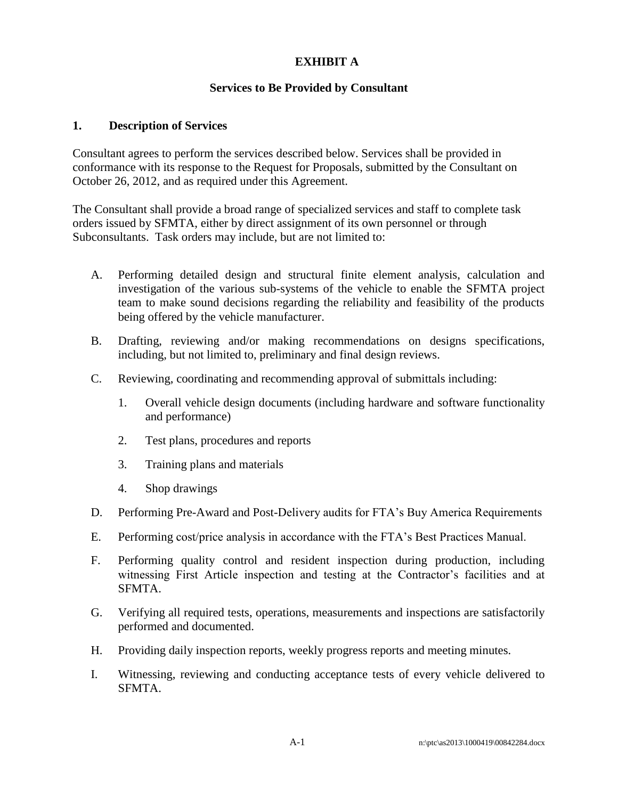# **EXHIBIT A**

## **Services to Be Provided by Consultant**

#### **1. Description of Services**

Consultant agrees to perform the services described below. Services shall be provided in conformance with its response to the Request for Proposals, submitted by the Consultant on October 26, 2012, and as required under this Agreement.

The Consultant shall provide a broad range of specialized services and staff to complete task orders issued by SFMTA, either by direct assignment of its own personnel or through Subconsultants. Task orders may include, but are not limited to:

- A. Performing detailed design and structural finite element analysis, calculation and investigation of the various sub-systems of the vehicle to enable the SFMTA project team to make sound decisions regarding the reliability and feasibility of the products being offered by the vehicle manufacturer.
- B. Drafting, reviewing and/or making recommendations on designs specifications, including, but not limited to, preliminary and final design reviews.
- C. Reviewing, coordinating and recommending approval of submittals including:
	- 1. Overall vehicle design documents (including hardware and software functionality and performance)
	- 2. Test plans, procedures and reports
	- 3. Training plans and materials
	- 4. Shop drawings
- D. Performing Pre-Award and Post-Delivery audits for FTA's Buy America Requirements
- E. Performing cost/price analysis in accordance with the FTA's Best Practices Manual.
- F. Performing quality control and resident inspection during production, including witnessing First Article inspection and testing at the Contractor's facilities and at SFMTA.
- G. Verifying all required tests, operations, measurements and inspections are satisfactorily performed and documented.
- H. Providing daily inspection reports, weekly progress reports and meeting minutes.
- I. Witnessing, reviewing and conducting acceptance tests of every vehicle delivered to SFMTA.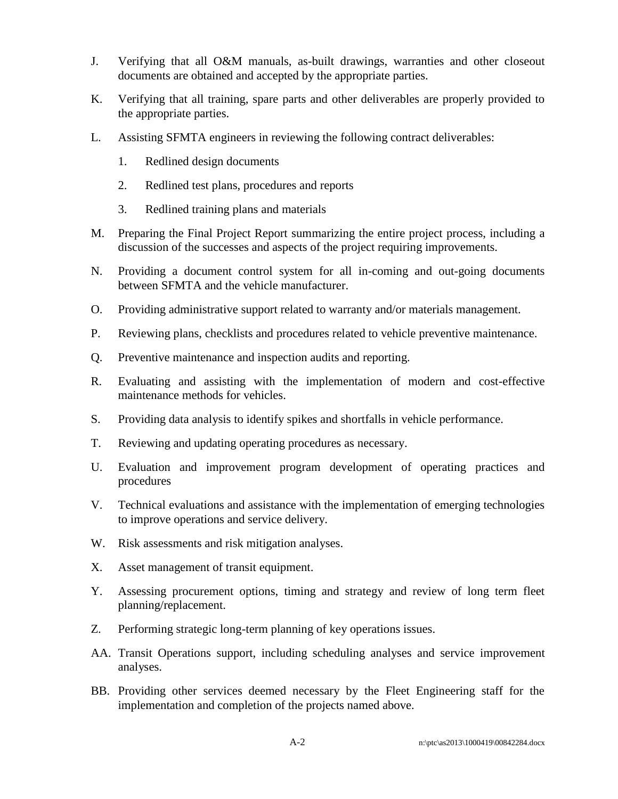- J. Verifying that all O&M manuals, as-built drawings, warranties and other closeout documents are obtained and accepted by the appropriate parties.
- K. Verifying that all training, spare parts and other deliverables are properly provided to the appropriate parties.
- L. Assisting SFMTA engineers in reviewing the following contract deliverables:
	- 1. Redlined design documents
	- 2. Redlined test plans, procedures and reports
	- 3. Redlined training plans and materials
- M. Preparing the Final Project Report summarizing the entire project process, including a discussion of the successes and aspects of the project requiring improvements.
- N. Providing a document control system for all in-coming and out-going documents between SFMTA and the vehicle manufacturer.
- O. Providing administrative support related to warranty and/or materials management.
- P. Reviewing plans, checklists and procedures related to vehicle preventive maintenance.
- Q. Preventive maintenance and inspection audits and reporting.
- R. Evaluating and assisting with the implementation of modern and cost-effective maintenance methods for vehicles.
- S. Providing data analysis to identify spikes and shortfalls in vehicle performance.
- T. Reviewing and updating operating procedures as necessary.
- U. Evaluation and improvement program development of operating practices and procedures
- V. Technical evaluations and assistance with the implementation of emerging technologies to improve operations and service delivery.
- W. Risk assessments and risk mitigation analyses.
- X. Asset management of transit equipment.
- Y. Assessing procurement options, timing and strategy and review of long term fleet planning/replacement.
- Z. Performing strategic long-term planning of key operations issues.
- AA. Transit Operations support, including scheduling analyses and service improvement analyses.
- BB. Providing other services deemed necessary by the Fleet Engineering staff for the implementation and completion of the projects named above.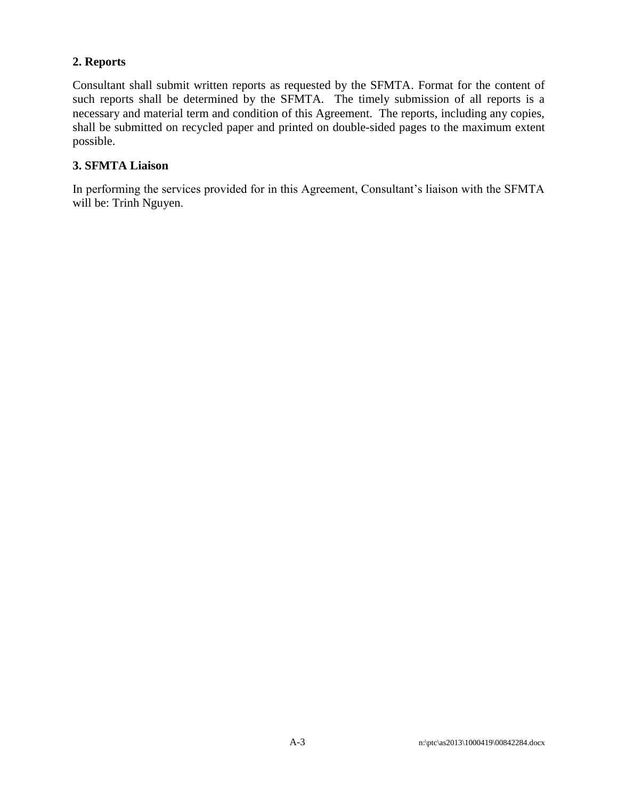# **2. Reports**

Consultant shall submit written reports as requested by the SFMTA. Format for the content of such reports shall be determined by the SFMTA. The timely submission of all reports is a necessary and material term and condition of this Agreement. The reports, including any copies, shall be submitted on recycled paper and printed on double-sided pages to the maximum extent possible.

# **3. SFMTA Liaison**

In performing the services provided for in this Agreement, Consultant's liaison with the SFMTA will be: Trinh Nguyen.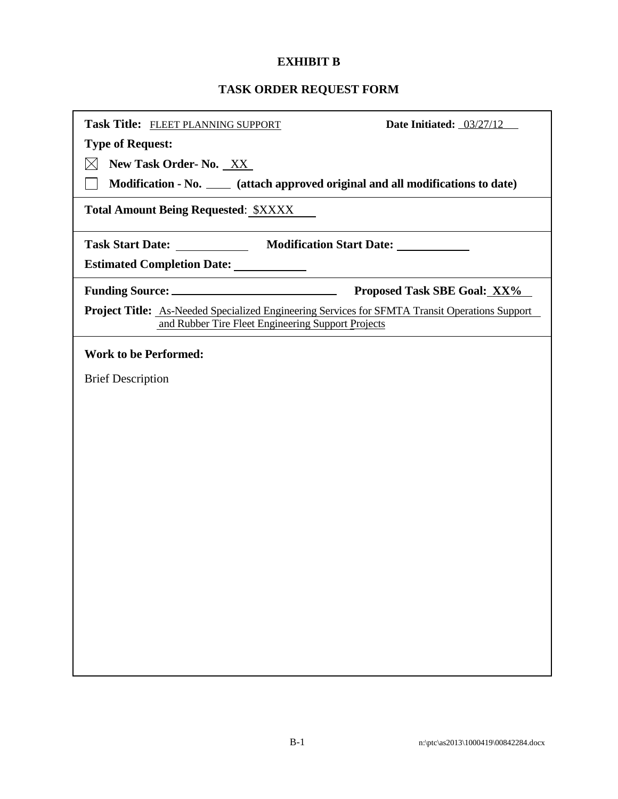# **EXHIBIT B**

# **TASK ORDER REQUEST FORM**

| Task Title: FLEET PLANNING SUPPORT<br>Date Initiated: 03/27/12                                                                                              |
|-------------------------------------------------------------------------------------------------------------------------------------------------------------|
| <b>Type of Request:</b>                                                                                                                                     |
| New Task Order- No. XX                                                                                                                                      |
| Modification - No. _____ (attach approved original and all modifications to date)                                                                           |
| <b>Total Amount Being Requested: \$XXXX</b>                                                                                                                 |
| Task Start Date: _______________ Modification Start Date: _____________                                                                                     |
| <b>Estimated Completion Date:</b>                                                                                                                           |
| <b>Proposed Task SBE Goal: XX%</b>                                                                                                                          |
| <b>Project Title:</b> As-Needed Specialized Engineering Services for SFMTA Transit Operations Support<br>and Rubber Tire Fleet Engineering Support Projects |
| <b>Work to be Performed:</b>                                                                                                                                |
| <b>Brief Description</b>                                                                                                                                    |
|                                                                                                                                                             |
|                                                                                                                                                             |
|                                                                                                                                                             |
|                                                                                                                                                             |
|                                                                                                                                                             |
|                                                                                                                                                             |
|                                                                                                                                                             |
|                                                                                                                                                             |
|                                                                                                                                                             |
|                                                                                                                                                             |
|                                                                                                                                                             |
|                                                                                                                                                             |
|                                                                                                                                                             |
|                                                                                                                                                             |
|                                                                                                                                                             |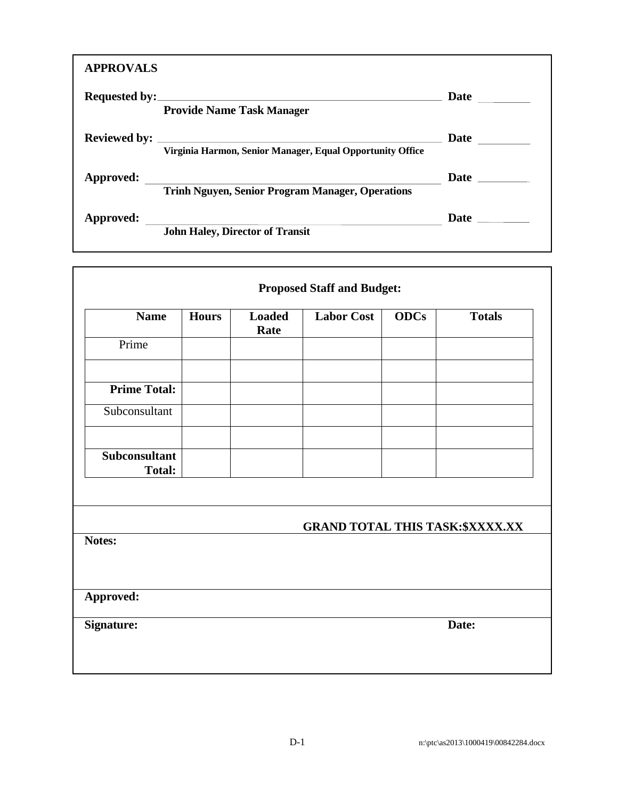| <b>APPROVALS</b> |                                                           |                                                                                                                                                                                                                                      |
|------------------|-----------------------------------------------------------|--------------------------------------------------------------------------------------------------------------------------------------------------------------------------------------------------------------------------------------|
|                  | <b>Provide Name Task Manager</b>                          | Date $\qquad \qquad \qquad$                                                                                                                                                                                                          |
|                  | Virginia Harmon, Senior Manager, Equal Opportunity Office | Date $\qquad \qquad$                                                                                                                                                                                                                 |
| Approved:        | <b>Trinh Nguyen, Senior Program Manager, Operations</b>   | Date <u>and the set of the set of the set of the set of the set of the set of the set of the set of the set of the set of the set of the set of the set of the set of the set of the set of the set of the set of the set of the</u> |
| Approved:        | <b>John Haley, Director of Transit</b>                    | <b>Date</b>                                                                                                                                                                                                                          |

| <b>Name</b>                    | <b>Hours</b> | <b>Loaded</b><br>Rate | <b>Labor Cost</b>                       | <b>ODCs</b> | <b>Totals</b> |
|--------------------------------|--------------|-----------------------|-----------------------------------------|-------------|---------------|
| Prime                          |              |                       |                                         |             |               |
| <b>Prime Total:</b>            |              |                       |                                         |             |               |
| Subconsultant                  |              |                       |                                         |             |               |
| Subconsultant<br><b>Total:</b> |              |                       |                                         |             |               |
| Notes:                         |              |                       | <b>GRAND TOTAL THIS TASK: \$XXXX.XX</b> |             |               |
| Approved:                      |              |                       |                                         |             |               |
|                                |              |                       |                                         | Date:       |               |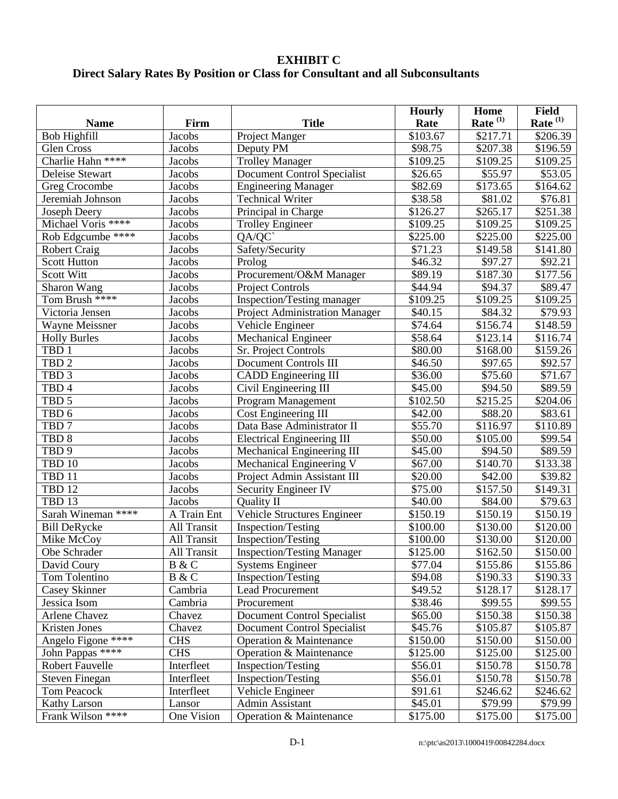# **EXHIBIT C Direct Salary Rates By Position or Class for Consultant and all Subconsultants**

|                              |                    |                                       | <b>Hourly</b>        | Home                 | <b>Field</b>  |
|------------------------------|--------------------|---------------------------------------|----------------------|----------------------|---------------|
| <b>Name</b>                  | Firm               | <b>Title</b>                          | Rate                 | Rate $(1)$           | Rate $^{(1)}$ |
| Bob Highfill                 | Jacobs             | Project Manger                        | \$103.67             | \$217.71             | \$206.39      |
| Glen Cross                   | Jacobs             | Deputy PM                             | \$98.75              | $\overline{$}207.38$ | \$196.59      |
| Charlie Hahn ****            | Jacobs             | <b>Trolley Manager</b>                | $\overline{$}109.25$ | \$109.25             | \$109.25      |
| Deleise Stewart              | Jacobs             | <b>Document Control Specialist</b>    | \$26.65              | \$55.97              | \$53.05       |
| Greg Crocombe                | Jacobs             | <b>Engineering Manager</b>            | \$82.69              | \$173.65             | \$164.62      |
| Jeremiah Johnson             | Jacobs             | <b>Technical Writer</b>               | \$38.58              | \$81.02              | \$76.81       |
| Joseph Deery                 | Jacobs             | Principal in Charge                   | \$126.27             | \$265.17             | \$251.38      |
| Michael Voris ****           | Jacobs             | <b>Trolley Engineer</b>               | \$109.25             | \$109.25             | \$109.25      |
| Rob Edgcumbe <sup>****</sup> | Jacobs             | QA/QC                                 | \$225.00             | \$225.00             | \$225.00      |
| <b>Robert Craig</b>          | Jacobs             | Safety/Security                       | \$71.23              | \$149.58             | \$141.80      |
| <b>Scott Hutton</b>          | Jacobs             | Prolog                                | \$46.32              | \$97.27              | \$92.21       |
| <b>Scott Witt</b>            | Jacobs             | Procurement/O&M Manager               | \$89.19              | \$187.30             | \$177.56      |
| Sharon Wang                  | Jacobs             | <b>Project Controls</b>               | \$44.94              | \$94.37              | \$89.47       |
| Tom Brush ****               | Jacobs             | Inspection/Testing manager            | \$109.25             | \$109.25             | \$109.25      |
| Victoria Jensen              | Jacobs             | <b>Project Administration Manager</b> | \$40.15              | \$84.32              | \$79.93       |
| Wayne Meissner               | Jacobs             | Vehicle Engineer                      | \$74.64              | $\overline{$}156.74$ | \$148.59      |
| <b>Holly Burles</b>          | Jacobs             | <b>Mechanical Engineer</b>            | \$58.64              | \$123.14             | \$116.74      |
| TBD <sub>1</sub>             | Jacobs             | Sr. Project Controls                  | \$80.00              | $\overline{$}168.00$ | \$159.26      |
| TBD <sub>2</sub>             | <b>Jacobs</b>      | Document Controls III                 | \$46.50              | \$97.65              | \$92.57       |
| TBD <sub>3</sub>             | Jacobs             | <b>CADD</b> Engineering III           | \$36.00              | \$75.60              | \$71.67       |
| TBD <sub>4</sub>             | Jacobs             | Civil Engineering III                 | \$45.00              | \$94.50              | \$89.59       |
| TBD 5                        | Jacobs             | Program Management                    | \$102.50             | \$215.25             | \$204.06      |
| TBD 6                        | Jacobs             | Cost Engineering III                  | \$42.00              | \$88.20              | \$83.61       |
| TBD <sub>7</sub>             | Jacobs             | Data Base Administrator II            | \$55.70              | \$116.97             | \$110.89      |
| TBD <sub>8</sub>             | Jacobs             | <b>Electrical Engineering III</b>     | $\overline{$}50.00$  | \$105.00             | \$99.54       |
| TBD <sub>9</sub>             | Jacobs             | Mechanical Engineering III            | \$45.00              | \$94.50              | \$89.59       |
| <b>TBD 10</b>                | Jacobs             | Mechanical Engineering V              | \$67.00              | \$140.70             | \$133.38      |
| TBD 11                       | Jacobs             | Project Admin Assistant III           | \$20.00              | \$42.00              | \$39.82       |
| TBD <sub>12</sub>            | Jacobs             | <b>Security Engineer IV</b>           | \$75.00              | \$157.50             | \$149.31      |
| TBD <sub>13</sub>            | <b>Jacobs</b>      | Quality II                            | \$40.00              | \$84.00              | \$79.63       |
| Sarah Wineman ****           | A Train Ent        | Vehicle Structures Engineer           | \$150.19             | \$150.19             | \$150.19      |
| <b>Bill DeRycke</b>          | All Transit        | Inspection/Testing                    | \$100.00             | $\overline{$}130.00$ | \$120.00      |
| Mike McCoy                   | <b>All Transit</b> | Inspection/Testing                    | \$100.00             | \$130.00             | \$120.00      |
| Obe Schrader                 | All Transit        | <b>Inspection/Testing Manager</b>     | \$125.00             | \$162.50             | \$150.00      |
| David Coury                  | B & C              | <b>Systems Engineer</b>               | \$77.04              | \$155.86             | \$155.86      |
| Tom Tolentino                | B & C              | Inspection/Testing                    | \$94.08              | \$190.33             | \$190.33      |
| Casey Skinner                | Cambria            | <b>Lead Procurement</b>               | \$49.52              | \$128.17             | \$128.17      |
| Jessica Isom                 | Cambria            | Procurement                           | \$38.46              | \$99.55              | \$99.55       |
| Arlene Chavez                | Chavez             | <b>Document Control Specialist</b>    | \$65.00              | \$150.38             | \$150.38      |
| Kristen Jones                | Chavez             | <b>Document Control Specialist</b>    | \$45.76              | \$105.87             | \$105.87      |
| Angelo Figone ****           | <b>CHS</b>         | Operation & Maintenance               | \$150.00             | \$150.00             | \$150.00      |
| John Pappas ****             | <b>CHS</b>         | Operation & Maintenance               | \$125.00             | \$125.00             | \$125.00      |
| Robert Fauvelle              | Interfleet         | Inspection/Testing                    | \$56.01              | \$150.78             | \$150.78      |
| <b>Steven Finegan</b>        | Interfleet         | Inspection/Testing                    | \$56.01              | \$150.78             | \$150.78      |
| Tom Peacock                  | Interfleet         | Vehicle Engineer                      | \$91.61              | \$246.62             | \$246.62      |
| <b>Kathy Larson</b>          | Lansor             | Admin Assistant                       | \$45.01              | \$79.99              | \$79.99       |
| Frank Wilson ****            | One Vision         | Operation & Maintenance               | \$175.00             | \$175.00             | \$175.00      |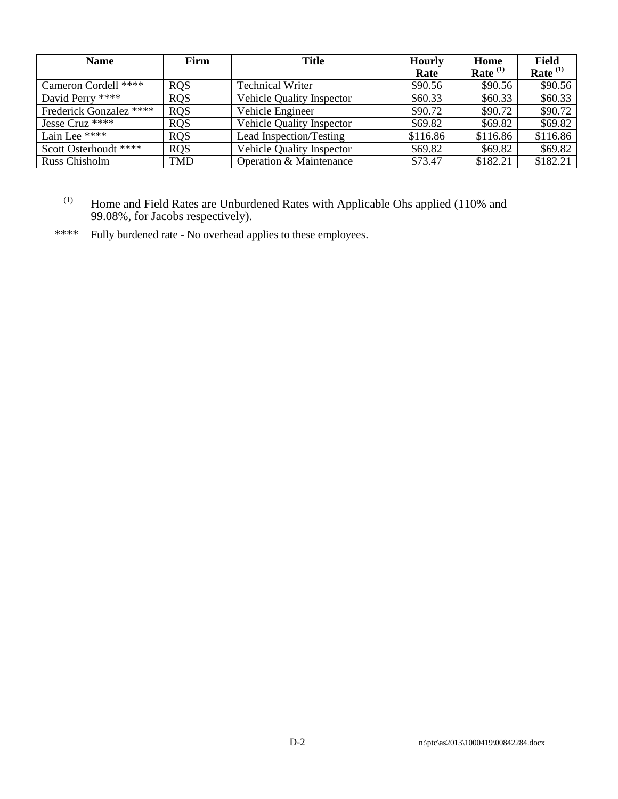| Firm<br><b>Name</b>     |            | Title                            | <b>Hourly</b> | Home       | Field      |  |
|-------------------------|------------|----------------------------------|---------------|------------|------------|--|
|                         |            |                                  | Rate          | Rate $(1)$ | Rate $(1)$ |  |
| Cameron Cordell ****    | <b>ROS</b> | <b>Technical Writer</b>          | \$90.56       | \$90.56    | \$90.56    |  |
| David Perry ****        | <b>ROS</b> | <b>Vehicle Quality Inspector</b> | \$60.33       | \$60.33    | \$60.33    |  |
| Frederick Gonzalez **** | <b>ROS</b> | Vehicle Engineer                 | \$90.72       | \$90.72    | \$90.72    |  |
| Jesse Cruz ****         | <b>ROS</b> | <b>Vehicle Quality Inspector</b> | \$69.82       | \$69.82    | \$69.82    |  |
| Lain Lee ****           | <b>ROS</b> | Lead Inspection/Testing          | \$116.86      | \$116.86   | \$116.86   |  |
| Scott Osterhoudt ****   | <b>RQS</b> | Vehicle Quality Inspector        | \$69.82       | \$69.82    | \$69.82    |  |
| Russ Chisholm           | <b>TMD</b> | Operation & Maintenance          | \$73.47       | \$182.21   | \$182.21   |  |

### $(1)$  Home and Field Rates are Unburdened Rates with Applicable Ohs applied (110% and 99.08%, for Jacobs respectively).

\*\*\*\* Fully burdened rate - No overhead applies to these employees.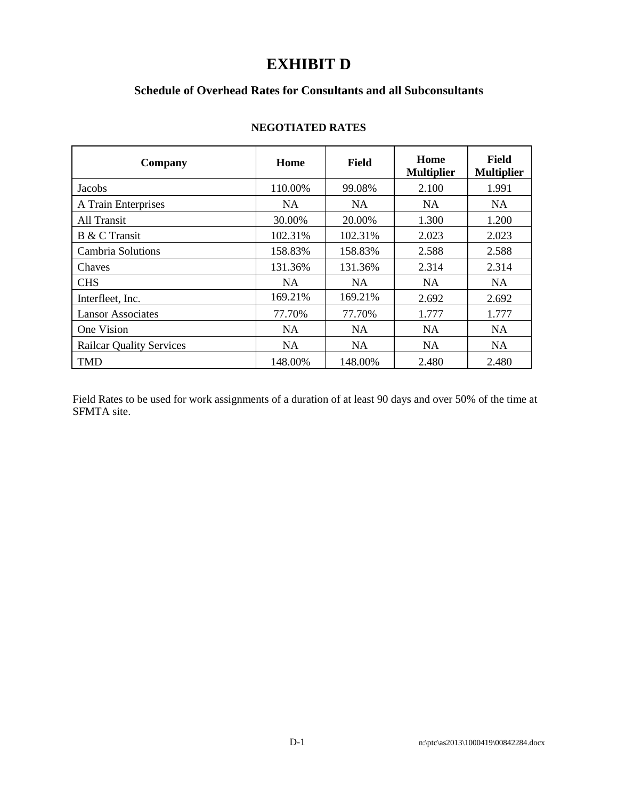# **EXHIBIT D**

# **Schedule of Overhead Rates for Consultants and all Subconsultants**

| Company                         | Home      | <b>Field</b> | Home<br><b>Multiplier</b> | Field<br><b>Multiplier</b> |
|---------------------------------|-----------|--------------|---------------------------|----------------------------|
| Jacobs                          | 110.00%   | 99.08%       | 2.100                     | 1.991                      |
| A Train Enterprises             | NA.       | NA.          | <b>NA</b>                 | <b>NA</b>                  |
| All Transit                     | 30.00%    | 20.00%       | 1.300                     | 1.200                      |
| B & C Transit                   | 102.31%   | 102.31%      | 2.023                     | 2.023                      |
| <b>Cambria Solutions</b>        | 158.83%   | 158.83%      | 2.588                     | 2.588                      |
| Chaves                          | 131.36%   | 131.36%      | 2.314                     | 2.314                      |
| <b>CHS</b>                      | NA.       | NA.          | <b>NA</b>                 | <b>NA</b>                  |
| Interfleet, Inc.                | 169.21%   | 169.21%      | 2.692                     | 2.692                      |
| <b>Lansor Associates</b>        | 77.70%    | 77.70%       | 1.777                     | 1.777                      |
| One Vision                      | <b>NA</b> | <b>NA</b>    | <b>NA</b>                 | <b>NA</b>                  |
| <b>Railcar Quality Services</b> | <b>NA</b> | <b>NA</b>    | <b>NA</b>                 | <b>NA</b>                  |
| <b>TMD</b>                      | 148.00%   | 148.00%      | 2.480                     | 2.480                      |

#### **NEGOTIATED RATES**

Field Rates to be used for work assignments of a duration of at least 90 days and over 50% of the time at SFMTA site.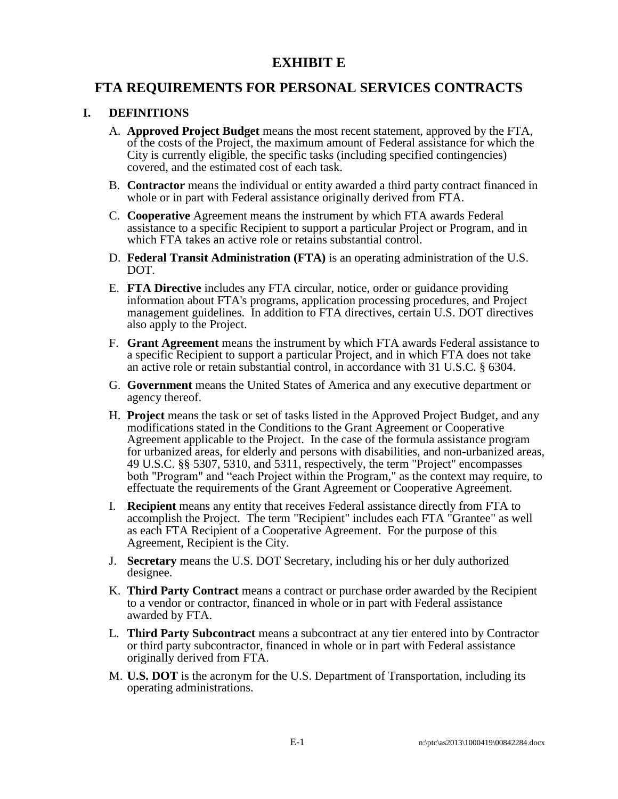# **EXHIBIT E**

# **FTA REQUIREMENTS FOR PERSONAL SERVICES CONTRACTS**

## **I. DEFINITIONS**

- A. **Approved Project Budget** means the most recent statement, approved by the FTA, of the costs of the Project, the maximum amount of Federal assistance for which the City is currently eligible, the specific tasks (including specified contingencies) covered, and the estimated cost of each task.
- B. **Contractor** means the individual or entity awarded a third party contract financed in whole or in part with Federal assistance originally derived from FTA.
- C. **Cooperative** Agreement means the instrument by which FTA awards Federal assistance to a specific Recipient to support a particular Project or Program, and in which FTA takes an active role or retains substantial control.
- D. **Federal Transit Administration (FTA)** is an operating administration of the U.S. DOT.
- E. **FTA Directive** includes any FTA circular, notice, order or guidance providing information about FTA's programs, application processing procedures, and Project management guidelines. In addition to FTA directives, certain U.S. DOT directives also apply to the Project.
- F. **Grant Agreement** means the instrument by which FTA awards Federal assistance to a specific Recipient to support a particular Project, and in which FTA does not take an active role or retain substantial control, in accordance with 31 U.S.C. § 6304.
- G. **Government** means the United States of America and any executive department or agency thereof.
- H. **Project** means the task or set of tasks listed in the Approved Project Budget, and any modifications stated in the Conditions to the Grant Agreement or Cooperative Agreement applicable to the Project. In the case of the formula assistance program for urbanized areas, for elderly and persons with disabilities, and non-urbanized areas, 49 U.S.C. §§ 5307, 5310, and 5311, respectively, the term "Project" encompasses both "Program" and "each Project within the Program," as the context may require, to effectuate the requirements of the Grant Agreement or Cooperative Agreement.
- I. **Recipient** means any entity that receives Federal assistance directly from FTA to accomplish the Project. The term "Recipient" includes each FTA "Grantee" as well as each FTA Recipient of a Cooperative Agreement. For the purpose of this Agreement, Recipient is the City.
- J. **Secretary** means the U.S. DOT Secretary, including his or her duly authorized designee.
- K. **Third Party Contract** means a contract or purchase order awarded by the Recipient to a vendor or contractor, financed in whole or in part with Federal assistance awarded by FTA.
- L. **Third Party Subcontract** means a subcontract at any tier entered into by Contractor or third party subcontractor, financed in whole or in part with Federal assistance originally derived from FTA.
- M. **U.S. DOT** is the acronym for the U.S. Department of Transportation, including its operating administrations.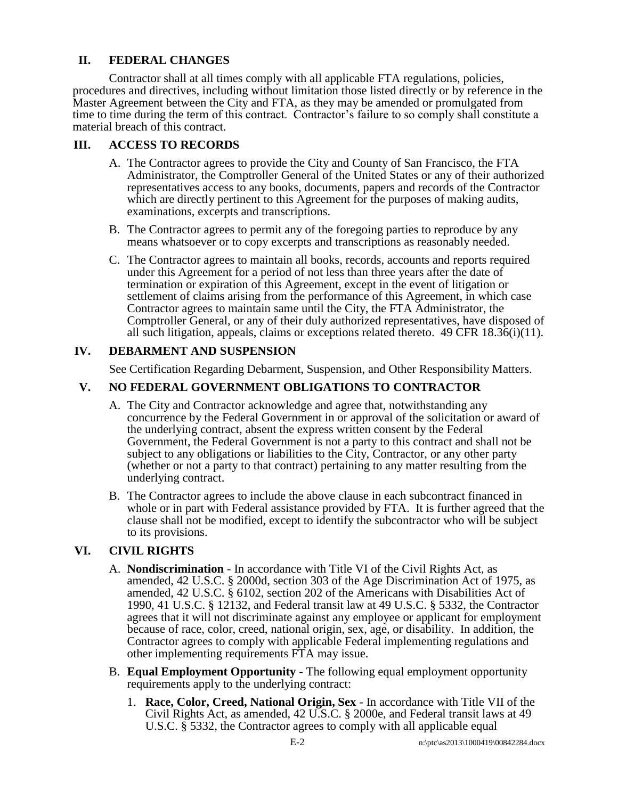# **II. FEDERAL CHANGES**

Contractor shall at all times comply with all applicable FTA regulations, policies, procedures and directives, including without limitation those listed directly or by reference in the Master Agreement between the City and FTA, as they may be amended or promulgated from time to time during the term of this contract. Contractor's failure to so comply shall constitute a material breach of this contract.

## **III. ACCESS TO RECORDS**

- A. The Contractor agrees to provide the City and County of San Francisco, the FTA Administrator, the Comptroller General of the United States or any of their authorized representatives access to any books, documents, papers and records of the Contractor which are directly pertinent to this Agreement for the purposes of making audits, examinations, excerpts and transcriptions.
- B. The Contractor agrees to permit any of the foregoing parties to reproduce by any means whatsoever or to copy excerpts and transcriptions as reasonably needed.
- C. The Contractor agrees to maintain all books, records, accounts and reports required under this Agreement for a period of not less than three years after the date of termination or expiration of this Agreement, except in the event of litigation or settlement of claims arising from the performance of this Agreement, in which case Contractor agrees to maintain same until the City, the FTA Administrator, the Comptroller General, or any of their duly authorized representatives, have disposed of all such litigation, appeals, claims or exceptions related thereto.  $49$  CFR  $18.36(i)(11)$ .

## **IV. DEBARMENT AND SUSPENSION**

See Certification Regarding Debarment, Suspension, and Other Responsibility Matters.

## **V. NO FEDERAL GOVERNMENT OBLIGATIONS TO CONTRACTOR**

- A. The City and Contractor acknowledge and agree that, notwithstanding any concurrence by the Federal Government in or approval of the solicitation or award of the underlying contract, absent the express written consent by the Federal Government, the Federal Government is not a party to this contract and shall not be subject to any obligations or liabilities to the City, Contractor, or any other party (whether or not a party to that contract) pertaining to any matter resulting from the underlying contract.
- B. The Contractor agrees to include the above clause in each subcontract financed in whole or in part with Federal assistance provided by FTA. It is further agreed that the clause shall not be modified, except to identify the subcontractor who will be subject to its provisions.

# **VI. CIVIL RIGHTS**

- A. **Nondiscrimination** In accordance with Title VI of the Civil Rights Act, as amended, 42 U.S.C. § 2000d, section 303 of the Age Discrimination Act of 1975, as amended, 42 U.S.C. § 6102, section 202 of the Americans with Disabilities Act of 1990, 41 U.S.C. § 12132, and Federal transit law at 49 U.S.C. § 5332, the Contractor agrees that it will not discriminate against any employee or applicant for employment because of race, color, creed, national origin, sex, age, or disability. In addition, the Contractor agrees to comply with applicable Federal implementing regulations and other implementing requirements FTA may issue.
- B. **Equal Employment Opportunity** The following equal employment opportunity requirements apply to the underlying contract:
	- 1. **Race, Color, Creed, National Origin, Sex** In accordance with Title VII of the Civil Rights Act, as amended, 42 U.S.C. § 2000e, and Federal transit laws at 49 U.S.C. § 5332, the Contractor agrees to comply with all applicable equal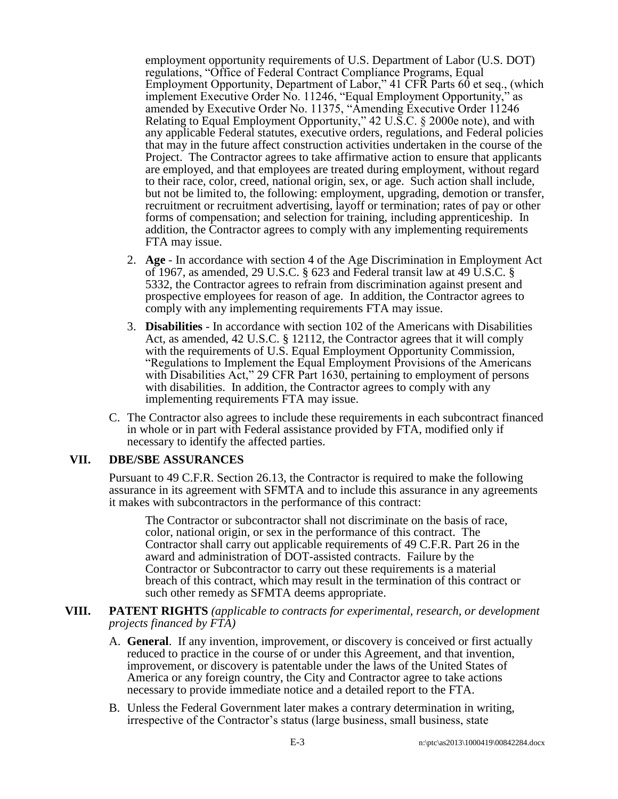employment opportunity requirements of U.S. Department of Labor (U.S. DOT) regulations, "Office of Federal Contract Compliance Programs, Equal Employment Opportunity, Department of Labor," 41 CFR Parts 60 et seq., (which implement Executive Order No. 11246, "Equal Employment Opportunity," as amended by Executive Order No. 11375, "Amending Executive Order 11246 Relating to Equal Employment Opportunity," 42 U.S.C. § 2000e note), and with any applicable Federal statutes, executive orders, regulations, and Federal policies that may in the future affect construction activities undertaken in the course of the Project. The Contractor agrees to take affirmative action to ensure that applicants are employed, and that employees are treated during employment, without regard to their race, color, creed, national origin, sex, or age. Such action shall include, but not be limited to, the following: employment, upgrading, demotion or transfer, recruitment or recruitment advertising, layoff or termination; rates of pay or other forms of compensation; and selection for training, including apprenticeship. In addition, the Contractor agrees to comply with any implementing requirements FTA may issue.

- 2. **Age** In accordance with section 4 of the Age Discrimination in Employment Act of 1967, as amended, 29 U.S.C. § 623 and Federal transit law at 49 U.S.C. § 5332, the Contractor agrees to refrain from discrimination against present and prospective employees for reason of age. In addition, the Contractor agrees to comply with any implementing requirements FTA may issue.
- 3. **Disabilities** In accordance with section 102 of the Americans with Disabilities Act, as amended, 42 U.S.C. § 12112, the Contractor agrees that it will comply with the requirements of U.S. Equal Employment Opportunity Commission, "Regulations to Implement the Equal Employment Provisions of the Americans with Disabilities Act," 29 CFR Part 1630, pertaining to employment of persons with disabilities. In addition, the Contractor agrees to comply with any implementing requirements FTA may issue.
- C. The Contractor also agrees to include these requirements in each subcontract financed in whole or in part with Federal assistance provided by FTA, modified only if necessary to identify the affected parties.

#### **VII. DBE/SBE ASSURANCES**

Pursuant to 49 C.F.R. Section 26.13, the Contractor is required to make the following assurance in its agreement with SFMTA and to include this assurance in any agreements it makes with subcontractors in the performance of this contract:

The Contractor or subcontractor shall not discriminate on the basis of race, color, national origin, or sex in the performance of this contract. The Contractor shall carry out applicable requirements of 49 C.F.R. Part 26 in the award and administration of DOT-assisted contracts. Failure by the Contractor or Subcontractor to carry out these requirements is a material breach of this contract, which may result in the termination of this contract or such other remedy as SFMTA deems appropriate.

#### **VIII. PATENT RIGHTS** *(applicable to contracts for experimental, research, or development projects financed by FTA)*

- A. **General**. If any invention, improvement, or discovery is conceived or first actually reduced to practice in the course of or under this Agreement, and that invention, improvement, or discovery is patentable under the laws of the United States of America or any foreign country, the City and Contractor agree to take actions necessary to provide immediate notice and a detailed report to the FTA.
- B. Unless the Federal Government later makes a contrary determination in writing, irrespective of the Contractor's status (large business, small business, state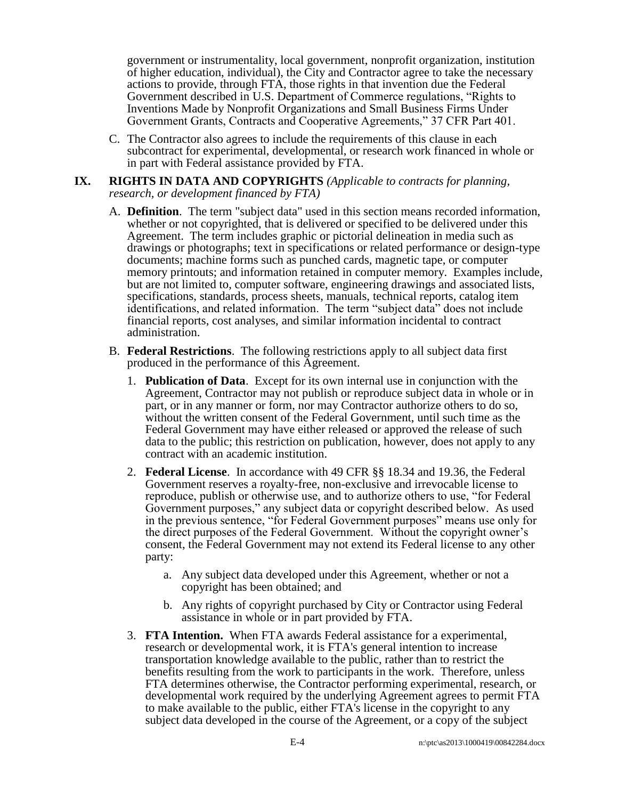government or instrumentality, local government, nonprofit organization, institution of higher education, individual), the City and Contractor agree to take the necessary actions to provide, through FTA, those rights in that invention due the Federal Government described in U.S. Department of Commerce regulations, "Rights to Inventions Made by Nonprofit Organizations and Small Business Firms Under Government Grants, Contracts and Cooperative Agreements," 37 CFR Part 401.

- C. The Contractor also agrees to include the requirements of this clause in each subcontract for experimental, developmental, or research work financed in whole or in part with Federal assistance provided by FTA.
- **IX. RIGHTS IN DATA AND COPYRIGHTS** *(Applicable to contracts for planning, research, or development financed by FTA)*
	- A. **Definition**. The term "subject data" used in this section means recorded information, whether or not copyrighted, that is delivered or specified to be delivered under this Agreement. The term includes graphic or pictorial delineation in media such as drawings or photographs; text in specifications or related performance or design-type documents; machine forms such as punched cards, magnetic tape, or computer memory printouts; and information retained in computer memory. Examples include, but are not limited to, computer software, engineering drawings and associated lists, specifications, standards, process sheets, manuals, technical reports, catalog item identifications, and related information. The term "subject data" does not include financial reports, cost analyses, and similar information incidental to contract administration.
	- B. **Federal Restrictions**. The following restrictions apply to all subject data first produced in the performance of this Agreement.
		- 1. **Publication of Data**. Except for its own internal use in conjunction with the Agreement, Contractor may not publish or reproduce subject data in whole or in part, or in any manner or form, nor may Contractor authorize others to do so, without the written consent of the Federal Government, until such time as the Federal Government may have either released or approved the release of such data to the public; this restriction on publication, however, does not apply to any contract with an academic institution.
		- 2. **Federal License**. In accordance with 49 CFR §§ 18.34 and 19.36, the Federal Government reserves a royalty-free, non-exclusive and irrevocable license to reproduce, publish or otherwise use, and to authorize others to use, "for Federal Government purposes," any subject data or copyright described below. As used in the previous sentence, "for Federal Government purposes" means use only for the direct purposes of the Federal Government. Without the copyright owner's consent, the Federal Government may not extend its Federal license to any other party:
			- a. Any subject data developed under this Agreement, whether or not a copyright has been obtained; and
			- b. Any rights of copyright purchased by City or Contractor using Federal assistance in whole or in part provided by FTA.
		- 3. **FTA Intention.** When FTA awards Federal assistance for a experimental, research or developmental work, it is FTA's general intention to increase transportation knowledge available to the public, rather than to restrict the benefits resulting from the work to participants in the work. Therefore, unless FTA determines otherwise, the Contractor performing experimental, research, or developmental work required by the underlying Agreement agrees to permit FTA to make available to the public, either FTA's license in the copyright to any subject data developed in the course of the Agreement, or a copy of the subject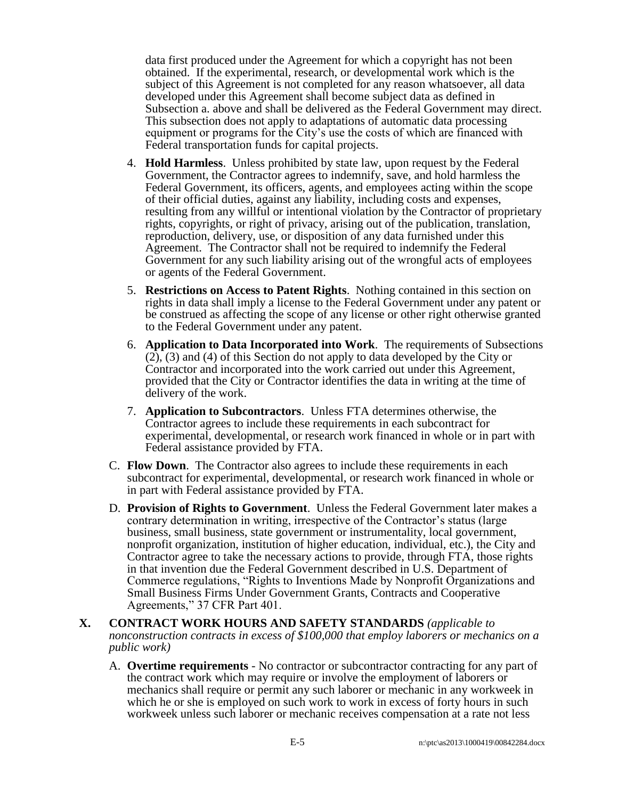data first produced under the Agreement for which a copyright has not been obtained. If the experimental, research, or developmental work which is the subject of this Agreement is not completed for any reason whatsoever, all data developed under this Agreement shall become subject data as defined in Subsection a. above and shall be delivered as the Federal Government may direct. This subsection does not apply to adaptations of automatic data processing equipment or programs for the City's use the costs of which are financed with Federal transportation funds for capital projects.

- 4. **Hold Harmless**. Unless prohibited by state law, upon request by the Federal Government, the Contractor agrees to indemnify, save, and hold harmless the Federal Government, its officers, agents, and employees acting within the scope of their official duties, against any liability, including costs and expenses, resulting from any willful or intentional violation by the Contractor of proprietary rights, copyrights, or right of privacy, arising out of the publication, translation, reproduction, delivery, use, or disposition of any data furnished under this Agreement. The Contractor shall not be required to indemnify the Federal Government for any such liability arising out of the wrongful acts of employees or agents of the Federal Government.
- 5. **Restrictions on Access to Patent Rights**. Nothing contained in this section on rights in data shall imply a license to the Federal Government under any patent or be construed as affecting the scope of any license or other right otherwise granted to the Federal Government under any patent.
- 6. **Application to Data Incorporated into Work**. The requirements of Subsections (2), (3) and (4) of this Section do not apply to data developed by the City or Contractor and incorporated into the work carried out under this Agreement, provided that the City or Contractor identifies the data in writing at the time of delivery of the work.
- 7. **Application to Subcontractors**. Unless FTA determines otherwise, the Contractor agrees to include these requirements in each subcontract for experimental, developmental, or research work financed in whole or in part with Federal assistance provided by FTA.
- C. **Flow Down**. The Contractor also agrees to include these requirements in each subcontract for experimental, developmental, or research work financed in whole or in part with Federal assistance provided by FTA.
- D. **Provision of Rights to Government**. Unless the Federal Government later makes a contrary determination in writing, irrespective of the Contractor's status (large business, small business, state government or instrumentality, local government, nonprofit organization, institution of higher education, individual, etc.), the City and Contractor agree to take the necessary actions to provide, through FTA, those rights in that invention due the Federal Government described in U.S. Department of Commerce regulations, "Rights to Inventions Made by Nonprofit Organizations and Small Business Firms Under Government Grants, Contracts and Cooperative Agreements," 37 CFR Part 401.
- **X. CONTRACT WORK HOURS AND SAFETY STANDARDS** *(applicable to nonconstruction contracts in excess of \$100,000 that employ laborers or mechanics on a public work)*
	- A. **Overtime requirements** No contractor or subcontractor contracting for any part of the contract work which may require or involve the employment of laborers or mechanics shall require or permit any such laborer or mechanic in any workweek in which he or she is employed on such work to work in excess of forty hours in such workweek unless such laborer or mechanic receives compensation at a rate not less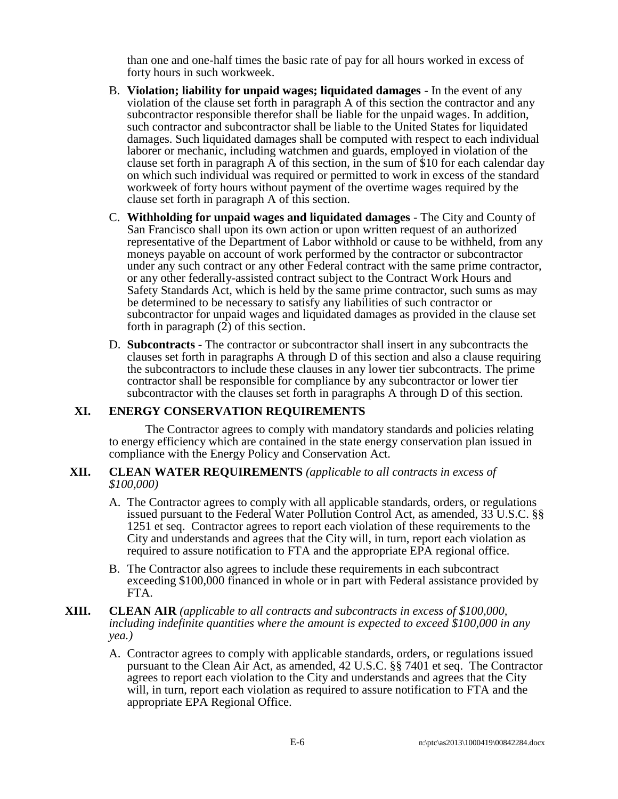than one and one-half times the basic rate of pay for all hours worked in excess of forty hours in such workweek.

- B. **Violation; liability for unpaid wages; liquidated damages**  In the event of any violation of the clause set forth in paragraph A of this section the contractor and any subcontractor responsible therefor shall be liable for the unpaid wages. In addition, such contractor and subcontractor shall be liable to the United States for liquidated damages. Such liquidated damages shall be computed with respect to each individual laborer or mechanic, including watchmen and guards, employed in violation of the clause set forth in paragraph A of this section, in the sum of \$10 for each calendar day on which such individual was required or permitted to work in excess of the standard workweek of forty hours without payment of the overtime wages required by the clause set forth in paragraph A of this section.
- C. **Withholding for unpaid wages and liquidated damages** The City and County of San Francisco shall upon its own action or upon written request of an authorized representative of the Department of Labor withhold or cause to be withheld, from any moneys payable on account of work performed by the contractor or subcontractor under any such contract or any other Federal contract with the same prime contractor, or any other federally-assisted contract subject to the Contract Work Hours and Safety Standards Act, which is held by the same prime contractor, such sums as may be determined to be necessary to satisfy any liabilities of such contractor or subcontractor for unpaid wages and liquidated damages as provided in the clause set forth in paragraph (2) of this section.
- D. **Subcontracts** The contractor or subcontractor shall insert in any subcontracts the clauses set forth in paragraphs A through D of this section and also a clause requiring the subcontractors to include these clauses in any lower tier subcontracts. The prime contractor shall be responsible for compliance by any subcontractor or lower tier subcontractor with the clauses set forth in paragraphs A through D of this section.

#### **XI. ENERGY CONSERVATION REQUIREMENTS**

The Contractor agrees to comply with mandatory standards and policies relating to energy efficiency which are contained in the state energy conservation plan issued in compliance with the Energy Policy and Conservation Act.

#### **XII. CLEAN WATER REQUIREMENTS** *(applicable to all contracts in excess of \$100,000)*

- A. The Contractor agrees to comply with all applicable standards, orders, or regulations issued pursuant to the Federal Water Pollution Control Act, as amended, 33 U.S.C. §§ 1251 et seq. Contractor agrees to report each violation of these requirements to the City and understands and agrees that the City will, in turn, report each violation as required to assure notification to FTA and the appropriate EPA regional office.
- B. The Contractor also agrees to include these requirements in each subcontract exceeding \$100,000 financed in whole or in part with Federal assistance provided by FTA.

#### **XIII. CLEAN AIR** *(applicable to all contracts and subcontracts in excess of \$100,000, including indefinite quantities where the amount is expected to exceed \$100,000 in any yea.)*

A. Contractor agrees to comply with applicable standards, orders, or regulations issued pursuant to the Clean Air Act, as amended, 42 U.S.C. §§ 7401 et seq. The Contractor agrees to report each violation to the City and understands and agrees that the City will, in turn, report each violation as required to assure notification to FTA and the appropriate EPA Regional Office.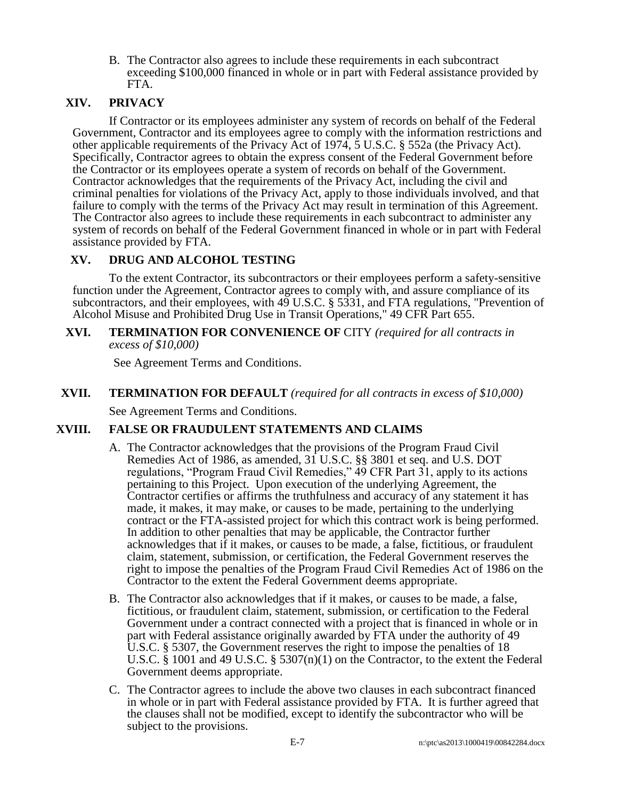B. The Contractor also agrees to include these requirements in each subcontract exceeding \$100,000 financed in whole or in part with Federal assistance provided by FTA.

# **XIV. PRIVACY**

If Contractor or its employees administer any system of records on behalf of the Federal Government, Contractor and its employees agree to comply with the information restrictions and other applicable requirements of the Privacy Act of 1974, 5 U.S.C. § 552a (the Privacy Act). Specifically, Contractor agrees to obtain the express consent of the Federal Government before the Contractor or its employees operate a system of records on behalf of the Government. Contractor acknowledges that the requirements of the Privacy Act, including the civil and criminal penalties for violations of the Privacy Act, apply to those individuals involved, and that failure to comply with the terms of the Privacy Act may result in termination of this Agreement. The Contractor also agrees to include these requirements in each subcontract to administer any system of records on behalf of the Federal Government financed in whole or in part with Federal assistance provided by FTA.

## **XV. DRUG AND ALCOHOL TESTING**

To the extent Contractor, its subcontractors or their employees perform a safety-sensitive function under the Agreement, Contractor agrees to comply with, and assure compliance of its subcontractors, and their employees, with  $4\overline{9}$  U.S.C. § 5331, and FTA regulations, "Prevention of Alcohol Misuse and Prohibited Drug Use in Transit Operations," 49 CFR Part 655.

#### **XVI. TERMINATION FOR CONVENIENCE OF** CITY *(required for all contracts in excess of \$10,000)*

See Agreement Terms and Conditions.

#### **XVII. TERMINATION FOR DEFAULT** *(required for all contracts in excess of \$10,000)*

See Agreement Terms and Conditions.

#### **XVIII. FALSE OR FRAUDULENT STATEMENTS AND CLAIMS**

- A. The Contractor acknowledges that the provisions of the Program Fraud Civil Remedies Act of 1986, as amended, 31 U.S.C. §§ 3801 et seq. and U.S. DOT regulations, "Program Fraud Civil Remedies," 49 CFR Part 31, apply to its actions pertaining to this Project. Upon execution of the underlying Agreement, the Contractor certifies or affirms the truthfulness and accuracy of any statement it has made, it makes, it may make, or causes to be made, pertaining to the underlying contract or the FTA-assisted project for which this contract work is being performed. In addition to other penalties that may be applicable, the Contractor further acknowledges that if it makes, or causes to be made, a false, fictitious, or fraudulent claim, statement, submission, or certification, the Federal Government reserves the right to impose the penalties of the Program Fraud Civil Remedies Act of 1986 on the Contractor to the extent the Federal Government deems appropriate.
- B. The Contractor also acknowledges that if it makes, or causes to be made, a false, fictitious, or fraudulent claim, statement, submission, or certification to the Federal Government under a contract connected with a project that is financed in whole or in part with Federal assistance originally awarded by FTA under the authority of 49 U.S.C. § 5307, the Government reserves the right to impose the penalties of 18 U.S.C. § 1001 and 49 U.S.C. § 5307(n)(1) on the Contractor, to the extent the Federal Government deems appropriate.
- C. The Contractor agrees to include the above two clauses in each subcontract financed in whole or in part with Federal assistance provided by FTA. It is further agreed that the clauses shall not be modified, except to identify the subcontractor who will be subject to the provisions.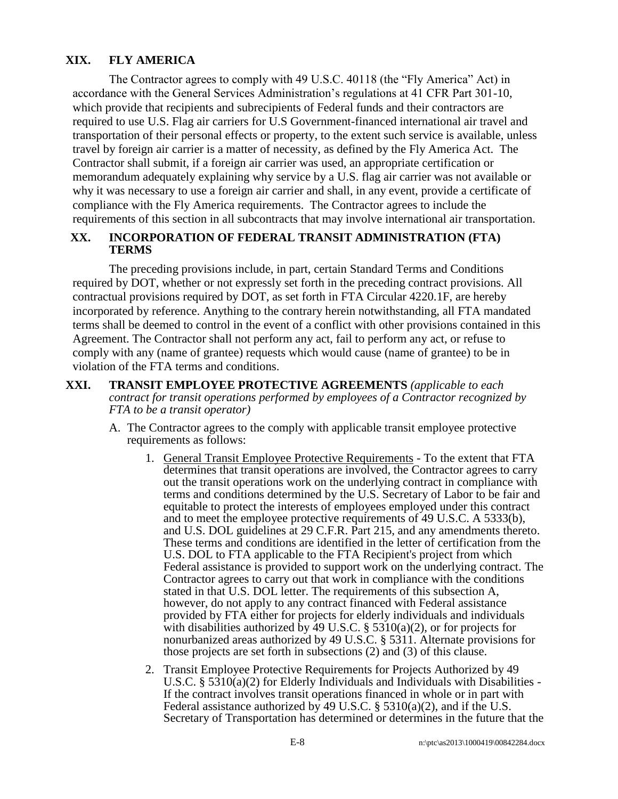# **XIX. FLY AMERICA**

The Contractor agrees to comply with 49 U.S.C. 40118 (the "Fly America" Act) in accordance with the General Services Administration's regulations at 41 CFR Part 301-10, which provide that recipients and subrecipients of Federal funds and their contractors are required to use U.S. Flag air carriers for U.S Government-financed international air travel and transportation of their personal effects or property, to the extent such service is available, unless travel by foreign air carrier is a matter of necessity, as defined by the Fly America Act. The Contractor shall submit, if a foreign air carrier was used, an appropriate certification or memorandum adequately explaining why service by a U.S. flag air carrier was not available or why it was necessary to use a foreign air carrier and shall, in any event, provide a certificate of compliance with the Fly America requirements. The Contractor agrees to include the requirements of this section in all subcontracts that may involve international air transportation.

### **XX. INCORPORATION OF FEDERAL TRANSIT ADMINISTRATION (FTA) TERMS**

The preceding provisions include, in part, certain Standard Terms and Conditions required by DOT, whether or not expressly set forth in the preceding contract provisions. All contractual provisions required by DOT, as set forth in FTA Circular 4220.1F, are hereby incorporated by reference. Anything to the contrary herein notwithstanding, all FTA mandated terms shall be deemed to control in the event of a conflict with other provisions contained in this Agreement. The Contractor shall not perform any act, fail to perform any act, or refuse to comply with any (name of grantee) requests which would cause (name of grantee) to be in violation of the FTA terms and conditions.

- **XXI. TRANSIT EMPLOYEE PROTECTIVE AGREEMENTS** *(applicable to each contract for transit operations performed by employees of a Contractor recognized by FTA to be a transit operator)*
	- A. The Contractor agrees to the comply with applicable transit employee protective requirements as follows:
		- 1. General Transit Employee Protective Requirements To the extent that FTA determines that transit operations are involved, the Contractor agrees to carry out the transit operations work on the underlying contract in compliance with terms and conditions determined by the U.S. Secretary of Labor to be fair and equitable to protect the interests of employees employed under this contract and to meet the employee protective requirements of 49 U.S.C. A 5333(b), and U.S. DOL guidelines at 29 C.F.R. Part 215, and any amendments thereto. These terms and conditions are identified in the letter of certification from the U.S. DOL to FTA applicable to the FTA Recipient's project from which Federal assistance is provided to support work on the underlying contract. The Contractor agrees to carry out that work in compliance with the conditions stated in that U.S. DOL letter. The requirements of this subsection A, however, do not apply to any contract financed with Federal assistance provided by FTA either for projects for elderly individuals and individuals with disabilities authorized by 49 U.S.C.  $\S$  5310(a)(2), or for projects for nonurbanized areas authorized by 49 U.S.C. § 5311. Alternate provisions for those projects are set forth in subsections (2) and (3) of this clause.
		- 2. Transit Employee Protective Requirements for Projects Authorized by 49 U.S.C. § 5310(a)(2) for Elderly Individuals and Individuals with Disabilities - If the contract involves transit operations financed in whole or in part with Federal assistance authorized by 49 U.S.C. § 5310(a)(2), and if the U.S. Secretary of Transportation has determined or determines in the future that the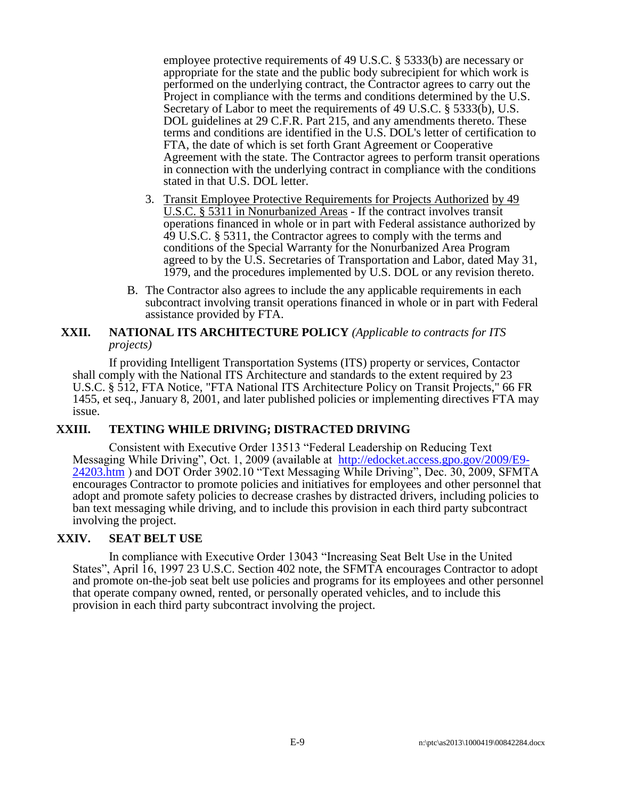employee protective requirements of 49 U.S.C. § 5333(b) are necessary or appropriate for the state and the public body subrecipient for which work is performed on the underlying contract, the Contractor agrees to carry out the Project in compliance with the terms and conditions determined by the U.S. Secretary of Labor to meet the requirements of 49 U.S.C. § 5333(b), U.S. DOL guidelines at 29 C.F.R. Part 215, and any amendments thereto. These terms and conditions are identified in the U.S. DOL's letter of certification to FTA, the date of which is set forth Grant Agreement or Cooperative Agreement with the state. The Contractor agrees to perform transit operations in connection with the underlying contract in compliance with the conditions stated in that U.S. DOL letter.

- 3. Transit Employee Protective Requirements for Projects Authorized by 49 U.S.C. § 5311 in Nonurbanized Areas - If the contract involves transit operations financed in whole or in part with Federal assistance authorized by 49 U.S.C. § 5311, the Contractor agrees to comply with the terms and conditions of the Special Warranty for the Nonurbanized Area Program agreed to by the U.S. Secretaries of Transportation and Labor, dated May 31, 1979, and the procedures implemented by U.S. DOL or any revision thereto.
- B. The Contractor also agrees to include the any applicable requirements in each subcontract involving transit operations financed in whole or in part with Federal assistance provided by FTA.

#### **XXII. NATIONAL ITS ARCHITECTURE POLICY** *(Applicable to contracts for ITS projects)*

If providing Intelligent Transportation Systems (ITS) property or services, Contactor shall comply with the National ITS Architecture and standards to the extent required by 23 U.S.C. § 512, FTA Notice, "FTA National ITS Architecture Policy on Transit Projects," 66 FR 1455, et seq., January 8, 2001, and later published policies or implementing directives FTA may issue.

## **XXIII. TEXTING WHILE DRIVING; DISTRACTED DRIVING**

Consistent with Executive Order 13513 "Federal Leadership on Reducing Text Messaging While Driving", Oct. 1, 2009 (available at [http://edocket.access.gpo.gov/2009/E9-](http://edocket.access.gpo.gov/2009/E9-24203.htm) [24203.htm](http://edocket.access.gpo.gov/2009/E9-24203.htm) ) and DOT Order 3902.10 "Text Messaging While Driving", Dec. 30, 2009, SFMTA encourages Contractor to promote policies and initiatives for employees and other personnel that adopt and promote safety policies to decrease crashes by distracted drivers, including policies to ban text messaging while driving, and to include this provision in each third party subcontract involving the project.

#### **XXIV. SEAT BELT USE**

In compliance with Executive Order 13043 "Increasing Seat Belt Use in the United States", April 16, 1997 23 U.S.C. Section 402 note, the SFMTA encourages Contractor to adopt and promote on-the-job seat belt use policies and programs for its employees and other personnel that operate company owned, rented, or personally operated vehicles, and to include this provision in each third party subcontract involving the project.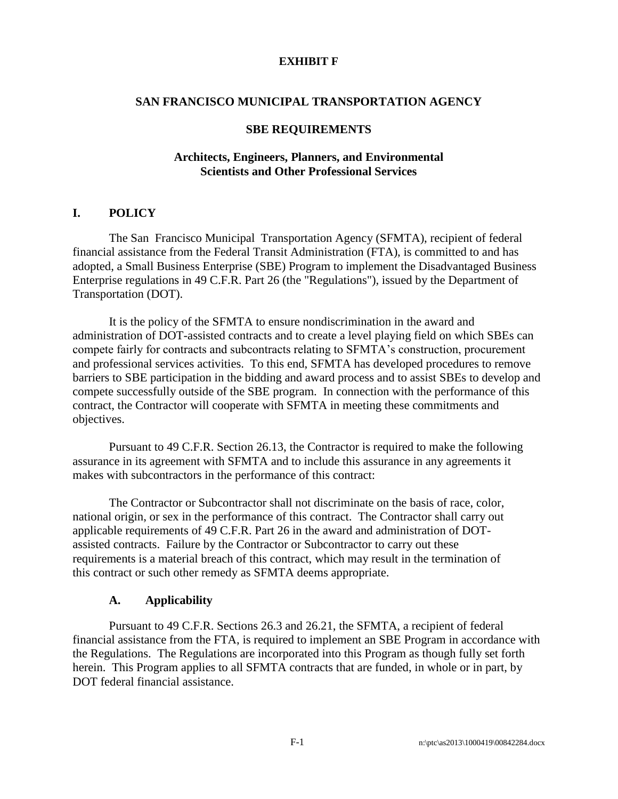#### **EXHIBIT F**

#### **SAN FRANCISCO MUNICIPAL TRANSPORTATION AGENCY**

#### **SBE REQUIREMENTS**

#### **Architects, Engineers, Planners, and Environmental Scientists and Other Professional Services**

#### **I. POLICY**

The San Francisco Municipal Transportation Agency (SFMTA), recipient of federal financial assistance from the Federal Transit Administration (FTA), is committed to and has adopted, a Small Business Enterprise (SBE) Program to implement the Disadvantaged Business Enterprise regulations in 49 C.F.R. Part 26 (the "Regulations"), issued by the Department of Transportation (DOT).

It is the policy of the SFMTA to ensure nondiscrimination in the award and administration of DOT-assisted contracts and to create a level playing field on which SBEs can compete fairly for contracts and subcontracts relating to SFMTA's construction, procurement and professional services activities. To this end, SFMTA has developed procedures to remove barriers to SBE participation in the bidding and award process and to assist SBEs to develop and compete successfully outside of the SBE program. In connection with the performance of this contract, the Contractor will cooperate with SFMTA in meeting these commitments and objectives.

Pursuant to 49 C.F.R. Section 26.13, the Contractor is required to make the following assurance in its agreement with SFMTA and to include this assurance in any agreements it makes with subcontractors in the performance of this contract:

The Contractor or Subcontractor shall not discriminate on the basis of race, color, national origin, or sex in the performance of this contract. The Contractor shall carry out applicable requirements of 49 C.F.R. Part 26 in the award and administration of DOTassisted contracts. Failure by the Contractor or Subcontractor to carry out these requirements is a material breach of this contract, which may result in the termination of this contract or such other remedy as SFMTA deems appropriate.

#### **A. Applicability**

Pursuant to 49 C.F.R. Sections 26.3 and 26.21, the SFMTA, a recipient of federal financial assistance from the FTA, is required to implement an SBE Program in accordance with the Regulations. The Regulations are incorporated into this Program as though fully set forth herein. This Program applies to all SFMTA contracts that are funded, in whole or in part, by DOT federal financial assistance.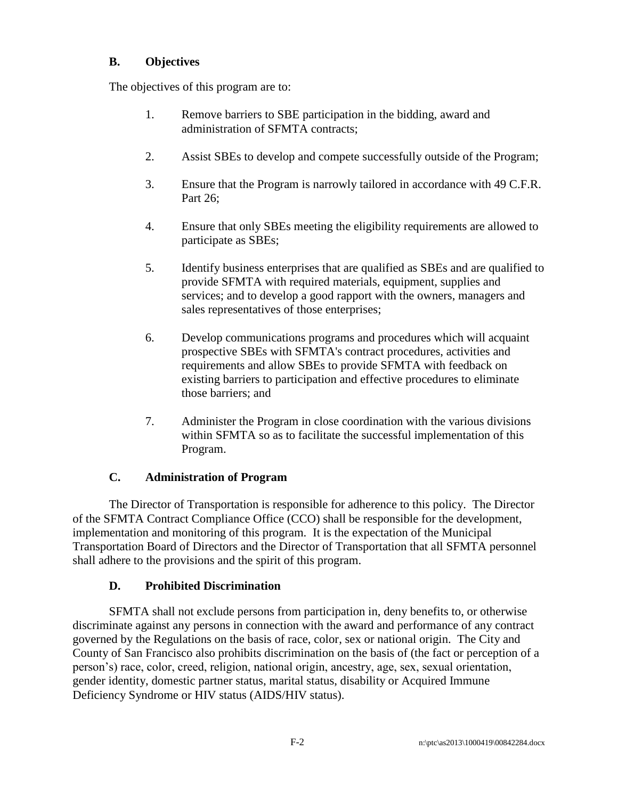# **B. Objectives**

The objectives of this program are to:

- 1. Remove barriers to SBE participation in the bidding, award and administration of SFMTA contracts;
- 2. Assist SBEs to develop and compete successfully outside of the Program;
- 3. Ensure that the Program is narrowly tailored in accordance with 49 C.F.R. Part 26;
- 4. Ensure that only SBEs meeting the eligibility requirements are allowed to participate as SBEs;
- 5. Identify business enterprises that are qualified as SBEs and are qualified to provide SFMTA with required materials, equipment, supplies and services; and to develop a good rapport with the owners, managers and sales representatives of those enterprises;
- 6. Develop communications programs and procedures which will acquaint prospective SBEs with SFMTA's contract procedures, activities and requirements and allow SBEs to provide SFMTA with feedback on existing barriers to participation and effective procedures to eliminate those barriers; and
- 7. Administer the Program in close coordination with the various divisions within SFMTA so as to facilitate the successful implementation of this Program.

# **C. Administration of Program**

The Director of Transportation is responsible for adherence to this policy. The Director of the SFMTA Contract Compliance Office (CCO) shall be responsible for the development, implementation and monitoring of this program. It is the expectation of the Municipal Transportation Board of Directors and the Director of Transportation that all SFMTA personnel shall adhere to the provisions and the spirit of this program.

# **D. Prohibited Discrimination**

SFMTA shall not exclude persons from participation in, deny benefits to, or otherwise discriminate against any persons in connection with the award and performance of any contract governed by the Regulations on the basis of race, color, sex or national origin. The City and County of San Francisco also prohibits discrimination on the basis of (the fact or perception of a person's) race, color, creed, religion, national origin, ancestry, age, sex, sexual orientation, gender identity, domestic partner status, marital status, disability or Acquired Immune Deficiency Syndrome or HIV status (AIDS/HIV status).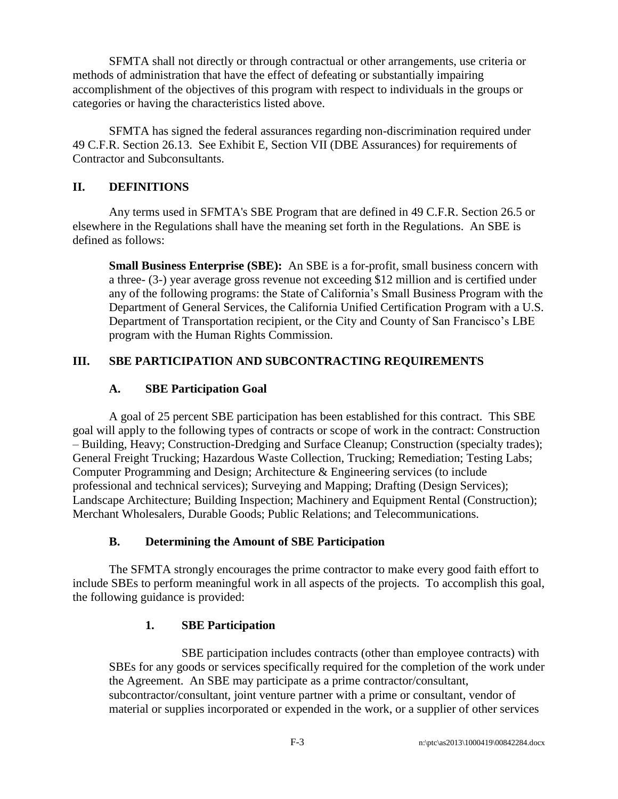SFMTA shall not directly or through contractual or other arrangements, use criteria or methods of administration that have the effect of defeating or substantially impairing accomplishment of the objectives of this program with respect to individuals in the groups or categories or having the characteristics listed above.

SFMTA has signed the federal assurances regarding non-discrimination required under 49 C.F.R. Section 26.13. See Exhibit E, Section VII (DBE Assurances) for requirements of Contractor and Subconsultants.

## **II. DEFINITIONS**

Any terms used in SFMTA's SBE Program that are defined in 49 C.F.R. Section 26.5 or elsewhere in the Regulations shall have the meaning set forth in the Regulations. An SBE is defined as follows:

**Small Business Enterprise (SBE):** An SBE is a for-profit, small business concern with a three- (3-) year average gross revenue not exceeding \$12 million and is certified under any of the following programs: the State of California's Small Business Program with the Department of General Services, the California Unified Certification Program with a U.S. Department of Transportation recipient, or the City and County of San Francisco's LBE program with the Human Rights Commission.

# **III. SBE PARTICIPATION AND SUBCONTRACTING REQUIREMENTS**

# **A. SBE Participation Goal**

A goal of 25 percent SBE participation has been established for this contract. This SBE goal will apply to the following types of contracts or scope of work in the contract: Construction – Building, Heavy; Construction-Dredging and Surface Cleanup; Construction (specialty trades); General Freight Trucking; Hazardous Waste Collection, Trucking; Remediation; Testing Labs; Computer Programming and Design; Architecture & Engineering services (to include professional and technical services); Surveying and Mapping; Drafting (Design Services); Landscape Architecture; Building Inspection; Machinery and Equipment Rental (Construction); Merchant Wholesalers, Durable Goods; Public Relations; and Telecommunications.

# **B. Determining the Amount of SBE Participation**

The SFMTA strongly encourages the prime contractor to make every good faith effort to include SBEs to perform meaningful work in all aspects of the projects. To accomplish this goal, the following guidance is provided:

# **1. SBE Participation**

SBE participation includes contracts (other than employee contracts) with SBEs for any goods or services specifically required for the completion of the work under the Agreement. An SBE may participate as a prime contractor/consultant, subcontractor/consultant, joint venture partner with a prime or consultant, vendor of material or supplies incorporated or expended in the work, or a supplier of other services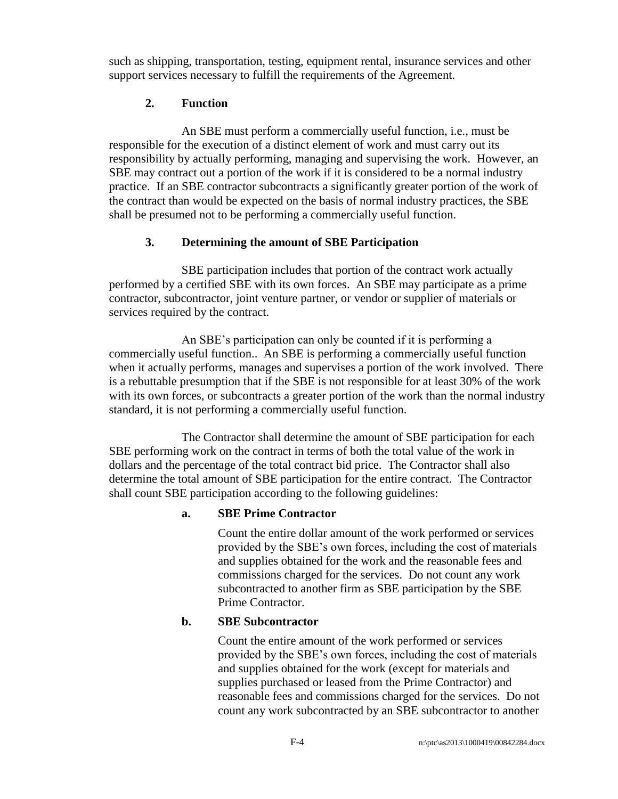such as shipping, transportation, testing, equipment rental, insurance services and other support services necessary to fulfill the requirements of the Agreement.

# **2. Function**

An SBE must perform a commercially useful function, i.e., must be responsible for the execution of a distinct element of work and must carry out its responsibility by actually performing, managing and supervising the work. However, an SBE may contract out a portion of the work if it is considered to be a normal industry practice. If an SBE contractor subcontracts a significantly greater portion of the work of the contract than would be expected on the basis of normal industry practices, the SBE shall be presumed not to be performing a commercially useful function.

# **3. Determining the amount of SBE Participation**

SBE participation includes that portion of the contract work actually performed by a certified SBE with its own forces. An SBE may participate as a prime contractor, subcontractor, joint venture partner, or vendor or supplier of materials or services required by the contract.

An SBE's participation can only be counted if it is performing a commercially useful function.. An SBE is performing a commercially useful function when it actually performs, manages and supervises a portion of the work involved. There is a rebuttable presumption that if the SBE is not responsible for at least 30% of the work with its own forces, or subcontracts a greater portion of the work than the normal industry standard, it is not performing a commercially useful function.

The Contractor shall determine the amount of SBE participation for each SBE performing work on the contract in terms of both the total value of the work in dollars and the percentage of the total contract bid price. The Contractor shall also determine the total amount of SBE participation for the entire contract. The Contractor shall count SBE participation according to the following guidelines:

# **a. SBE Prime Contractor**

Count the entire dollar amount of the work performed or services provided by the SBE's own forces, including the cost of materials and supplies obtained for the work and the reasonable fees and commissions charged for the services. Do not count any work subcontracted to another firm as SBE participation by the SBE Prime Contractor.

# **b. SBE Subcontractor**

Count the entire amount of the work performed or services provided by the SBE's own forces, including the cost of materials and supplies obtained for the work (except for materials and supplies purchased or leased from the Prime Contractor) and reasonable fees and commissions charged for the services. Do not count any work subcontracted by an SBE subcontractor to another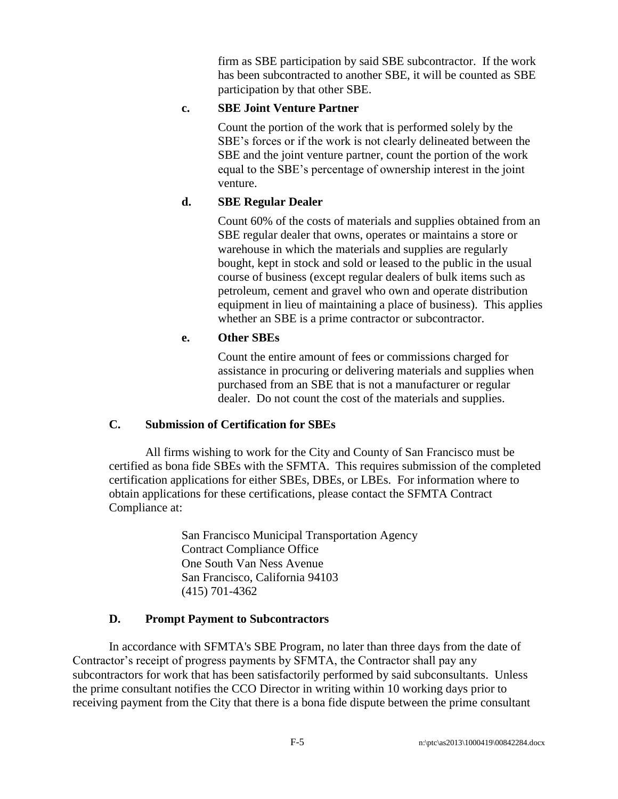firm as SBE participation by said SBE subcontractor. If the work has been subcontracted to another SBE, it will be counted as SBE participation by that other SBE.

# **c. SBE Joint Venture Partner**

Count the portion of the work that is performed solely by the SBE's forces or if the work is not clearly delineated between the SBE and the joint venture partner, count the portion of the work equal to the SBE's percentage of ownership interest in the joint venture.

# **d. SBE Regular Dealer**

Count 60% of the costs of materials and supplies obtained from an SBE regular dealer that owns, operates or maintains a store or warehouse in which the materials and supplies are regularly bought, kept in stock and sold or leased to the public in the usual course of business (except regular dealers of bulk items such as petroleum, cement and gravel who own and operate distribution equipment in lieu of maintaining a place of business). This applies whether an SBE is a prime contractor or subcontractor.

#### **e. Other SBEs**

Count the entire amount of fees or commissions charged for assistance in procuring or delivering materials and supplies when purchased from an SBE that is not a manufacturer or regular dealer. Do not count the cost of the materials and supplies.

#### **C. Submission of Certification for SBEs**

All firms wishing to work for the City and County of San Francisco must be certified as bona fide SBEs with the SFMTA. This requires submission of the completed certification applications for either SBEs, DBEs, or LBEs. For information where to obtain applications for these certifications, please contact the SFMTA Contract Compliance at:

> San Francisco Municipal Transportation Agency Contract Compliance Office One South Van Ness Avenue San Francisco, California 94103 (415) 701-4362

#### **D. Prompt Payment to Subcontractors**

In accordance with SFMTA's SBE Program, no later than three days from the date of Contractor's receipt of progress payments by SFMTA, the Contractor shall pay any subcontractors for work that has been satisfactorily performed by said subconsultants. Unless the prime consultant notifies the CCO Director in writing within 10 working days prior to receiving payment from the City that there is a bona fide dispute between the prime consultant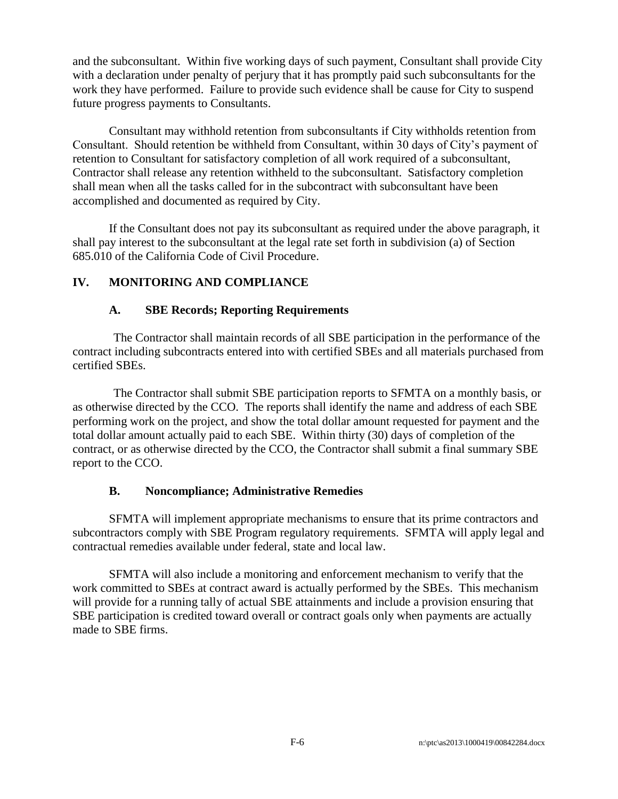and the subconsultant. Within five working days of such payment, Consultant shall provide City with a declaration under penalty of perjury that it has promptly paid such subconsultants for the work they have performed. Failure to provide such evidence shall be cause for City to suspend future progress payments to Consultants.

Consultant may withhold retention from subconsultants if City withholds retention from Consultant. Should retention be withheld from Consultant, within 30 days of City's payment of retention to Consultant for satisfactory completion of all work required of a subconsultant, Contractor shall release any retention withheld to the subconsultant. Satisfactory completion shall mean when all the tasks called for in the subcontract with subconsultant have been accomplished and documented as required by City.

If the Consultant does not pay its subconsultant as required under the above paragraph, it shall pay interest to the subconsultant at the legal rate set forth in subdivision (a) of Section 685.010 of the California Code of Civil Procedure.

# **IV. MONITORING AND COMPLIANCE**

#### **A. SBE Records; Reporting Requirements**

The Contractor shall maintain records of all SBE participation in the performance of the contract including subcontracts entered into with certified SBEs and all materials purchased from certified SBEs.

The Contractor shall submit SBE participation reports to SFMTA on a monthly basis, or as otherwise directed by the CCO. The reports shall identify the name and address of each SBE performing work on the project, and show the total dollar amount requested for payment and the total dollar amount actually paid to each SBE. Within thirty (30) days of completion of the contract, or as otherwise directed by the CCO, the Contractor shall submit a final summary SBE report to the CCO.

#### **B. Noncompliance; Administrative Remedies**

SFMTA will implement appropriate mechanisms to ensure that its prime contractors and subcontractors comply with SBE Program regulatory requirements. SFMTA will apply legal and contractual remedies available under federal, state and local law.

SFMTA will also include a monitoring and enforcement mechanism to verify that the work committed to SBEs at contract award is actually performed by the SBEs. This mechanism will provide for a running tally of actual SBE attainments and include a provision ensuring that SBE participation is credited toward overall or contract goals only when payments are actually made to SBE firms.